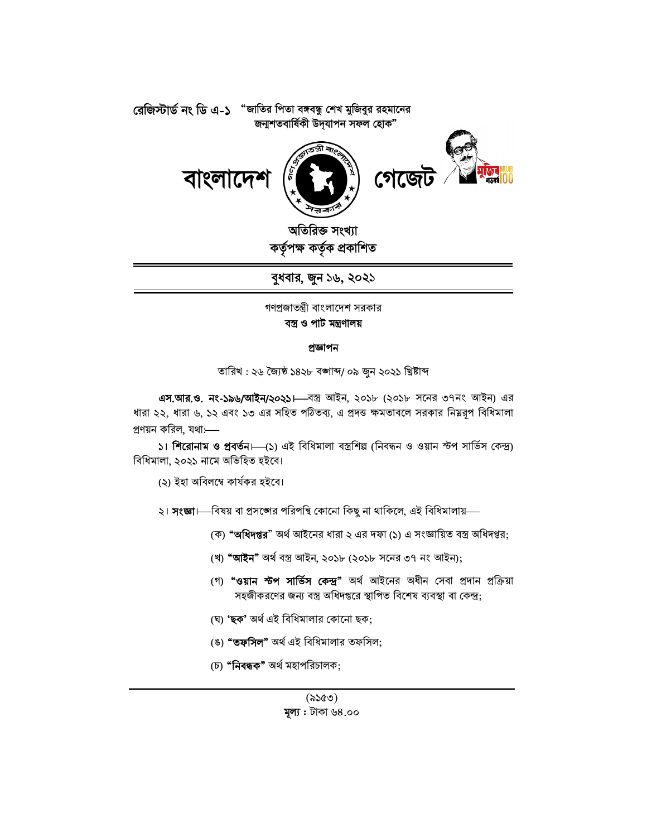

অতিরিক্ত সংখ্যা ৰ্তৃক প্ৰকাশিত

বুধবার, জুন ১৬, ২০২১

গণপ্রজাতন্ত্রী বাংলাদেশ সরকার বস্ত্ৰ ও পাট মন্ত্ৰণালয়

#### প্ৰজ্ঞাপন

তারিখ : ২৬ জ্যৈষ্ঠ ১৪২৮ বঙ্গাব্দ/ ০৯ জুন ২০২১ খ্রিষ্টাব্দ

এস.আর.ও. নং-১৯৬/আইন/২০২১।—বস্ত্র আইন, ২০১৮ (২০১৮ সনের ৩৭নং আইন) এর ধারা ২২, ধারা ৬, ১২ এবং ১৩ এর সহিত পঠিতব্য, এ প্রদত্ত ক্ষমতাবলে সরকার নিম্নরূপ বিধিমালা প্রণয়ন করিল, যথা:—–

১। শিরোনাম ও প্রবর্তন। (১) এই বিধিমালা বস্ত্রশিল্প (নিবন্ধন ও ওয়ান স্টপ সার্ভিস কেন্দ্র) বিধিমালা, ২০২১ নামে অভিহিত হইবে।

(২) ইহা অবিলম্বে কাৰ্যকর হইবে।

২। **সংজ্ঞা**।—বিষয় বা প্রসঙ্গের পরিপন্থি কোনো কিছু না থাকিলে, এই বিধিমালায়—

- (ক) **"অধিদপ্তর**" অর্থ আইনের ধারা ২ এর দফা (১) এ সংজ্ঞায়িত বস্ত্র অধিদপ্তর;
- (খ) "আইন" অৰ্থ বস্ত্ৰ আইন, ২০১৮ (২০১৮ সনের ৩৭ নং আইন);
- (গ) **"ওয়ান স্টপ সার্ভিস কেন্দ্র"** অর্থ আইনের অধীন সেবা প্রদান প্রক্রিয়া সহজীকরণের জন্য বস্ত্র অধিদপ্তরে স্থাপিত বিশেষ ব্যবস্থা বা কেন্দ্র;
- (ঘ) 'ছক' অৰ্থ এই বিধিমালার কোনো ছক;
- (ঙ) **"তফসিল"** অর্থ এই বিধিমালার তফসিল;
- (চ) "**নিবন্ধক"** অৰ্থ মহাপরিচালক: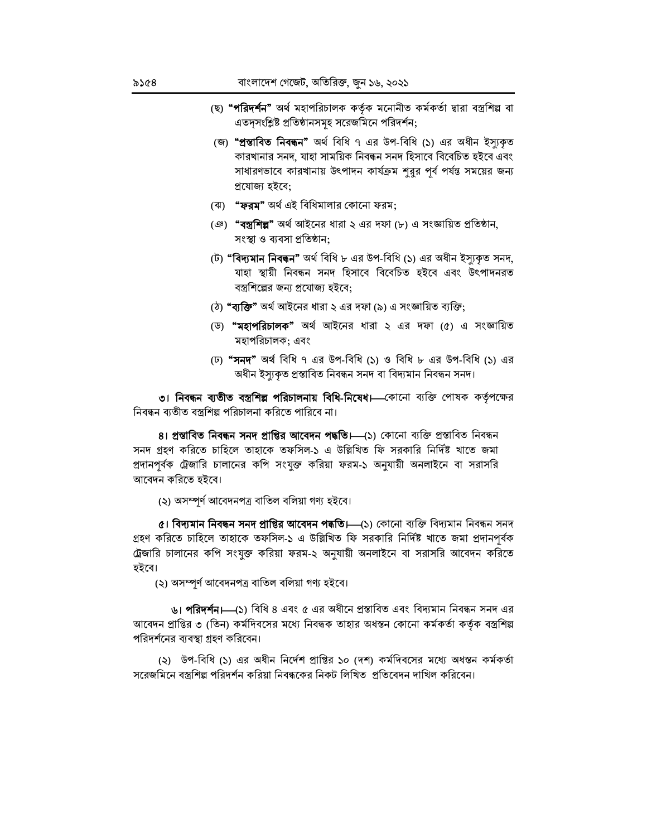- (ছ) **"পরিদর্শন"** অর্থ মহাপরিচালক কর্তৃক মনোনীত কর্মকর্তা দ্বারা বস্ত্রশিল্প বা এতদ্সংশ্লিষ্ট প্রতিষ্ঠানসমূহ সরেজমিনে পরিদর্শন:
- (জ) "প্ৰস্তাবিত নিবন্ধন" অৰ্থ বিধি ৭ এর উপ-বিধি (১) এর অধীন ইস্যকৃত কারখানার সনদ, যাহা সাময়িক নিবন্ধন সনদ হিসাবে বিবেচিত হইবে এবং সাধারণভাবে কারখানায় উৎপাদন কার্যক্রম শুরুর পূর্ব পর্যন্ত সময়ের জন্য প্ৰযোজ্য হইবে;
- (ঝ) **"ফরম"** অর্থ এই বিধিমালার কোনো ফরম;
- (ঞ) "বস্ত্রশিল্প" অর্থ আইনের ধারা ২ এর দফা (৮) এ সংজ্ঞায়িত প্রতিষ্ঠান, সংস্থা ও ব্যবসা প্রতিষ্ঠান;
- (ট) **"বিদ্যমান নিবন্ধন"** অৰ্থ বিধি ৮ এর উপ-বিধি (১) এর অধীন ইস্যকৃত সনদ, যাহা স্থায়ী নিবন্ধন সনদ হিসাবে বিবেচিত হইবে এবং উৎপাদনরত বস্ত্রশিল্পের জন্য প্রযোজ্য হইবে:
- (ঠ) **"ব্যক্তি"** অর্থ আইনের ধারা ২ এর দফা (৯) এ সংজ্ঞায়িত ব্যক্তি;
- (ড) **"মহাপরিচালক"** অর্থ আইনের ধারা ২ এর দফা (৫) এ সংজ্ঞায়িত মহাপরিচালক: এবং
- (ঢ) **"সনদ"** অৰ্থ বিধি ৭ এর উপ-বিধি (১) ও বিধি ৮ এর উপ-বিধি (১) এর অধীন ইস্যুকৃত প্ৰস্তাবিত নিবন্ধন সনদ বা বিদ্যমান নিবন্ধন সনদ।

৩। নিবন্ধন ব্যতীত বস্ত্রশিল্প পরিচালনায় বিধি-নিষেধ। কোনো ব্যক্তি পোষক কর্তৃপক্ষের নিবন্ধন ব্যতীত বস্ত্রশিল্প পরিচালনা করিতে পারিবে না।

8। প্ৰস্তাবিত নিবন্ধন সনদ প্ৰাপ্তির আবেদন পদ্ধতি। (১) কোনো ব্যক্তি প্ৰস্তাবিত নিবন্ধন সনদ গ্রহণ করিতে চাহিলে তাহাকে তফসিল-১ এ উল্লিখিত ফি সরকারি নির্দিষ্ট খাতে জমা প্রদানপূর্বক ট্রেজারি চালানের কপি সংযুক্ত করিয়া ফরম-১ অনুযায়ী অনলাইনে বা সরাসরি আবেদন করিতে হইবে।

(২) অসম্পৰ্ণ আবেদনপত্ৰ বাতিল বলিয়া গণ্য হইবে।

 $\alpha$ । বিদ্যমান নিবন্ধন সনদ প্রাপ্তির আবেদন পদ্ধতি।—(১) কোনো ব্যক্তি বিদ্যমান নিবন্ধন সনদ গ্রহণ করিতে চাহিলে তাহাকে তফসিল-১ এ উল্লিখিত ফি সরকারি নির্দিষ্ট খাতে জমা প্রদানপূর্বক ট্রেজারি চালানের কপি সংযুক্ত করিয়া ফরম-২ অনুযায়ী অনলাইনে বা সরাসরি আবেদন করিতে হইবে।

(২) অসম্পৰ্ণ আবেদনপত্ৰ বাতিল বলিয়া গণ্য হইবে।

৬। **পরিদর্শন।---**(১) বিধি ৪ এবং ৫ এর অধীনে প্রস্তাবিত এবং বিদ্যমান নিবন্ধন সনদ এর আবেদন প্রাপ্তির ৩ (তিন) কর্মদিবসের মধ্যে নিবন্ধক তাহার অধন্তন কোনো কর্মকর্তা কর্তৃক বস্ত্রশিল্প পরিদর্শনের ব্যবস্থা গ্রহণ করিবেন।

(২) উপ-বিধি (১) এর অধীন নির্দেশ প্রাপ্তির ১০ (দশ) কর্মদিবসের মধ্যে অধন্তন কর্মকর্তা সরেজমিনে বস্ত্রশিল্প পরিদর্শন করিয়া নিবন্ধকের নিকট লিখিত প্রতিবেদন দাখিল করিবেন।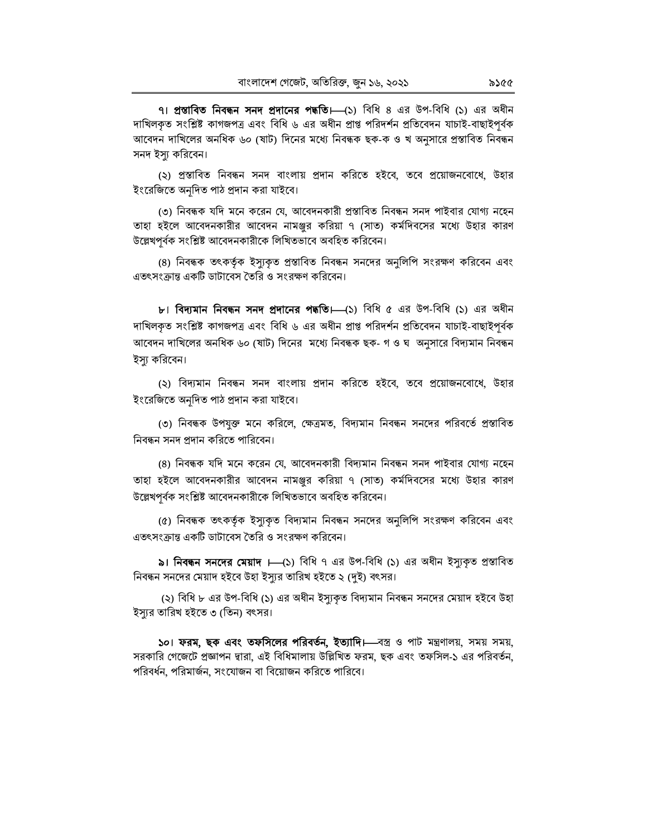৭। প্রস্তাবিত নিবন্ধন সনদ প্রদানের পদ্ধতি। (১) বিধি ৪ এর উপ-বিধি (১) এর অধীন দাখিলকত সংশ্লিষ্ট কাগজপত্ৰ এবং বিধি ৬ এর অধীন প্রাপ্ত পরিদর্শন প্রতিবেদন যাচাই-বাছাইপর্বক আবেদন দাখিলের অনধিক ৬০ (ষাট) দিনের মধ্যে নিবন্ধক ছক-ক ও খ অনুসারে প্রস্তাবিত নিবন্ধন সনদ ইস্যু করিবেন।

(২) প্রস্তাবিত নিবন্ধন সনদ বাংলায় প্রদান করিতে হইবে, তবে প্রয়োজনবোধে, উহার ইংরেজিতে অনদিত পাঠ প্রদান করা যাইবে।

(৩) নিবন্ধক যদি মনে করেন যে, আবেদনকারী প্রস্তাবিত নিবন্ধন সনদ পাইবার যোগ্য নহেন তাহা হইলে আবেদনকারীর আবেদন নামঞ্জুর করিয়া ৭ (সাত) কর্মদিবসের মধ্যে উহার কারণ উল্লেখপর্বক সংশ্লিষ্ট আবেদনকারীকে লিখিতভাবে অবহিত করিবেন।

(৪) নিবন্ধক তৎকর্তৃক ইস্যুকৃত প্রস্তাবিত নিবন্ধন সনদের অনুলিপি সংরক্ষণ করিবেন এবং এতৎসংক্রান্ত একটি ডাটাবেস তৈরি ও সংরক্ষণ করিবেন।

b। **বিদ্যমান নিবন্ধন সনদ প্রদানের পদ্ধতি।** (১) বিধি ৫ এর উপ-বিধি (১) এর অধীন দাখিলকৃত সংশ্লিষ্ট কাগজপত্ৰ এবং বিধি ৬ এর অধীন প্রাপ্ত পরিদর্শন প্রতিবেদন যাচাই-বাছাইপূর্বক আবেদন দাখিলের অনধিক ৬০ (ষাট) দিনের মধ্যে নিবন্ধক ছক- গ ও ঘ অনুসারে বিদ্যমান নিবন্ধন ইস্যু করিবেন।

(২) বিদ্যমান নিবন্ধন সনদ বাংলায় প্রদান করিতে হইবে, তবে প্রয়োজনবোধে, উহার ইংরেজিতে অনূদিত পাঠ প্রদান করা যাইবে।

(৩) নিবন্ধক উপযুক্ত মনে করিলে, ক্ষেত্রমত, বিদ্যমান নিবন্ধন সনদের পরিবর্তে প্রস্তাবিত নিবন্ধন সনদ প্রদান করিতে পারিবেন।

(৪) নিবন্ধক যদি মনে করেন যে, আবেদনকারী বিদ্যমান নিবন্ধন সনদ পাইবার যোগ্য নহেন তাহা হইলে আবেদনকারীর আবেদন নামঞ্জুর করিয়া ৭ (সাত) কর্মদিবসের মধ্যে উহার কারণ উল্লেখপূর্বক সংশ্লিষ্ট আবেদনকারীকে লিখিতভাবে অবহিত করিবেন।

(৫) নিবন্ধক তৎকর্তৃক ইস্যুকৃত বিদ্যমান নিবন্ধন সনদের অনুলিপি সংরক্ষণ করিবেন এবং এতৎসংক্রান্ত একটি ডাটাবেস তৈরি ও সংরক্ষণ করিবেন।

৯। **নিবন্ধন সনদের মেয়াদ ।**—(১) বিধি ৭ এর উপ-বিধি (১) এর অধীন ইস্যকৃত প্রস্তাবিত নিবন্ধন সনদের মেয়াদ হইবে উহা ইস্যুর তারিখ হইতে ২ (দুই) বৎসর।

(২) বিধি ৮ এর উপ-বিধি (১) এর অধীন ইস্যুকৃত বিদ্যমান নিবন্ধন সনদের মেয়াদ হইবে উহা ইস্যর তারিখ হইতে ৩।তিন) বৎসর।

50। ফরম, ছক এবং তফসিলের পরিবর্তন, ইত্যাদি। বস্ত্র ও পাট মন্ত্রণালয়, সময় সময়, সরকারি গেজেটে প্রজ্ঞাপন দ্বারা, এই বিধিমালায় উল্লিখিত ফরম, ছক এবং তফসিল-১ এর পরিবর্তন, পরিবর্ধন, পরিমার্জন, সংযোজন বা বিয়োজন করিতে পারিবে।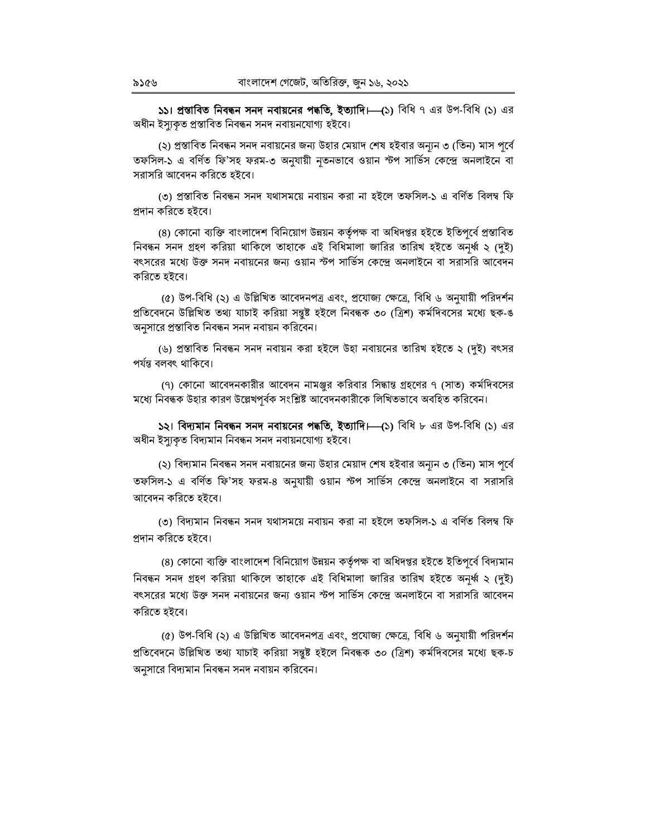১১। প্রস্তাবিত নিবন্ধন সনদ নবায়নের পদ্ধতি, ইত্যাদি। (১) বিধি ৭ এর উপ-বিধি (১) এর অধীন ইস্যুকৃত প্ৰস্তাবিত নিবন্ধন সনদ নবায়নযোগ্য হইবে।

(২) প্রস্তাবিত নিবন্ধন সনদ নবায়নের জন্য উহার মেয়াদ শেষ হইবার অন্যন ৩ (তিন) মাস পর্বে তফসিল-১ এ বর্ণিত ফি'সহ ফরম-৩ অনুযায়ী নৃতনভাবে ওয়ান স্টপ সার্ভিস কেন্দ্রে অনলাইনে বা সরাসরি আবেদন করিতে হইবে।

(৩) প্ৰস্তাবিত নিবন্ধন সনদ যথাসময়ে নবায়ন করা না হইলে তফসিল-১ এ বর্ণিত বিলম্ব ফি প্রদান করিতে হইবে।

(৪) কোনো ব্যক্তি বাংলাদেশ বিনিয়োগ উন্নয়ন কর্তৃপক্ষ বা অধিদপ্তর হইতে ইতিপূর্বে প্রস্তাবিত নিবন্ধন সনদ গ্রহণ করিয়া থাকিলে তাহাকে এই বিধিমালা জারির তারিখ হইতে অনর্ধ্ব ২ (দই) বৎসরের মধ্যে উক্ত সনদ নবায়নের জন্য ওয়ান স্টপ সার্ভিস কেন্দ্রে অনলাইনে বা সরাসরি আবেদন করিতে হইবে।

(৫) উপ-বিধি (২) এ উল্লিখিত আবেদনপত্র এবং, প্রযোজ্য ক্ষেত্রে, বিধি ৬ অনুযায়ী পরিদর্শন প্রতিবেদনে উল্লিখিত তথ্য যাচাই করিয়া সন্তুষ্ট হইলে নিবন্ধক ৩০ (ত্রিশ) কর্মদিবসের মধ্যে ছক-ঙ অনুসারে প্রস্তাবিত নিবন্ধন সনদ নবায়ন করিবেন।

(৬) প্রস্তাবিত নিবন্ধন সনদ নবায়ন করা হইলে উহা নবায়নের তারিখ হইতে ২ (দুই) বৎসর পৰ্যন্ত বলবৎ থাকিবে।

(৭) কোনো আবেদনকারীর আবেদন নামঞ্জুর করিবার সিদ্ধান্ত গ্রহণের ৭ (সাত) কর্মদিবসের মধ্যে নিবন্ধক উহার কারণ উল্লেখপর্বক সংশ্লিষ্ট আবেদনকারীকে লিখিতভাবে অবহিত করিবেন।

১২। বিদ্যমান নিবন্ধন সনদ নবায়নের পদ্ধতি, ইত্যাদি। (১) বিধি ৮ এর উপ-বিধি (১) এর অধীন ইস্যুকৃত বিদ্যমান নিবন্ধন সনদ নবায়নযোগ্য হইবে।

(২) বিদ্যমান নিবন্ধন সনদ নবায়নের জন্য উহার মেয়াদ শেষ হইবার অন্যুন ৩ (তিন) মাস পূর্বে তফসিল-১ এ বর্ণিত ফি'সহ ফরম-৪ অনুযায়ী ওয়ান স্টপ সার্ভিস কেন্দ্রে অনলাইনে বা সরাসরি আবেদন করিতে হইবে।

(৩) বিদ্যমান নিবন্ধন সনদ যথাসময়ে নবায়ন করা না হইলে তফসিল-১ এ বর্ণিত বিলম্ব ফি প্ৰদান করিতে হইবে।

(৪) কোনো ব্যক্তি বাংলাদেশ বিনিয়োগ উন্নয়ন কর্তৃপক্ষ বা অধিদপ্তর হইতে ইতিপূর্বে বিদ্যমান নিবন্ধন সনদ গ্রহণ করিয়া থাকিলে তাহাকে এই বিধিমালা জারির তারিখ হইতে অনর্ধ্ব ২ (দুই) বৎসরের মধ্যে উক্ত সনদ নবায়নের জন্য ওয়ান স্টপ সার্ভিস কেন্দ্রে অনলাইনে বা সরাসরি আবেদন করিতে হইবে।

(৫) উপ-বিধি (২) এ উল্লিখিত আবেদনপত্র এবং, প্রযোজ্য ক্ষেত্রে, বিধি ৬ অনুযায়ী পরিদর্শন প্রতিবেদনে উল্লিখিত তথ্য যাচাই করিয়া সন্তুষ্ট হইলে নিবন্ধক ৩০ (ত্রিশ) কর্মদিবসের মধ্যে ছক-চ অনুসারে বিদ্যমান নিবন্ধন সনদ নবায়ন করিবেন।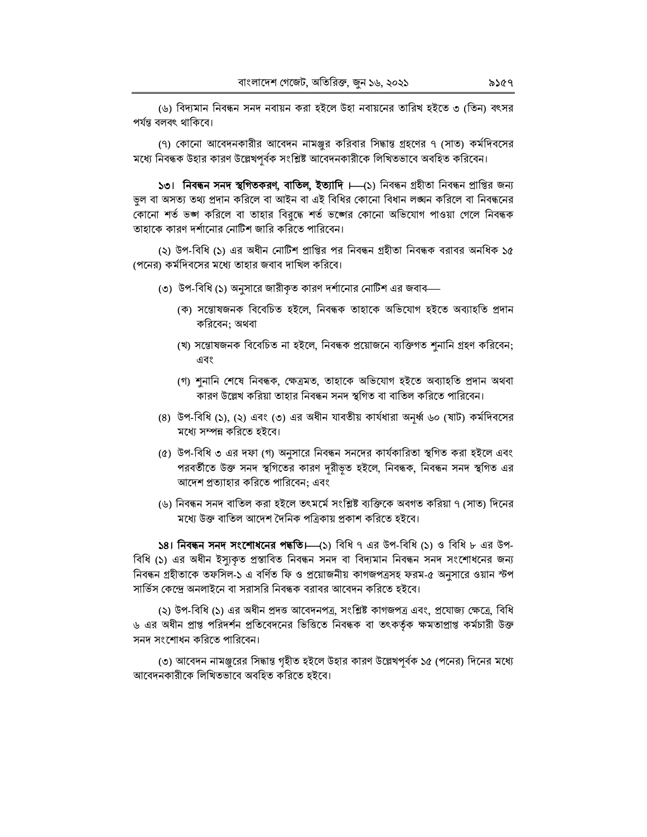(৬) বিদ্যমান নিবন্ধন সনদ নবায়ন করা হইলে উহা নবায়নের তারিখ হইতে ৩ (তিন) বৎসর পৰ্যন্ত বলবৎ থাকিবে।

(৭) কোনো আবেদনকারীর আবেদন নামঞ্জুর করিবার সিদ্ধান্ত গ্রহণের ৭ (সাত) কর্মদিবসের মধ্যে নিবন্ধক উহার কারণ উল্লেখপূর্বক সংশ্লিষ্ট আবেদনকারীকে লিখিতভাবে অবহিত করিবেন।

১৩। নিবন্ধন সনদ স্থগিতকরণ, বাতিল, ইত্যাদি । (১) নিবন্ধন গ্রহীতা নিবন্ধন প্রাপ্তির জন্য ভুল বা অসত্য তথ্য প্রদান করিলে বা আইন বা এই বিধির কোনো বিধান লঙ্ঘন করিলে বা নিবন্ধনের কোনো শর্ত ভঙ্গ করিলে বা তাহার বিরুদ্ধে শর্ত ভঙ্গের কোনো অভিযোগ পাওয়া গেলে নিবন্ধক তাহাকে কারণ দর্শানোর নোটিশ জারি করিতে পারিবেন।

(২) উপ-বিধি (১) এর অধীন নোটিশ প্রাপ্তির পর নিবন্ধন গ্রহীতা নিবন্ধক বরাবর অনধিক ১৫ (পনের) কর্মদিবসের মধ্যে তাহার জবাব দাখিল করিবে।

- (৩) উপ-বিধি (১) অনুসারে জারীকৃত কারণ দর্শানোর নোটিশ এর জবাব—
	- (ক) সন্তোষজনক বিবেচিত হইলে, নিবন্ধক তাহাকে অভিযোগ হইতে অব্যাহতি প্ৰদান করিবেন: অথবা
	- (খ) সন্তোষজনক বিবেচিত না হইলে, নিবন্ধক প্রয়োজনে ব্যক্তিগত শুনানি গ্রহণ করিবেন; এবং
	- (গ) শুনানি শেষে নিবন্ধক, ক্ষেত্ৰমত, তাহাকে অভিযোগ হইতে অব্যাহতি প্ৰদান অথবা কারণ উল্লেখ করিয়া তাহার নিবন্ধন সনদ স্থগিত বা বাতিল করিতে পারিবেন।
- (8) উপ-বিধি (১), (২) এবং (৩) এর অধীন যাবতীয় কার্যধারা অনর্ধ্ব ৬০ (ষাট) কর্মদিবসের মধ্যে সম্পন্ন করিতে হইবে।
- (৫) উপ-বিধি ৩ এর দফা (গ) অনুসারে নিবন্ধন সনদের কার্যকারিতা স্থগিত করা হইলে এবং পরবর্তীতে উক্ত সনদ স্থগিতের কারণ দূরীভূত হইলে, নিবন্ধক, নিবন্ধন সনদ স্থগিত এর আদেশ প্রত্যাহার করিতে পারিবেন; এবং
- (৬) নিবন্ধন সনদ বাতিল করা হইলে তৎমর্মে সংশ্লিষ্ট ব্যক্তিকে অবগত করিয়া ৭ (সাত) দিনের মধ্যে উক্ত বাতিল আদেশ দৈনিক পত্রিকায় প্রকাশ করিতে হইবে।

 $\overline{581}$  **নিবন্ধন সনদ সংশোধনের পদ্ধতি।** (১) বিধি ৭ এর উপ-বিধি (১) ও বিধি ৮ এর উপ-বিধি (১) এর অধীন ইস্যকৃত প্রস্তাবিত নিবন্ধন সনদ বা বিদ্যমান নিবন্ধন সনদ সংশোধনের জন্য নিবন্ধন গ্রহীতাকে তফসিল-১ এ বর্ণিত ফি ও প্রয়োজনীয় কাগজপত্রসহ ফরম-৫ অনুসারে ওয়ান স্টপ সার্ভিস কেন্দ্রে অনলাইনে বা সরাসরি নিবন্ধক বরাবর আবেদন করিতে হইবে।

(২) উপ-বিধি (১) এর অধীন প্রদত্ত আবেদনপত্র, সংশ্লিষ্ট কাগজপত্র এবং, প্রযোজ্য ক্ষেত্রে, বিধি ৬ এর অধীন প্রাপ্ত পরিদর্শন প্রতিবেদনের ভিত্তিতে নিবন্ধক বা তৎকর্তৃক ক্ষমতাপ্রাপ্ত কর্মচারী উক্ত সনদ সংশোধন করিতে পারিবেন।

(৩) আবেদন নামঞ্জুরের সিদ্ধান্ত গৃহীত হইলে উহার কারণ উল্লেখপূর্বক ১৫ (পনের) দিনের মধ্যে আবেদনকারীকে লিখিতভাবে অবহিত করিতে হইবে।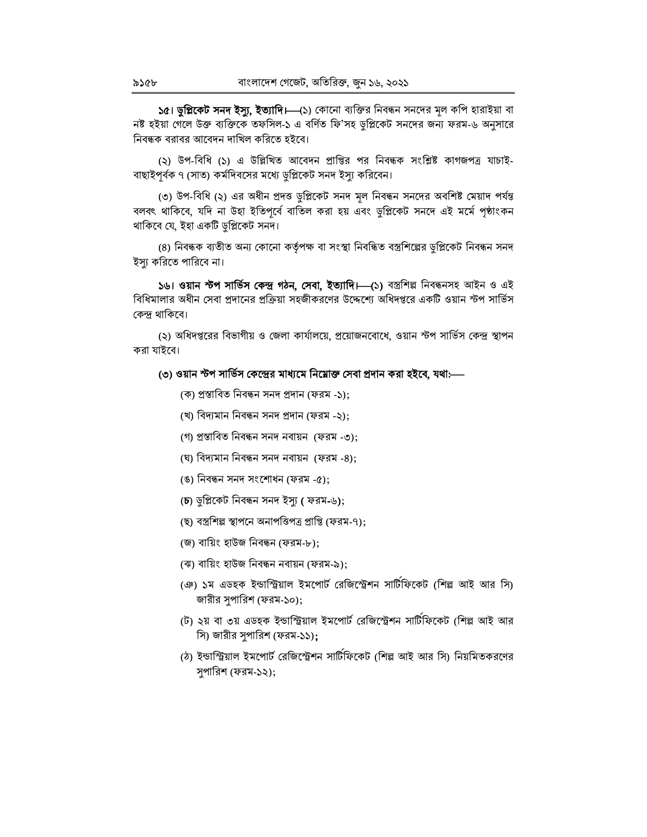১৫। ডু**প্লিকেট সনদ ইস্যু, ইত্যাদি।—**(১) কোনো ব্যক্তির নিবন্ধন সনদের মূল কপি হারাইয়া বা নষ্ট হইয়া গেলে উক্ত ব্যক্তিকে তফসিল-১ এ বর্ণিত ফি'সহ ডুপ্লিকেট সনদের জন্য ফরম-৬ অনুসারে নিবন্ধক বরাবর আবেদন দাখিল করিতে হইবে।

(২) উপ-বিধি (১) এ উল্লিখিত আবেদন প্রাপ্তির পর নিবন্ধক সংশ্লিষ্ট কাগজপত্র যাচাই-বাছাইপূর্বক ৭ (সাত) কর্মদিবসের মধ্যে ডুপ্লিকেট সনদ ইস্যু করিবেন।

(৩) উপ-বিধি (২) এর অধীন প্রদত্ত ডুপ্লিকেট সনদ মূল নিবন্ধন সনদের অবশিষ্ট মেয়াদ পর্যন্ত বলবৎ থাকিবে, যদি না উহা ইতিপূর্বে বাতিল করা হয় এবং ডুপ্লিকেট সনদে এই মর্মে পৃষ্ঠাংকন থাকিবে যে, ইহা একটি ডুপ্লিকেট সনদ।

(৪) নিবন্ধক ব্যতীত অন্য কোনো কর্তৃপক্ষ বা সংস্থা নিবন্ধিত বস্ত্রশিল্পের ডুপ্লিকেট নিবন্ধন সনদ ইস্যু করিতে পারিবে না।

১৬। ওয়ান স্টপ সার্ভিস কেন্দ্র গঠন, সেবা, ইত্যাদি।—(১) বস্রশিল্প নিবন্ধনসহ আইন ও এই বিধিমালার অধীন সেবা প্রদানের প্রক্রিয়া সহজীকরণের উদ্দেশ্যে অধিদপ্তরে একটি ওয়ান স্টপ সার্ভিস কেন্দ্ৰ থাকিবে।

(২) অধিদপ্তরের বিভাগীয় ও জেলা কার্যালয়ে, প্রয়োজনবোধে, ওয়ান স্টপ সার্ভিস কেন্দ্র স্থাপন করা যাইবে।

#### (৩) ওয়ান স্টপ সার্ভিস কেন্দ্রের মাধ্যমে নিম্নোক্ত সেবা প্রদান করা হইবে, যথা:—

- (ক) প্ৰস্তাবিত নিবন্ধন সনদ প্ৰদান (ফরম -১);
- (খ) বিদ্যমান নিবন্ধন সনদ প্ৰদান (ফরম -২);
- (গ) প্ৰস্তাবিত নিবন্ধন সনদ নবায়ন (ফরম -৩);
- (ঘ) বিদ্যমান নিবন্ধন সনদ নবায়ন (ফরম -8);
- (ঙ) নিবন্ধন সনদ সংশোধন (ফরম -৫);
- (চ) ডুপ্লিকেট নিবন্ধন সনদ ইস্যু ( ফরম-৬);
- (ছ) বস্ত্রশিল্প স্থাপনে অনাপত্তিপত্র প্রাপ্তি (ফরম-৭):
- (জ) বায়িং হাউজ নিবন্ধন (ফরম-৮);
- (ঝ) বায়িং হাউজ নিবন্ধন নবায়ন (ফরম-৯);
- (ঞ) ১ম এডহক ইন্ডাস্ট্রিয়াল ইমপোর্ট রেজিস্ট্রেশন সার্টিফিকেট (শিল্প আই আর সি) জারীর সুপারিশ (ফরম-১০);
- (ট) ২য় বা ৩য় এডহক ইন্ডাস্ট্রিয়াল ইমপোর্ট রেজিস্ট্রেশন সার্টিফিকেট (শিল্প আই আর সি) জারীর সুপারিশ (ফরম-১১);
- (ঠ) ইন্ডাস্ট্রিয়াল ইমপোর্ট রেজিস্ট্রেশন সার্টিফিকেট (শিল্প আই আর সি) নিয়মিতকরণের সুপারিশ (ফরম-১২);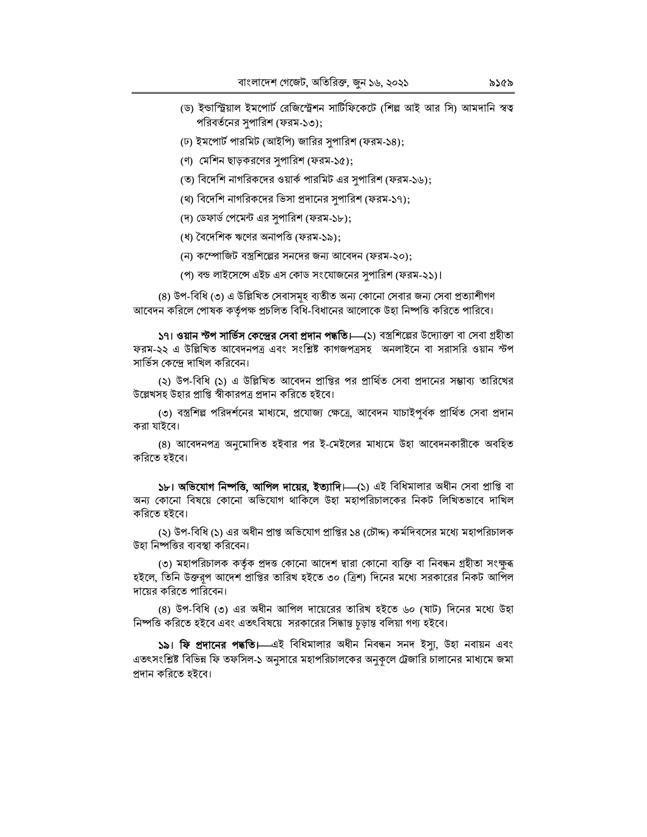- (ড) ইন্ডাস্ট্রিয়াল ইমপোর্ট রেজিস্ট্রেশন সার্টিফিকেটে (শিল্প আই আর সি) আমদানি স্বত্ব পরিবর্তনের সুপারিশ (ফরম-১৩);
- (ঢ) ইমপোর্ট পারমিট (আইপি) জারির সৃপারিশ (ফরম-১৪);
- (ণ) মেশিন ছাড়করণের সুপারিশ (ফরম-১৫);
- (ত) বিদেশি নাগরিকদের ওয়ার্ক পারমিট এর সৃপারিশ (ফরম-১৬);
- (থ) বিদেশি নাগরিকদের ভিসা প্রদানের সুপারিশ (ফরম-১৭);
- (দ) ডেফার্ড পেমেন্ট এর সুপারিশ (ফরম-১৮);
- (ধ) বৈদেশিক ঋণের অনাপত্তি (ফরম-১৯);
- (ন) কম্পোজিট বস্ত্রশিল্পের সনদের জন্য আবেদন (ফরম-২০);
- (প) বন্ড লাইসেন্সে এইচ এস কোড সংযোজনের সুপারিশ (ফরম-২১)।

(৪) উপ-বিধি (৩) এ উল্লিখিত সেবাসমূহ ব্যতীত অন্য কোনো সেবার জন্য সেবা প্রত্যাশীগণ আবেদন করিলে পোষক কর্তৃপক্ষ প্রচলিত বিধি-বিধানের আলোকে উহা নিষ্পত্তি করিতে পারিবে।

**১৭। ওয়ান স্টপ সার্ভিস কেন্দ্রের সেবা প্রদান পদ্ধতি।—(**১) বস্ত্রশিল্পের উদ্যোক্তা বা সেবা গ্রহীতা ফরম-২২ এ উল্লিখিত আবেদনপত্র এবং সংশ্লিষ্ট কাগজপত্রসহ অনলাইনে বা সরাসরি ওয়ান স্টপ সার্ভিস কেন্দে দাখিল করিবেন।

(২) উপ-বিধি (১) এ উল্লিখিত আবেদন প্রাপ্তির পর প্রার্থিত সেবা প্রদানের সম্ভাব্য তারিখের উল্লেখসহ উহার প্রাপ্তি স্বীকারপত্র প্রদান করিতে হইবে।

(৩) বস্ত্রশিল্প পরিদর্শনের মাধ্যমে, প্রযোজ্য ক্ষেত্রে, আবেদন যাচাইপূর্বক প্রার্থিত সেবা প্রদান করা যাইবে।

(৪) আবেদনপত্র অনুমোদিত হইবার পর ই-মেইলের মাধ্যমে উহা আবেদনকারীকে অবহিত করিতে হইবে।

১৮। অভিযোগ নিষ্পতি, আপিল দায়ের, ইত্যাদি। (১) এই বিধিমালার অধীন সেবা প্রাপ্তি বা অন্য কোনো বিষয়ে কোনো অভিযোগ থাকিলে উহা মহাপরিচালকের নিকট লিখিতভাবে দাখিল করিতে হইবে।

(২) উপ-বিধি (১) এর অধীন প্রাপ্ত অভিযোগ প্রাপ্তির ১৪ (চৌদ্দ) কর্মদিবসের মধ্যে মহাপরিচালক উহা নিষ্পত্তির ব্যবস্থা করিবেন।

(৩) মহাপরিচালক কর্তৃক প্রদত্ত কোনো আদেশ দ্বারা কোনো ব্যক্তি বা নিবন্ধন গ্রহীতা সংক্ষুব্ধ হইলে, তিনি উক্তরূপ আদেশ প্রাপ্তির তারিখ হইতে ৩০ (ত্রিশ) দিনের মধ্যে সরকারের নিকট আপিল দায়ের করিতে পারিবেন।

(৪) উপ-বিধি (৩) এর অধীন আপিল দায়েরের তারিখ হইতে ৬০ (ষাট) দিনের মধ্যে উহা নিষ্পত্তি করিতে হইবে এবং এতৎবিষয়ে সরকারের সিদ্ধান্ত চড়ান্ত বলিয়া গণ্য হইবে।

**১৯। ফি প্রদানের পদ্ধতি।** এই বিধিমালার অধীন নিবন্ধন সনদ ইস্যু, উহা নবায়ন এবং এতৎসংশ্লিষ্ট বিভিন্ন ফি তফসিল-১ অনুসারে মহাপরিচালকের অনুকূলে ট্রেজারি চালানের মাধ্যমে জমা প্ৰদান করিতে হইবে।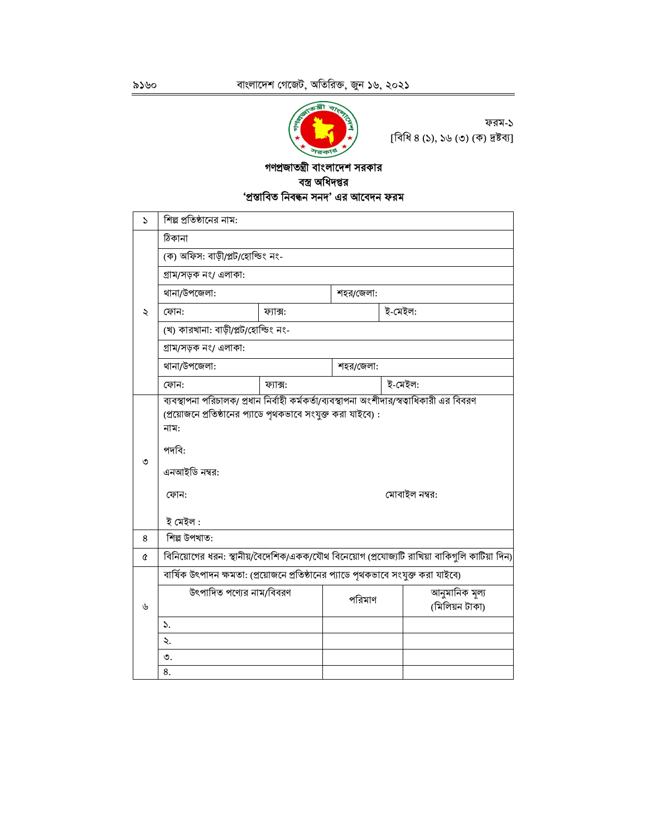

ফরম-১ [বিধি ৪ (১), ১৬ (৩) (ক) দ্রষ্টব্য]

### গণপ্রজাতন্ত্রী বাংলাদেশ সরকার বস্ত্র অধিদপ্তর 'প্ৰস্তাবিত নিবন্ধন সনদ' এর আবেদন ফরম

| 2 | শিল্প প্রতিষ্ঠানের নাম:                                                                                           |                                  |           |                                                                                                            |  |  |  |  |  |  |
|---|-------------------------------------------------------------------------------------------------------------------|----------------------------------|-----------|------------------------------------------------------------------------------------------------------------|--|--|--|--|--|--|
|   | ঠিকানা                                                                                                            |                                  |           |                                                                                                            |  |  |  |  |  |  |
|   |                                                                                                                   | (ক) অফিস: বাড়ী/প্লট/হোল্ডিং নং- |           |                                                                                                            |  |  |  |  |  |  |
|   | গ্ৰাম/সড়ক নং/ এলাকা:                                                                                             |                                  |           |                                                                                                            |  |  |  |  |  |  |
|   | থানা/উপজেলা:                                                                                                      |                                  | শহর/জেলা: |                                                                                                            |  |  |  |  |  |  |
| ২ | ফোন:                                                                                                              | ফ্যাক্স:                         |           | ই-মেইল:                                                                                                    |  |  |  |  |  |  |
|   | (খ) কারখানা: বাড়ী/প্লট/হোল্ডিং নং-                                                                               |                                  |           |                                                                                                            |  |  |  |  |  |  |
|   | গ্ৰাম/সড়ক নং/ এলাকা:                                                                                             |                                  |           |                                                                                                            |  |  |  |  |  |  |
|   | থানা/উপজেলা:                                                                                                      |                                  | শহর/জেলা: |                                                                                                            |  |  |  |  |  |  |
|   | ফোন:                                                                                                              | ফ্যাক্স:                         |           | ই-মেইল:                                                                                                    |  |  |  |  |  |  |
| ৩ | (প্রয়োজনে প্রতিষ্ঠানের প্যাডে পৃথকভাবে সংযুক্ত করা যাইবে):<br>নাম:<br>পদবি:<br>এনআইডি নম্বর:<br>ফোন:<br>ই মেইল : |                                  |           | ব্যবস্থাপনা পরিচালক/ প্রধান নির্বাহী কর্মকর্তা/ব্যবস্থাপনা অংশীদার/স্বত্বাধিকারী এর বিবরণ<br>মোবাইল নম্বর: |  |  |  |  |  |  |
| 8 | শিল্প উপখাত:                                                                                                      |                                  |           |                                                                                                            |  |  |  |  |  |  |
| Q |                                                                                                                   |                                  |           | বিনিয়োগের ধরন: স্থানীয়/বৈদেশিক/একক/যৌথ বিনেয়োগ (প্রযোজ্যটি রাখিয়া বাকিগুলি কাটিয়া দিন)                |  |  |  |  |  |  |
|   | বার্ষিক উৎপাদন ক্ষমতা: (প্রয়োজনে প্রতিষ্ঠানের প্যাডে পৃথকভাবে সংযুক্ত করা যাইবে)                                 |                                  |           |                                                                                                            |  |  |  |  |  |  |
| ৬ | উৎপাদিত পণ্যের নাম/বিবরণ                                                                                          |                                  | পরিমাণ    | আনুমানিক মূল্য<br>(মিলিয়ন টাকা)                                                                           |  |  |  |  |  |  |
|   | ১.                                                                                                                |                                  |           |                                                                                                            |  |  |  |  |  |  |
|   | ২.                                                                                                                |                                  |           |                                                                                                            |  |  |  |  |  |  |
|   | ৩.                                                                                                                |                                  |           |                                                                                                            |  |  |  |  |  |  |
|   | 8.                                                                                                                |                                  |           |                                                                                                            |  |  |  |  |  |  |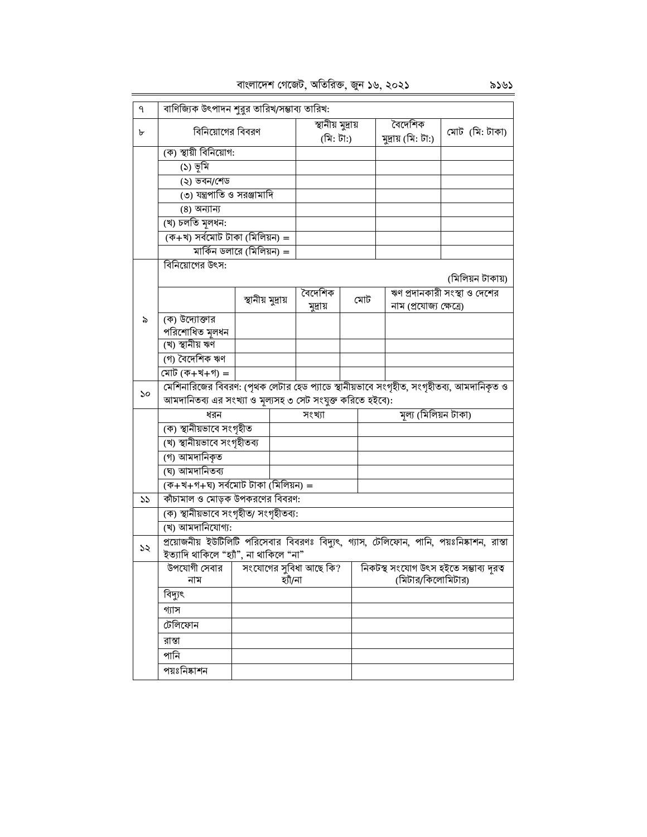| বাংলাদেশ গেজেট, অতিরিক্ত, জুন ১৬, ২০২১ |  |  |  |
|----------------------------------------|--|--|--|
|                                        |  |  |  |

| ٩  | বাণিজ্যিক উৎপাদন শুরুর তারিখ/সম্ভাব্য তারিখ:                                            |                           |         |                   |  |     |                         |                                                                                          |  |
|----|-----------------------------------------------------------------------------------------|---------------------------|---------|-------------------|--|-----|-------------------------|------------------------------------------------------------------------------------------|--|
| ৮  | বিনিয়োগের বিবরণ                                                                        |                           |         | স্থানীয় মুদ্ৰায় |  |     | বৈদেশিক                 | মোট (মি: টাকা)                                                                           |  |
|    |                                                                                         |                           |         | (মি: টা:)         |  |     | মুদ্ৰায় (মি: টা:)      |                                                                                          |  |
|    | (ক) স্থায়ী বিনিয়োগ:                                                                   |                           |         |                   |  |     |                         |                                                                                          |  |
|    | (১) ভূমি                                                                                |                           |         |                   |  |     |                         |                                                                                          |  |
|    | (২) ভবন/শেড                                                                             |                           |         |                   |  |     |                         |                                                                                          |  |
|    | ৩) যন্ত্রপাতি ও সরঞ্জামাদি                                                              |                           |         |                   |  |     |                         |                                                                                          |  |
|    | (8) অন্যান্য                                                                            |                           |         |                   |  |     |                         |                                                                                          |  |
|    | (খ) চলতি মলধন:                                                                          |                           |         |                   |  |     |                         |                                                                                          |  |
|    | (ক+খ) সৰ্বমোট টাকা (মিলিয়ন) =                                                          |                           |         |                   |  |     |                         |                                                                                          |  |
|    |                                                                                         | মার্কিন ডলারে (মিলিয়ন) = |         |                   |  |     |                         |                                                                                          |  |
|    | বিনিয়োগের উৎস:                                                                         |                           |         |                   |  |     |                         |                                                                                          |  |
|    |                                                                                         |                           |         |                   |  |     |                         | (মিলিয়ন টাকায়)                                                                         |  |
|    |                                                                                         | স্থানীয় মুদ্ৰায়         |         | বৈদেশিক           |  | মোট |                         | ঋণ প্রদানকারী সংস্থা ও দেশের                                                             |  |
|    |                                                                                         |                           |         | মুদ্ৰায়          |  |     | নাম (প্রযোজ্য ক্ষেত্রে) |                                                                                          |  |
| ৯  | (ক) উদ্যোক্তার                                                                          |                           |         |                   |  |     |                         |                                                                                          |  |
|    | পরিশোধিত মূলধন<br>(খ) স্থানীয় ঋণ                                                       |                           |         |                   |  |     |                         |                                                                                          |  |
|    | (গ) বৈদেশিক ঋণ                                                                          |                           |         |                   |  |     |                         |                                                                                          |  |
|    | <u>মোট (ক+খ+গ)</u> =                                                                    |                           |         |                   |  |     |                         |                                                                                          |  |
|    | মেশিনারিজের বিবরণ: (পৃথক লেটার হেড প্যাডে স্থানীয়ভাবে সংগৃহীত, সংগৃহীতব্য, আমদানিকৃত ও |                           |         |                   |  |     |                         |                                                                                          |  |
| ১০ | আমদানিতব্য এর সংখ্যা ও মূল্যসহ ৩ সেট সংযুক্ত করিতে হইবে):                               |                           |         |                   |  |     |                         |                                                                                          |  |
|    | ধরন                                                                                     |                           |         | সংখ্যা            |  |     | মূল্য (মিলিয়ন টাকা)    |                                                                                          |  |
|    | (ক) স্থানীয়ভাবে সংগৃহীত                                                                |                           |         |                   |  |     |                         |                                                                                          |  |
|    | (খ) স্থানীয়ভাবে সংগৃহীতব্য                                                             |                           |         |                   |  |     |                         |                                                                                          |  |
|    | (গ) আমদানিকৃত                                                                           |                           |         |                   |  |     |                         |                                                                                          |  |
|    | (ঘ) আমদানিতব্য                                                                          |                           |         |                   |  |     |                         |                                                                                          |  |
|    | (ক+খ+গ+ঘ) সৰ্বমোট টাকা (মিলিয়ন) =                                                      |                           |         |                   |  |     |                         |                                                                                          |  |
| 55 | কাঁচামাল ও মোড়ক উপকরণের বিবরণ:                                                         |                           |         |                   |  |     |                         |                                                                                          |  |
|    | (ক) স্থানীয়ভাবে সংগৃহীত/ সংগৃহীতব্য:                                                   |                           |         |                   |  |     |                         |                                                                                          |  |
|    | (খ) আমদানিযোগ্য:                                                                        |                           |         |                   |  |     |                         |                                                                                          |  |
|    |                                                                                         |                           |         |                   |  |     |                         | প্রয়োজনীয় ইউটিলিটি পরিসেবার বিবরণঃ বিদ্যুৎ, গ্যাস, টেলিফোন, পানি, পয়ঃনিষ্কাশন, রাস্তা |  |
| ১২ | ইত্যাদি থাকিলে "হ্যাঁ", না থাকিলে "না"                                                  |                           |         |                   |  |     |                         |                                                                                          |  |
|    | উপযোগী সেবার   সংযোগের সুবিধা আছে কি?                                                   |                           |         |                   |  |     |                         | নিকটস্থ সংযোগ উৎস হইতে সম্ভাব্য দূরত্ব                                                   |  |
|    | নাম                                                                                     |                           | হাঁঁ/না |                   |  |     | (মিটার/কিলোমিটার)       |                                                                                          |  |
|    | বিদ্যুৎ                                                                                 |                           |         |                   |  |     |                         |                                                                                          |  |
|    | গ্যাস                                                                                   |                           |         |                   |  |     |                         |                                                                                          |  |
|    | টেলিফোন                                                                                 |                           |         |                   |  |     |                         |                                                                                          |  |
|    | রাস্তা                                                                                  |                           |         |                   |  |     |                         |                                                                                          |  |
|    | পানি                                                                                    |                           |         |                   |  |     |                         |                                                                                          |  |
|    | পয়ঃনিষ্কাশন                                                                            |                           |         |                   |  |     |                         |                                                                                          |  |
|    |                                                                                         |                           |         |                   |  |     |                         |                                                                                          |  |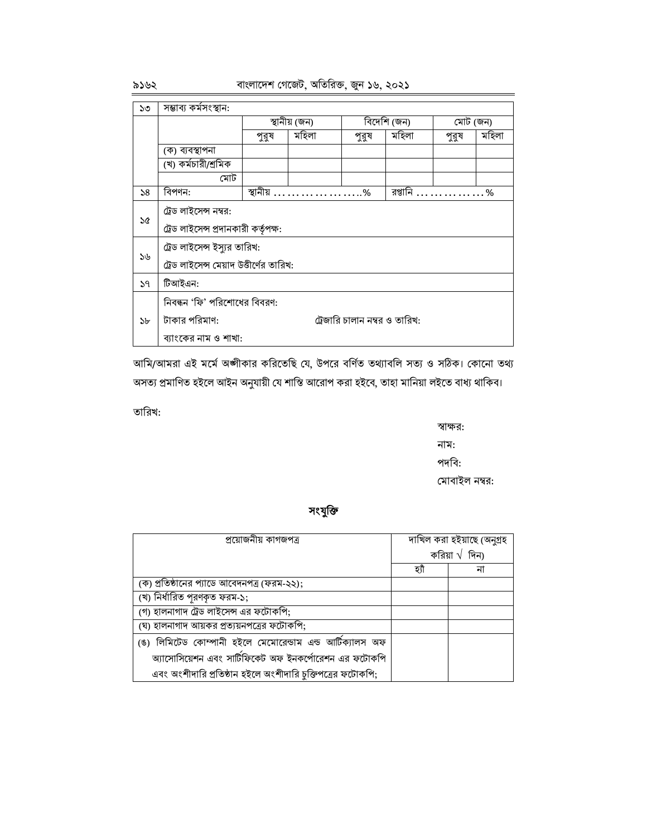বাংলাদেশ গেজেট, অতিরিক্ত, জুন ১৬, ২০২১

| ১৩ | সম্ভাব্য কর্মসংস্থান:                   |          |               |                               |             |          |       |  |  |  |  |
|----|-----------------------------------------|----------|---------------|-------------------------------|-------------|----------|-------|--|--|--|--|
|    |                                         |          | স্থানীয় (জন) |                               | বিদেশি (জন) | মোট (জন) |       |  |  |  |  |
|    |                                         | পুরুষ    | মহিলা         | পুরুষ                         | মহিলা       | পুরুষ    | মহিলা |  |  |  |  |
|    | (ক) ব্যবস্থাপনা                         |          |               |                               |             |          |       |  |  |  |  |
|    | (খ) কর্মচারী/শ্রমিক                     |          |               |                               |             |          |       |  |  |  |  |
|    | মোট                                     |          |               |                               |             |          |       |  |  |  |  |
| 58 | বিপণন:                                  | স্থানীয় | .             | $\ldots\%$                    | রপ্তানি     | .        | %     |  |  |  |  |
|    | ট্রেড লাইসেন্স নম্বর:                   |          |               |                               |             |          |       |  |  |  |  |
| ১৫ | ট্রেড লাইসেন্স প্রদানকারী কর্তৃপক্ষ:    |          |               |                               |             |          |       |  |  |  |  |
|    | ট্রেড লাইসেন্স ইস্যুর তারিখ:            |          |               |                               |             |          |       |  |  |  |  |
| ১৬ | ট্রেড লাইসেন্স মেয়াদ উত্তীর্ণের তারিখ: |          |               |                               |             |          |       |  |  |  |  |
| 59 | টিআইএন:                                 |          |               |                               |             |          |       |  |  |  |  |
|    | নিবন্ধন 'ফি' পরিশোধের বিবরণ:            |          |               |                               |             |          |       |  |  |  |  |
| ১৮ | টাকার পরিমাণ:                           |          |               | ট্রেজারি চালান নম্বর ও তারিখ: |             |          |       |  |  |  |  |
|    | ব্যাংকের নাম ও শাখা:                    |          |               |                               |             |          |       |  |  |  |  |

আমি/আমরা এই মর্মে অঙ্গীকার করিতেছি যে, উপরে বর্ণিত তথ্যাবলি সত্য ও সঠিক। কোনো তথ্য অসত্য প্রমাণিত হইলে আইন অনুযায়ী যে শাস্তি আরোপ করা হইবে, তাহা মানিয়া লইতে বাধ্য থাকিব।

তারিখ:

স্বাক্ষর: নাম: পদবি: মোবাইল নম্বর:

সংযুক্তি

| প্রয়োজনীয় কাগজপত্র                                       |      | দাখিল করা হইয়াছে (অনুগ্রহ |
|------------------------------------------------------------|------|----------------------------|
|                                                            |      | করিয়া $\sqrt{6}$ দিন)     |
|                                                            | হ্যা | না                         |
| (ক) প্রতিষ্ঠানের প্যাডে আবেদনপত্র (ফরম-২২);                |      |                            |
| (খ) নিৰ্ধারিত পূরণকৃত ফরম-১;                               |      |                            |
| (গ) হালনাগাদ ট্রেড লাইসেন্স এর ফটোকপি;                     |      |                            |
| (ঘ) হালনাগাদ আয়কর প্রত্যয়নপত্রের ফটোকপি;                 |      |                            |
| (ঙ) লিমিটেড কোম্পানী হইলে মেমোরেন্ডাম এন্ড আটিক্যালস অফ    |      |                            |
| অ্যাসোসিয়েশন এবং সার্টিফিকেট অফ ইনকর্পোরেশন এর ফটোকপি     |      |                            |
| এবং অংশীদারি প্রতিষ্ঠান হইলে অংশীদারি চুক্তিপত্রের ফটোকপি; |      |                            |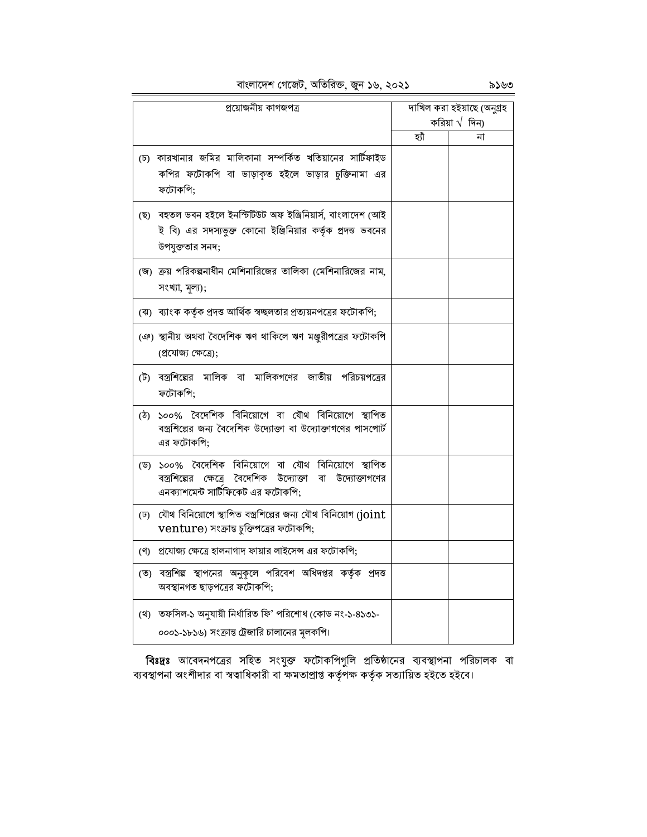বাংলাদেশ গেজেট, অতিরিক্ত, জুন ১৬, ২০২১

|     | প্ৰয়োজনীয় কাগজপত্ৰ                                                                                                                                    |     | দাখিল করা হইয়াছে (অনুগ্রহ |
|-----|---------------------------------------------------------------------------------------------------------------------------------------------------------|-----|----------------------------|
|     |                                                                                                                                                         |     | করিয়া $\sqrt{6}$ দিন)     |
|     |                                                                                                                                                         | হাঁ | না                         |
|     | (চ) কারখানার জমির মালিকানা সম্পর্কিত খতিয়ানের সার্টিফাইড<br>কপির ফটোকপি বা ভাড়াকৃত হইলে ভাড়ার চুক্তিনামা এর<br>ফটোকপি;                               |     |                            |
|     | (ছ) বহুতল ভবন হইলে ইনস্টিটিউট অফ ইঞ্জিনিয়াৰ্স, বাংলাদেশ (আই<br>ই বি) এর সদস্যভুক্ত কোনো ইঞ্জিনিয়ার কর্তৃক প্রদত্ত ভবনের<br>উপযুক্ততার সনদ;            |     |                            |
|     | জে) ক্রয় পরিকল্পনাধীন মেশিনারিজের তালিকা (মেশিনারিজের নাম,<br>$H(\mathcal{A}, \mathcal{A})$ ,                                                          |     |                            |
|     | (ঝ) ব্যাংক কর্তৃক প্রদত্ত আর্থিক স্বচ্ছলতার প্রত্যয়নপত্রের ফটোকপি;                                                                                     |     |                            |
|     | (ঞ) স্থানীয় অথবা বৈদেশিক ঋণ থাকিলে ঋণ মঞ্জুরীপত্রের ফটোকপি<br>(প্ৰযোজ্য ক্ষেত্ৰে);                                                                     |     |                            |
|     | (ট) বস্ত্রশিল্পের মালিক বা মালিকগণের জাতীয় পরিচয়পত্রের<br>ফটোকপি;                                                                                     |     |                            |
| (ঠ) | ১০০% বৈদেশিক বিনিয়োগে বা যৌথ বিনিয়োগে স্থাপিত<br>বস্ত্রশিল্পের জন্য বৈদেশিক উদ্যোক্তা বা উদ্যোক্তাগণের পাসপোর্ট<br>এর ফটোকপি:                         |     |                            |
|     | (ড) ১০০% বৈদেশিক বিনিয়োগে বা যৌথ বিনিয়োগে স্থাপিত<br>বস্ত্রশিল্পের ক্ষেত্রে বৈদেশিক উদ্যোক্তা বা উদ্যোক্তাগণের<br>এনক্যাশমেন্ট সার্টিফিকেট এর ফটোকপি; |     |                            |
|     | (ঢ) যৌথ বিনিয়োগে স্থাপিত বস্ত্রশিল্পের জন্য যৌথ বিনিয়োগ (joint<br>venture) সংক্রান্ত চুক্তিপত্রের ফটোকপি;                                             |     |                            |
|     | (ণ) প্রযোজ্য ক্ষেত্রে হালনাগাদ ফায়ার লাইসেন্স এর ফটোকপি;                                                                                               |     |                            |
|     | (ত) বস্ত্রশিল্প স্থাপনের অনুকূলে পরিবেশ অধিদপ্তর কর্তৃক প্রদত্ত<br>অবস্থানগত ছাড়পত্রের ফটোকপি;                                                         |     |                            |
|     | (থ) তফসিল-১ অনুযায়ী নির্ধারিত ফি' পরিশোধ (কোড নং-১-৪১৩১-<br>০০০১-১৮১৬) সংক্রান্ত ট্রেজারি চালানের মূলকপি।                                              |     |                            |

**বিঃদ্রঃ** আবেদনপত্রের সহিত সংযুক্ত ফটোকপিগুলি প্রতিষ্ঠানের ব্যবস্থাপনা পরিচালক বা<br>ব্যবস্থাপনা অংশীদার বা স্বত্বাধিকারী বা ক্ষমতাপ্রাপ্ত কর্তৃপক্ষ কর্তৃক সত্যায়িত হইতে হইবে।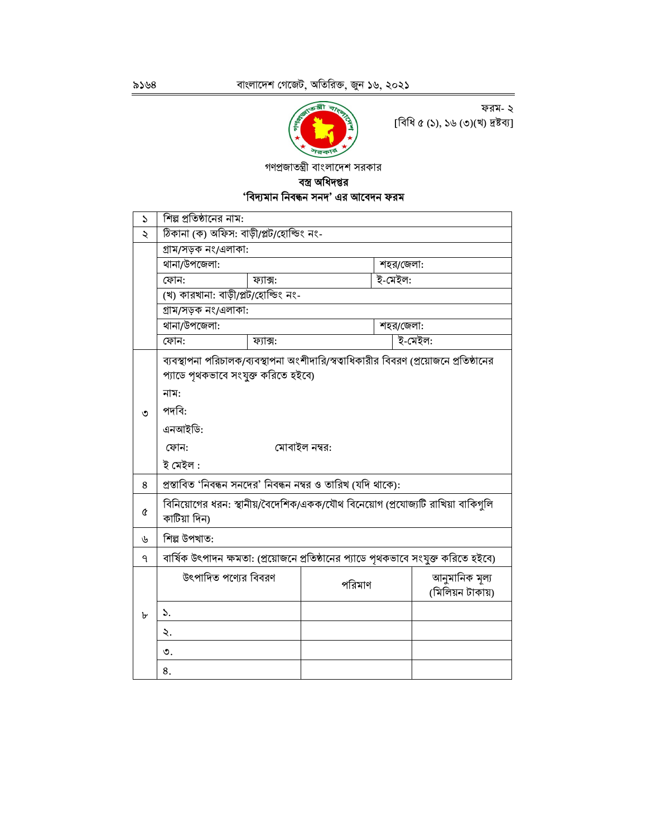

ফরম- ২  $[$ বিধি ৫ (১), ১৬ (৩)(খ) দ্রষ্টব্য]

গণপ্রজাতন্ত্রী বাংলাদেশ সরকার

## বস্ত্র অধিদপ্তর 'বিদ্যমান নিবন্ধন সনদ' এর আবেদন ফরম

| $\mathcal{L}$ | শিল্প প্রতিষ্ঠানের নাম:                                                                        |          |        |           |                  |  |  |  |  |  |
|---------------|------------------------------------------------------------------------------------------------|----------|--------|-----------|------------------|--|--|--|--|--|
| ২             | ঠিকানা (ক) অফিস: বাড়ী/প্লট/হোল্ডিং নং-                                                        |          |        |           |                  |  |  |  |  |  |
|               | গ্ৰাম/সড়ক নং/এলাকা:                                                                           |          |        |           |                  |  |  |  |  |  |
|               | থানা/উপজেলা:<br>শহর/জেলা:                                                                      |          |        |           |                  |  |  |  |  |  |
|               | ই-মেইল:<br>ফোন:<br>ফ্যাক্স:                                                                    |          |        |           |                  |  |  |  |  |  |
|               | (খ) কারখানা: বাড়ী/প্লট/হোল্ডিং নং-                                                            |          |        |           |                  |  |  |  |  |  |
|               | গ্ৰাম/সড়ক নং/এলাকা:                                                                           |          |        |           |                  |  |  |  |  |  |
|               | থানা/উপজেলা:                                                                                   |          |        | শহর/জেলা: |                  |  |  |  |  |  |
|               | ফোন:                                                                                           | ফ্যাক্স: |        |           | ই-মেইল:          |  |  |  |  |  |
|               | ব্যবস্থাপনা পরিচালক/ব্যবস্থাপনা অংশীদারি/স্বত্বাধিকারীর বিবরণ (প্রয়োজনে প্রতিষ্ঠানের          |          |        |           |                  |  |  |  |  |  |
|               | প্যাডে পৃথকভাবে সংযুক্ত করিতে হইবে)                                                            |          |        |           |                  |  |  |  |  |  |
|               | নাম:                                                                                           |          |        |           |                  |  |  |  |  |  |
| ৩             | পদবি:                                                                                          |          |        |           |                  |  |  |  |  |  |
|               | এনআইডি:                                                                                        |          |        |           |                  |  |  |  |  |  |
|               | মোবাইল নম্বর:<br>ফোন:                                                                          |          |        |           |                  |  |  |  |  |  |
|               | ই মেইল :                                                                                       |          |        |           |                  |  |  |  |  |  |
| 8             | প্রস্তাবিত 'নিবন্ধন সনদের' নিবন্ধন নম্বর ও তারিখ (যদি থাকে):                                   |          |        |           |                  |  |  |  |  |  |
|               |                                                                                                |          |        |           |                  |  |  |  |  |  |
| Q             | বিনিয়োগের ধরন: স্থানীয়/বৈদেশিক/একক/যৌথ বিনেয়োগ (প্রযোজ্যটি রাখিয়া বাকিগুলি<br>কাটিয়া দিন) |          |        |           |                  |  |  |  |  |  |
| ৬             | শিল্প উপখাত:                                                                                   |          |        |           |                  |  |  |  |  |  |
| ٩             | বার্ষিক উৎপাদন ক্ষমতা: (প্রয়োজনে প্রতিষ্ঠানের প্যাডে পৃথকভাবে সংযুক্ত করিতে হইবে)             |          |        |           |                  |  |  |  |  |  |
|               | উৎপাদিত পণ্যের বিবরণ                                                                           |          |        |           | আনুমানিক মূল্য   |  |  |  |  |  |
|               |                                                                                                |          | পরিমাণ |           | (মিলিয়ন টাকায়) |  |  |  |  |  |
| ৮             | ۵.                                                                                             |          |        |           |                  |  |  |  |  |  |
|               | ২.                                                                                             |          |        |           |                  |  |  |  |  |  |
|               | ৩.                                                                                             |          |        |           |                  |  |  |  |  |  |
|               | 8.                                                                                             |          |        |           |                  |  |  |  |  |  |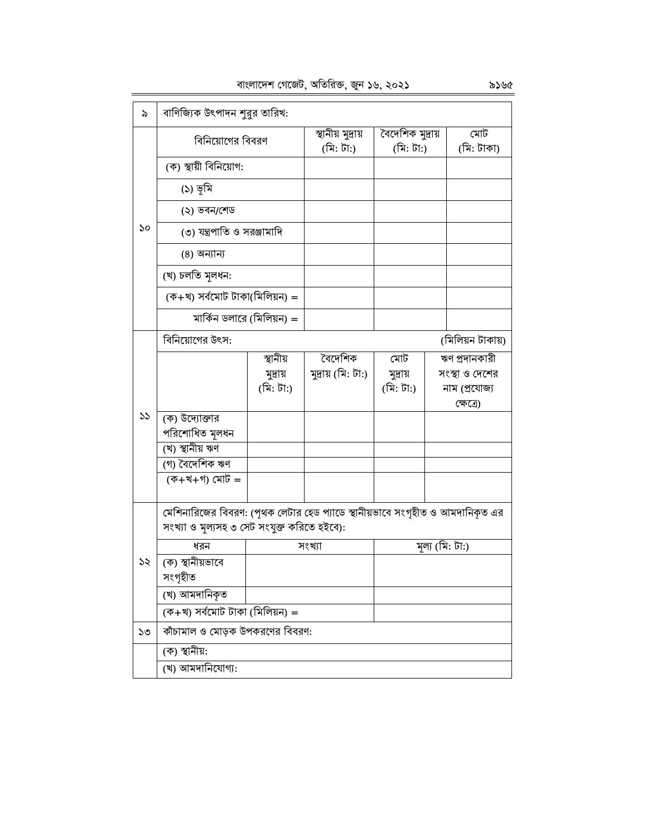| বাংলাদেশ গেজেট, অতিরিক্ত, জুন ১৬, ২০২১ |  |  |  |
|----------------------------------------|--|--|--|

| ৯  | বাণিজ্যিক উৎপাদন শুরুর তারিখ:                                                 |           |                                |                               |  |                   |  |  |  |
|----|-------------------------------------------------------------------------------|-----------|--------------------------------|-------------------------------|--|-------------------|--|--|--|
|    | বিনিয়োগের বিবরণ                                                              |           | স্থানীয় মুদ্রায়<br>(মি: টা:) | বৈদেশিক মুদ্রায়<br>(মি: টা:) |  | মোট<br>(মি: টাকা) |  |  |  |
|    | (ক) স্থায়ী বিনিয়োগ:                                                         |           |                                |                               |  |                   |  |  |  |
|    | (১) ভূমি                                                                      |           |                                |                               |  |                   |  |  |  |
|    | (২) ভবন/শেড                                                                   |           |                                |                               |  |                   |  |  |  |
| ১০ | (৩) যন্ত্রপাতি ও সরঞ্জামাদি                                                   |           |                                |                               |  |                   |  |  |  |
|    | (8) অন্যান্য                                                                  |           |                                |                               |  |                   |  |  |  |
|    | (খ) চলতি মূলধন:                                                               |           |                                |                               |  |                   |  |  |  |
|    | (ক+খ) সৰ্বমোট টাকা(মিলিয়ন) =                                                 |           |                                |                               |  |                   |  |  |  |
|    | মার্কিন ডলারে (মিলিয়ন) =                                                     |           |                                |                               |  |                   |  |  |  |
|    | বিনিয়োগের উৎস:                                                               |           |                                |                               |  | (মিলিয়ন টাকায়)  |  |  |  |
|    |                                                                               | স্থানীয়  | বৈদেশিক                        | মোট                           |  | ঋণ প্রদানকারী     |  |  |  |
|    |                                                                               | মুদ্ৰায়  | মুদ্ৰায় (মি: টা:)             | মুদ্ৰায়                      |  | সংস্থা ও দেশের    |  |  |  |
|    |                                                                               | (মি: টা:) |                                | (মি: টা:)                     |  | নাম (প্ৰযোজ্য     |  |  |  |
|    |                                                                               |           |                                |                               |  | ক্ষেত্ৰে)         |  |  |  |
| 55 | (ক) উদ্যোক্তার                                                                |           |                                |                               |  |                   |  |  |  |
|    | পরিশোধিত মূলধন                                                                |           |                                |                               |  |                   |  |  |  |
|    | (খ) স্থানীয় ঋণ                                                               |           |                                |                               |  |                   |  |  |  |
|    | (গ) বৈদেশিক ঋণ                                                                |           |                                |                               |  |                   |  |  |  |
|    | (ক+খ+গ) মোট =                                                                 |           |                                |                               |  |                   |  |  |  |
|    |                                                                               |           |                                |                               |  |                   |  |  |  |
|    | মেশিনারিজের বিবরণ: (পৃথক লেটার হেড প্যাডে স্থানীয়ভাবে সংগৃহীত ও আমদানিকৃত এর |           |                                |                               |  |                   |  |  |  |
|    | সংখ্যা ও মূল্যসহ ৩ সেট সংযুক্ত করিতে হইবে):                                   |           |                                |                               |  |                   |  |  |  |
|    | ধরন                                                                           |           | সংখ্যা                         |                               |  | মূল্য (মি: টা:)   |  |  |  |
| ১২ | (ক) স্থানীয়ভাবে                                                              |           |                                |                               |  |                   |  |  |  |
|    | সংগৃহীত                                                                       |           |                                |                               |  |                   |  |  |  |
|    | (খ) আমদানিকৃত                                                                 |           |                                |                               |  |                   |  |  |  |
|    | $($ ক+খ) সৰ্বমোট টাকা (মিলিয়ন) =                                             |           |                                |                               |  |                   |  |  |  |
| ১৩ | কাঁচামাল ও মোড়ক উপকরণের বিবরণ:                                               |           |                                |                               |  |                   |  |  |  |
|    | (ক) স্থানীয়:                                                                 |           |                                |                               |  |                   |  |  |  |
|    | (খ) আমদানিযোগ্য:                                                              |           |                                |                               |  |                   |  |  |  |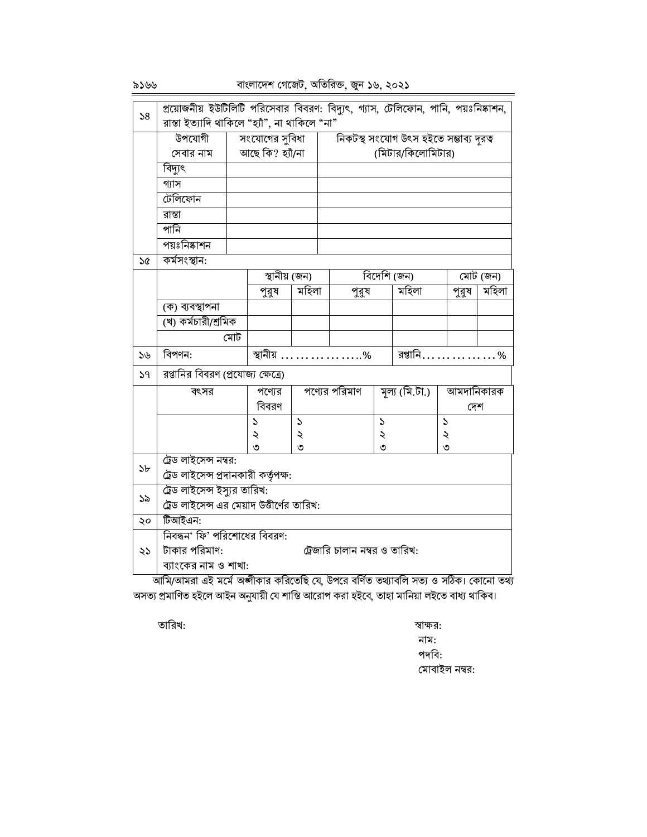# বাংলাদেশ গেজেট, অতিরিক্ত, জুন ১৬, ২০২১

| 58             | প্রয়োজনীয় ইউটিলিটি পরিসেবার বিবরণ: বিদ্যুৎ, গ্যাস, টেলিফোন, পানি, পয়ঃনিষ্কাশন, |     |                  |                                                                          |                                        |                               |                |             |               |       |          |
|----------------|-----------------------------------------------------------------------------------|-----|------------------|--------------------------------------------------------------------------|----------------------------------------|-------------------------------|----------------|-------------|---------------|-------|----------|
|                | রাস্তা ইত্যাদি থাকিলে "হ্যাঁ", না থাকিলে "না"                                     |     |                  |                                                                          |                                        |                               |                |             |               |       |          |
|                | উপযোগী                                                                            |     | সংযোগের সুবিধা   |                                                                          | নিকটস্থ সংযোগ উৎস হইতে সম্ভাব্য দূরত্ব |                               |                |             |               |       |          |
|                | সেবার নাম                                                                         |     | আছে কি? হ্যাঁ/না |                                                                          | (মিটার/কিলোমিটার)                      |                               |                |             |               |       |          |
|                | বিদ্যুৎ                                                                           |     |                  |                                                                          |                                        |                               |                |             |               |       |          |
|                | গ্যাস                                                                             |     |                  |                                                                          |                                        |                               |                |             |               |       |          |
|                | টেলিফোন                                                                           |     |                  |                                                                          |                                        |                               |                |             |               |       |          |
|                | রাস্তা                                                                            |     |                  |                                                                          |                                        |                               |                |             |               |       |          |
|                | পানি                                                                              |     |                  |                                                                          |                                        |                               |                |             |               |       |          |
|                | পয়ঃনিষ্কাশন                                                                      |     |                  |                                                                          |                                        |                               |                |             |               |       |          |
| $\delta$       | কৰ্মসংস্থান:                                                                      |     |                  |                                                                          |                                        |                               |                |             |               |       |          |
|                |                                                                                   |     | স্থানীয় (জন)    |                                                                          |                                        |                               |                | বিদেশি (জন) |               |       | মোট (জন) |
|                |                                                                                   |     | পুরুষ            | মহিলা                                                                    |                                        | পুরুষ                         |                | মহিলা       |               | পুরুষ | মহিলা    |
|                | (ক) ব্যবস্থাপনা                                                                   |     |                  |                                                                          |                                        |                               |                |             |               |       |          |
|                | (খ) কৰ্মচারী/শ্রমিক                                                               |     |                  |                                                                          |                                        |                               |                |             |               |       |          |
|                |                                                                                   | মোট |                  |                                                                          |                                        |                               |                |             |               |       |          |
| 56             | বিপণন:                                                                            |     |                  |                                                                          | স্থানীয়     %                         |                               | রপ্তানি………………% |             |               |       |          |
| 59             | রপ্তানির বিবরণ (প্রযোজ্য ক্ষেত্রে)                                                |     |                  |                                                                          |                                        |                               |                |             |               |       |          |
|                | বৎসর                                                                              |     | পণ্যের           | পণ্যের পরিমাণ<br>মূল্য $(\overline{\mathcal{A}},\overline{\mathcal{G}})$ |                                        |                               | আমদানিকারক     |             |               |       |          |
|                |                                                                                   |     | বিবরণ            |                                                                          |                                        |                               |                |             |               | দেশ   |          |
|                |                                                                                   |     | S                | $\mathcal{L}$                                                            |                                        |                               | $\mathcal{L}$  |             | $\mathcal{L}$ |       |          |
|                |                                                                                   |     | ২                | ২                                                                        |                                        |                               | ২              |             | ২             |       |          |
|                | ট্রেড লাইসেন্স নম্বর:                                                             |     | ৩                | ৩                                                                        |                                        |                               | ৩              |             | ৩             |       |          |
| 5 <sub>b</sub> | ট্রেড লাইসেন্স প্রদানকারী কর্তৃপক্ষ:                                              |     |                  |                                                                          |                                        |                               |                |             |               |       |          |
|                | ট্রেড লাইসেন্স ইস্যুর তারিখ:                                                      |     |                  |                                                                          |                                        |                               |                |             |               |       |          |
| ১৯             | ট্রেড লাইসেন্স এর মেয়াদ উত্তীর্ণের তারিখ:                                        |     |                  |                                                                          |                                        |                               |                |             |               |       |          |
| ২০             | টিআইএন:                                                                           |     |                  |                                                                          |                                        |                               |                |             |               |       |          |
|                | নিবন্ধন' ফি' পরিশোধের বিবরণ:                                                      |     |                  |                                                                          |                                        |                               |                |             |               |       |          |
| ২১             | টাকার পরিমাণ:                                                                     |     |                  |                                                                          |                                        | ট্রেজারি চালান নম্বর ও তারিখ: |                |             |               |       |          |
|                | ব্যাংকের নাম ও শাখা:                                                              |     |                  |                                                                          |                                        |                               |                |             |               |       |          |
|                |                                                                                   |     |                  |                                                                          |                                        |                               |                |             |               |       |          |

অসত্য প্রমাণিত হইলে আইন অনুযায়ী যে শাস্তি আরোপ করা হইবে, তাহা মানিয়া লইতে বাধ্য থাকিব।

তারিখ:

স্বাক্ষর: নাম: পদবি: মোবাইল নম্বর: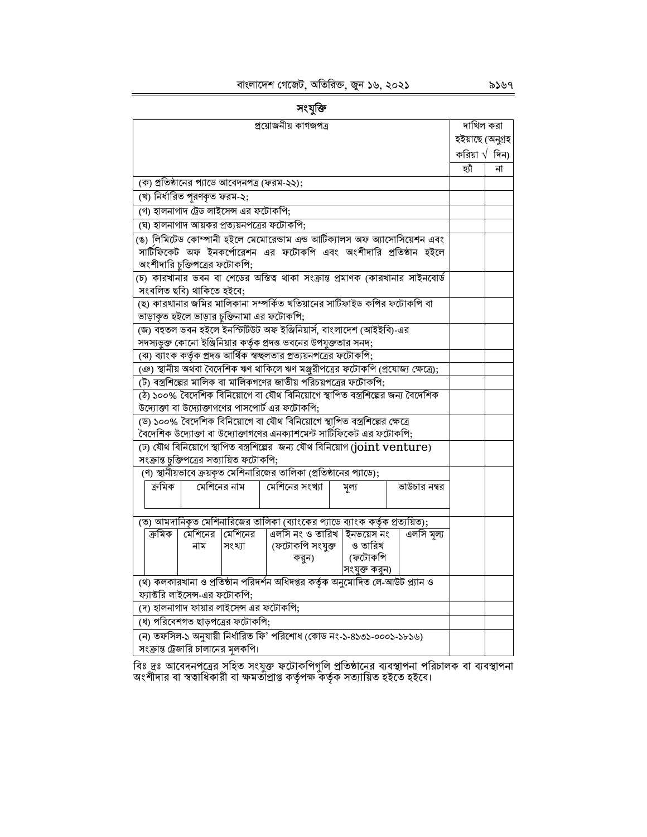| Ł.<br>u<br>٠<br>r |
|-------------------|
|                   |

| প্রয়োজনীয় কাগজপত্র                                                             | দাখিল করা              |    |
|----------------------------------------------------------------------------------|------------------------|----|
|                                                                                  | হইয়াছে (অনুগ্ৰহ       |    |
|                                                                                  | করিয়া $\sqrt{6}$ দিন) |    |
|                                                                                  | হ্যাঁ                  | না |
| (ক) প্রতিষ্ঠানের প্যাডে আবেদনপত্র (ফরম-২২);                                      |                        |    |
| (খ) নিৰ্ধারিত পূরণকৃত ফরম-২;                                                     |                        |    |
| (গ) হালনাগাদ ট্রেড লাইসেন্স এর ফটোকপি;                                           |                        |    |
| (ঘ) হালনাগাদ আয়কর প্রত্যয়নপত্রের ফটোকপি;                                       |                        |    |
| (ঙ) লিমিটেড কোম্পানী হইলে মেমোরেন্ডাম এন্ড আর্টিক্যালস অফ অ্যাসোসিয়েশন এবং      |                        |    |
| সার্টিফিকেট অফ ইনকর্পোরেশন এর ফটোকপি এবং অংশীদারি প্রতিষ্ঠান হইলে                |                        |    |
| অংশীদারি চুক্তিপত্রের ফটোকপি;                                                    |                        |    |
| (চ) কারখানার ভবন বা শেডের অস্তিত্ব থাকা সংক্রান্ত প্রমাণক (কারখানার সাইনবোর্ড    |                        |    |
| সংবলিত ছবি) থাকিতে হইবে;                                                         |                        |    |
| (ছ) কারখানার জমির মালিকানা সম্পর্কিত খতিয়ানের সাটিফাইড কপির ফটোকপি বা           |                        |    |
| ভাড়াকৃত হইলে ভাড়ার চুক্তিনামা এর ফটোকপি;                                       |                        |    |
| (জ) বহুতল ভবন হইলে ইনস্টিটিউট অফ ইঞ্জিনিয়ার্স, বাংলাদেশ (আইইবি)-এর              |                        |    |
| সদস্যভুক্ত কোনো ইঞ্জিনিয়ার কর্তৃক প্রদত্ত ভবনের উপযুক্ততার সনদ;                 |                        |    |
| (ঝ) ব্যাংক কর্তৃক প্রদত্ত আর্থিক স্বচ্ছলতার প্রত্যয়নপত্রের ফটোকপি;              |                        |    |
| (ঞ) স্থানীয় অথবা বৈদেশিক ঋণ থাকিলে ঋণ মঞ্জুরীপত্রের ফটোকপি (প্রযোজ্য ক্ষেত্রে); |                        |    |
| (ট) বস্ত্রশিল্পের মালিক বা মালিকগণের জাতীয় পরিচয়পত্রের ফটোকপি;                 |                        |    |
| (ঠ) ১০০% বৈদেশিক বিনিয়োগে বা যৌথ বিনিয়োগে স্থাপিত বস্ত্রশিল্পের জন্য বৈদেশিক   |                        |    |
| উদ্যোক্তা বা উদ্যোক্তাগণের পাসপোর্ট এর ফটোকপি;                                   |                        |    |
| (ড) ১০০% বৈদেশিক বিনিয়োগে বা যৌথ বিনিয়োগে স্থাপিত বস্ত্রশিল্পের ক্ষেত্রে       |                        |    |
| বৈদেশিক উদ্যোক্তা বা উদ্যোক্তাগণের এনক্যাশমেন্ট সার্টিফিকেট এর ফটোকপি;           |                        |    |
| (ঢ) যৌথ বিনিয়োগে স্থাপিত বস্ত্রশিল্পের  জন্য যৌথ বিনিয়োগ (joint venture)       |                        |    |
| সংক্রান্ত চুক্তিপত্রের সত্যায়িত ফটোকপি;                                         |                        |    |
| (ণ) স্থানীয়ভাবে ক্রয়কৃত মেশিনারিজের তালিকা (প্রতিষ্ঠানের প্যাডে);              |                        |    |
| মেশিনের নাম<br>মেশিনের সংখ্যা<br>ক্ৰমিক<br>ভাউচার নম্বর<br>মূল্য                 |                        |    |
|                                                                                  |                        |    |
| (ত) আমদানিকৃত মেশিনারিজের তালিকা (ব্যাংকের প্যাডে ব্যাংক কর্তৃক প্রত্যয়িত);     |                        |    |
| এলসি নং ও তারিখ   ইনভয়েস নং<br>এলসি মূল্য<br>ক্ৰমিক<br>মেশিনের<br>মেশিনের       |                        |    |
| নাম<br>সংখ্যা                                                                    |                        |    |
| করুন)                                                                            |                        |    |
| সংযুক্ত করুন)                                                                    |                        |    |
| (থ) কলকারখানা ও প্রতিষ্ঠান পরিদর্শন অধিদপ্তর কর্তৃক অনুমোদিত লে-আউট প্ল্যান ও    |                        |    |
| ফ্যাক্টরি লাইসেন্স-এর ফটোকপি;                                                    |                        |    |
| (দ) হালনাগাদ ফায়ার লাইসেন্স এর ফটোকপি:                                          |                        |    |
| (ধ) পরিবেশগত ছাড়পত্রের ফটোকপি;                                                  |                        |    |
| (ন) তফসিল-১ অনুযায়ী নির্ধারিত ফি' পরিশোধ (কোড নং-১-৪১৩১-০০০১-১৮১৬)              |                        |    |
| সংক্রান্ত ট্রেজারি চালানের মলকপি।                                                |                        |    |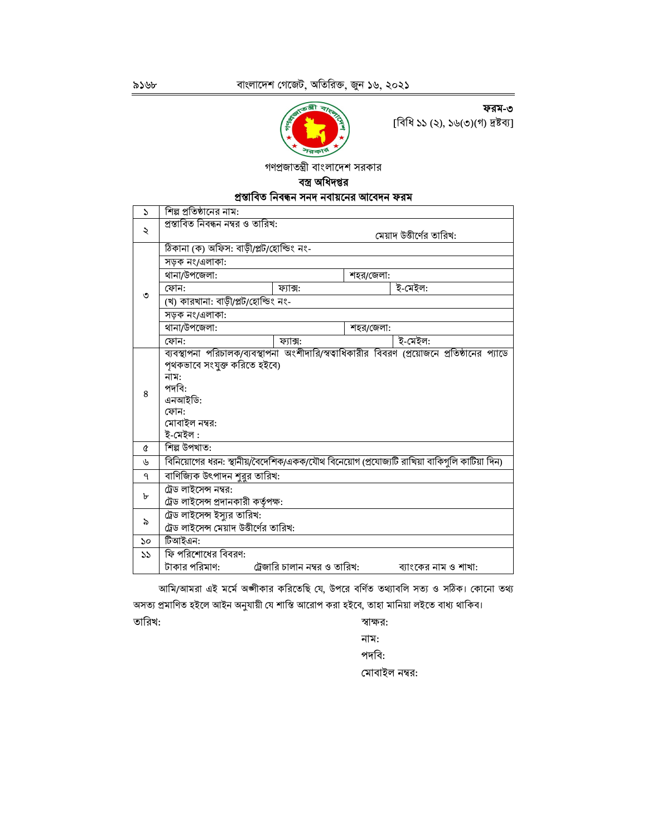ফরম-৩

[বিধি ১১ (২), ১৬(৩)(গ) দ্রষ্টব্য]



গণপ্রজাতন্ত্রী বাংলাদেশ সরকার

#### বস্ত্র অধিদপ্তর

| প্ৰস্তাবিত নিবন্ধন সনদ নবায়নের আবেদন ফরম |  |
|-------------------------------------------|--|
|-------------------------------------------|--|

| S  | শিল্প প্রতিষ্ঠানের নাম:                 |                               |           |                                                                                              |  |  |  |  |
|----|-----------------------------------------|-------------------------------|-----------|----------------------------------------------------------------------------------------------|--|--|--|--|
| ২  | প্ৰস্তাবিত নিবন্ধন নম্বর ও তারিখ:       |                               |           |                                                                                              |  |  |  |  |
|    | মেয়াদ উত্তীর্ণের তারিখ:                |                               |           |                                                                                              |  |  |  |  |
|    | ঠিকানা (ক) অফিস: বাড়ী/প্লট/হোল্ডিং নং- |                               |           |                                                                                              |  |  |  |  |
|    | সড়ক নং/এলাকা:                          |                               |           |                                                                                              |  |  |  |  |
|    | থানা/উপজেলা:                            |                               | শহর/জেলা: |                                                                                              |  |  |  |  |
| ৩  | ফোন:                                    | ফ্যাক্স:                      |           | ই-মেইল:                                                                                      |  |  |  |  |
|    | (খ) কারখানা: বাড়ী/প্লট/হোল্ডিং নং-     |                               |           |                                                                                              |  |  |  |  |
|    | সড়ক নং/এলাকা:                          |                               |           |                                                                                              |  |  |  |  |
|    | থানা/উপজেলা:                            |                               | শহর/জেলা: |                                                                                              |  |  |  |  |
|    | ফোন:                                    | ফ্যাক্স:                      |           | ই-মেইল:                                                                                      |  |  |  |  |
|    |                                         |                               |           | ব্যবস্থাপনা পরিচালক/ব্যবস্থাপনা অংশীদারি/স্বত্বাধিকারীর বিবরণ (প্রয়োজনে প্রতিষ্ঠানের প্যাডে |  |  |  |  |
|    | পৃথকভাবে সংযুক্ত করিতে হইবে)            |                               |           |                                                                                              |  |  |  |  |
|    | নাম:                                    |                               |           |                                                                                              |  |  |  |  |
| 8  | পদবি:                                   |                               |           |                                                                                              |  |  |  |  |
|    | এনআইডি:<br>ফোন:                         |                               |           |                                                                                              |  |  |  |  |
|    | মোবাইল নম্বর:                           |                               |           |                                                                                              |  |  |  |  |
|    | ই-মেইল :                                |                               |           |                                                                                              |  |  |  |  |
| Q  | শিল্প উপখাত:                            |                               |           |                                                                                              |  |  |  |  |
| ৬  |                                         |                               |           | বিনিয়োগের ধরন: স্থানীয়/বৈদেশিক/একক/যৌথ বিনেয়োগ (প্রযোজ্যটি রাখিয়া বাকিগুলি কাটিয়া দিন)  |  |  |  |  |
| ٩  | বাণিজ্যিক উৎপাদন শুরুর তারিখ:           |                               |           |                                                                                              |  |  |  |  |
|    | ট্রেড লাইসেন্স নম্বর:                   |                               |           |                                                                                              |  |  |  |  |
| ৮  | ট্রেড লাইসেন্স প্রদানকারী কর্তৃপক্ষ:    |                               |           |                                                                                              |  |  |  |  |
|    | ট্রেড লাইসেন্স ইস্যুর তারিখ:            |                               |           |                                                                                              |  |  |  |  |
| ৯  | ট্রেড লাইসেন্স মেয়াদ উত্তীর্ণের তারিখ: |                               |           |                                                                                              |  |  |  |  |
| ১০ | টিআইএন:                                 |                               |           |                                                                                              |  |  |  |  |
| 55 | ফি পরিশোধের বিবরণ:                      |                               |           |                                                                                              |  |  |  |  |
|    | টাকার পরিমাণ:                           | ট্রেজারি চালান নম্বর ও তারিখ: |           | ব্যাংকের নাম ও শাখা:                                                                         |  |  |  |  |

আমি/আমরা এই মর্মে অঙ্গীকার করিতেছি যে, উপরে বর্ণিত তথ্যাবলি সত্য ও সঠিক। কোনো তথ্য অসত্য প্রমাণিত হইলে আইন অনুযায়ী যে শাস্তি আরোপ করা হইবে, তাহা মানিয়া লইতে বাধ্য থাকিব।

তারিখ:

# স্বাক্ষর:

নাম: পদবি: মোবাইল নম্বর: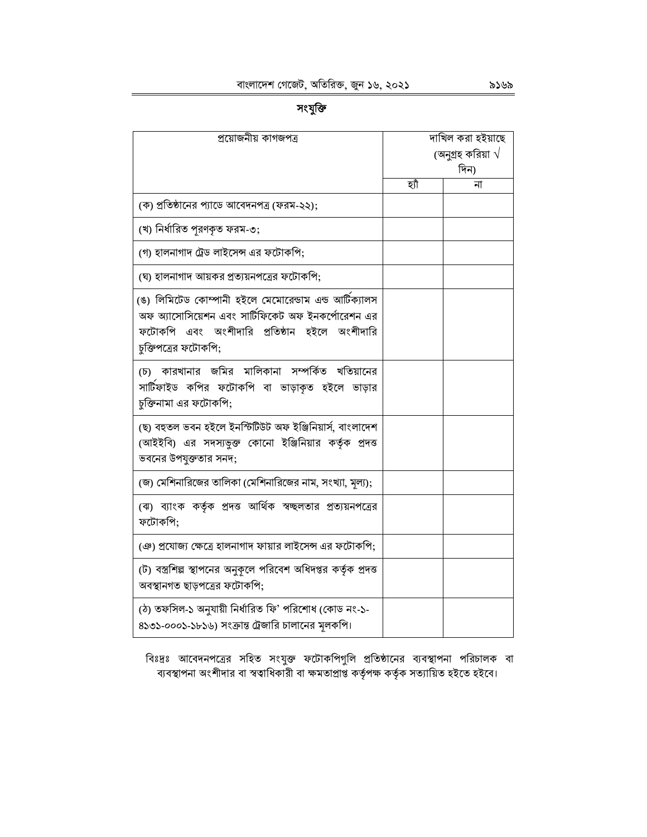সংযুক্তি

| প্রয়োজনীয় কাগজপত্র                                                                                                                                                               |     | দাখিল করা হইয়াছে         |
|------------------------------------------------------------------------------------------------------------------------------------------------------------------------------------|-----|---------------------------|
|                                                                                                                                                                                    |     | (অনুগ্রহ করিয়া $\sqrt{}$ |
|                                                                                                                                                                                    |     | দিন)                      |
|                                                                                                                                                                                    | হাঁ | না                        |
| (ক) প্রতিষ্ঠানের প্যাডে আবেদনপত্র (ফরম-২২);                                                                                                                                        |     |                           |
| (খ) নিৰ্ধারিত পুরণকৃত ফরম-৩;                                                                                                                                                       |     |                           |
| (গ) হালনাগাদ ট্রেড লাইসেন্স এর ফটোকপি;                                                                                                                                             |     |                           |
| (ঘ) হালনাগাদ আয়কর প্রত্যয়নপত্রের ফটোকপি;                                                                                                                                         |     |                           |
| (ঙ) লিমিটেড কোম্পানী হইলে মেমোরেন্ডাম এন্ড আটিক্যালস<br>অফ অ্যাসোসিয়েশন এবং সার্টিফিকেট অফ ইনকর্পোরেশন এর<br>ফটোকপি এবং অংশীদারি প্রতিষ্ঠান হইলে অংশীদারি<br>চুক্তিপত্রের ফটোকপি; |     |                           |
| (চ) কারখানার জমির মালিকানা সম্পর্কিত খতিয়ানের<br>সার্টিফাইড কপির ফটোকপি বা ভাড়াকৃত হইলে ভাড়ার<br>চুক্তিনামা এর ফটোকপি;                                                          |     |                           |
| (ছ) বহুতল ভবন হইলে ইনস্টিটিউট অফ ইঞ্জিনিয়াৰ্স, বাংলাদেশ<br>(আইইবি) এর সদস্যভূক্ত কোনো ইঞ্জিনিয়ার কর্তৃক প্রদত্ত<br>ভবনের উপযুক্ততার সনদ;                                         |     |                           |
| (জ) মেশিনারিজের তালিকা (মেশিনারিজের নাম, সংখ্যা, মূল্য);                                                                                                                           |     |                           |
| (ঝ) ব্যাংক কর্তৃক প্রদত্ত আর্থিক স্বচ্ছলতার প্রত্যয়নপত্রের<br>ফটোকপি;                                                                                                             |     |                           |
| (ঞ) প্রযোজ্য ক্ষেত্রে হালনাগাদ ফায়ার লাইসেন্স এর ফটোকপি;                                                                                                                          |     |                           |
| (ট) বস্ত্রশিল্প স্থাপনের অনুকলে পরিবেশ অধিদপ্তর কর্তৃক প্রদত্ত<br>অবস্থানগত ছাড়পত্রের ফটোকপি;                                                                                     |     |                           |
| (ঠ) তফসিল-১ অনুযায়ী নির্ধারিত ফি' পরিশোধ (কোড নং-১-<br>৪১৩১-০০০১-১৮১৬) সংক্রান্ত ট্রেজারি চালানের মূলকপি।                                                                         |     |                           |

বিঃদ্রঃ আবেদনপত্রের সহিত সংযুক্ত ফটোকপিগুলি প্রতিষ্ঠানের ব্যবস্থাপনা পরিচালক বা<br>ব্যবস্থাপনা অংশীদার বা স্বত্বাধিকারী বা ক্ষমতাপ্রাপ্ত কর্তৃপক্ষ কর্তৃক সত্যায়িত হইতে হইবে।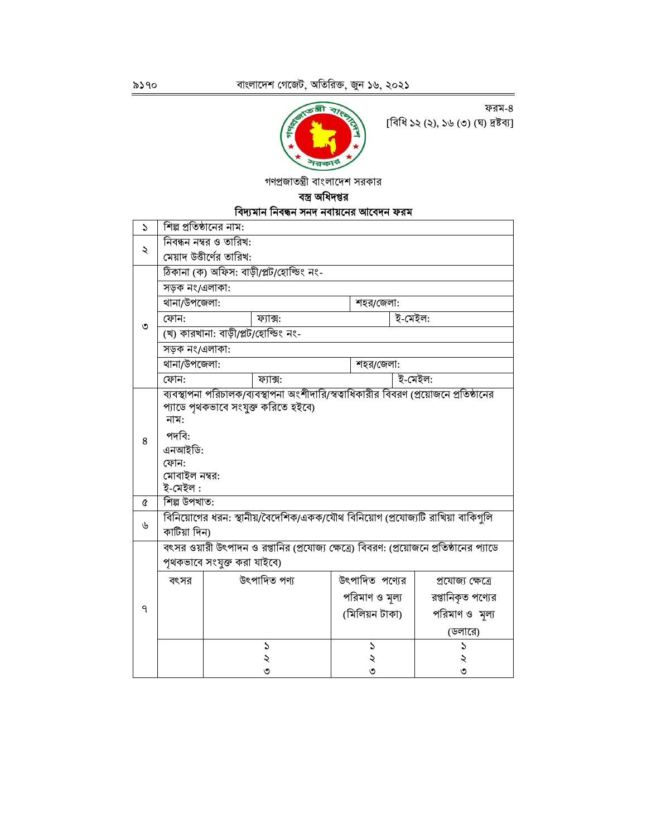

ফরম-৪ [বিধি ১২ (২), ১৬ (৩) (ঘ) দ্ৰষ্টব্য]

গণপ্রজাতন্ত্রী বাংলাদেশ সরকার

# বস্ত্র অধিদপ্তর

## বিদ্যমান নিবন্ধন সনদ নবায়নের আবেদন ফরম

| $\mathbf{r}$  | শিল্প প্রতিষ্ঠানের নাম:                                                                                                                                                                       |                             |                                                                                |  |                |         |                                                                                         |  |  |
|---------------|-----------------------------------------------------------------------------------------------------------------------------------------------------------------------------------------------|-----------------------------|--------------------------------------------------------------------------------|--|----------------|---------|-----------------------------------------------------------------------------------------|--|--|
|               | নিবন্ধন নম্বর ও তারিখ:                                                                                                                                                                        |                             |                                                                                |  |                |         |                                                                                         |  |  |
| $\ddot{\sim}$ | মেয়াদ উত্তীর্ণের তারিখ:                                                                                                                                                                      |                             |                                                                                |  |                |         |                                                                                         |  |  |
|               | ঠিকানা (ক) অফিস: বাড়ী/প্লট/হোল্ডিং নং-                                                                                                                                                       |                             |                                                                                |  |                |         |                                                                                         |  |  |
|               | সড়ক নং/এলাকা:                                                                                                                                                                                |                             |                                                                                |  |                |         |                                                                                         |  |  |
|               | থানা/উপজেলা:                                                                                                                                                                                  |                             |                                                                                |  | শহর/জেলা:      |         |                                                                                         |  |  |
|               | ফোন:                                                                                                                                                                                          |                             | ফ্যাক্স:                                                                       |  |                | ই-মেইল: |                                                                                         |  |  |
| ৩             |                                                                                                                                                                                               |                             | (খ) কারখানা: বাড়ী/প্লট/হোল্ডিং নং-                                            |  |                |         |                                                                                         |  |  |
|               | সড়ক নং/এলাকা:                                                                                                                                                                                |                             |                                                                                |  |                |         |                                                                                         |  |  |
|               | থানা/উপজেলা:                                                                                                                                                                                  |                             |                                                                                |  | শহর/জেলা:      |         |                                                                                         |  |  |
|               | ফোন:                                                                                                                                                                                          |                             | ফ্যাক্স:                                                                       |  |                | ই-মেইল: |                                                                                         |  |  |
| 8             | ব্যবস্থাপনা পরিচালক/ব্যবস্থাপনা অংশীদারি/স্বত্বাধিকারীর বিবরণ (প্রয়োজনে প্রতিষ্ঠানের<br>প্যাডে পৃথকভাবে সংযুক্ত করিতে হইবে)<br>নাম:<br>পদবি:<br>এনআইডি:<br>ফোন:<br>মোবাইল নম্বর:<br>ই-মেইল : |                             |                                                                                |  |                |         |                                                                                         |  |  |
| Q             | শিল্প উপখাত:                                                                                                                                                                                  |                             |                                                                                |  |                |         |                                                                                         |  |  |
| ৬             | কাটিয়া দিন)                                                                                                                                                                                  |                             | বিনিয়োগের ধরন: স্থানীয়/বৈদেশিক/একক/যৌথ বিনিয়োগ (প্রযোজ্যটি রাখিয়া বাকিগুলি |  |                |         |                                                                                         |  |  |
|               |                                                                                                                                                                                               |                             |                                                                                |  |                |         | বৎসর ওয়ারী উৎপাদন ও রপ্তানির (প্রযোজ্য ক্ষেত্রে) বিবরণ: (প্রয়োজনে প্রতিষ্ঠানের প্যাডে |  |  |
|               |                                                                                                                                                                                               | পৃথকভাবে সংযুক্ত করা যাইবে) |                                                                                |  |                |         |                                                                                         |  |  |
|               | বৎসর                                                                                                                                                                                          |                             | উৎপাদিত পণ্য                                                                   |  | উৎপাদিত পণ্যের |         | প্ৰযোজ্য ক্ষেত্ৰে                                                                       |  |  |
|               |                                                                                                                                                                                               |                             |                                                                                |  | পরিমাণ ও মূল্য |         | রপ্তানিকৃত পণ্যের                                                                       |  |  |
| ٩             |                                                                                                                                                                                               |                             |                                                                                |  | (মিলিয়ন টাকা) |         | পরিমাণ ও মল্য                                                                           |  |  |
|               |                                                                                                                                                                                               |                             |                                                                                |  |                |         | (ডলারে)                                                                                 |  |  |
|               |                                                                                                                                                                                               |                             | $\mathcal{L}$                                                                  |  | S              |         | S                                                                                       |  |  |
|               |                                                                                                                                                                                               |                             | ২                                                                              |  | ২              |         | ২                                                                                       |  |  |
|               |                                                                                                                                                                                               |                             | ৩                                                                              |  | ৩              |         | ৩                                                                                       |  |  |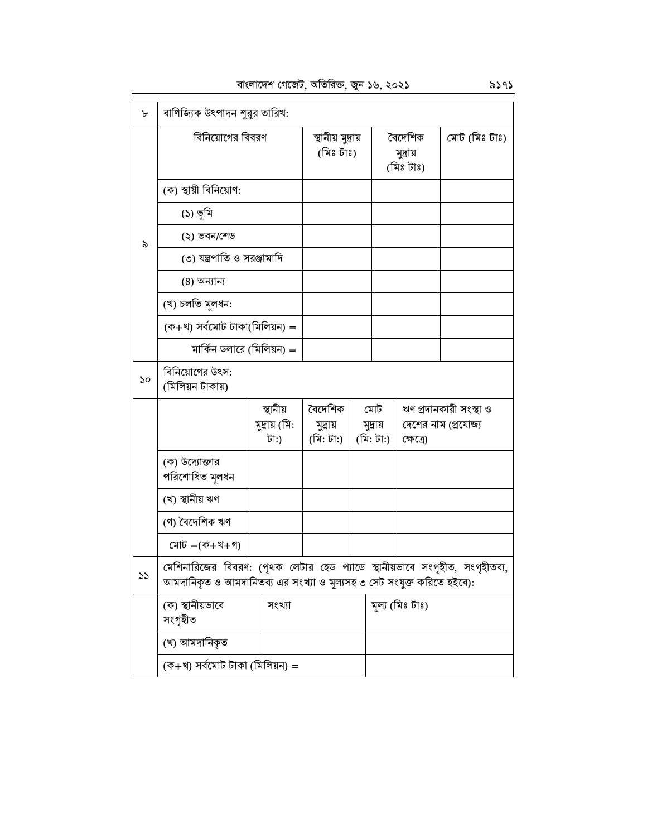বাংলাদেশ গেজেট, অতিরিক্ত, জুন ১৬, ২০২১ ৯১৭১

| ৮  | বাণিজ্যিক উৎপাদন শুরুর তারিখ:                                                                                                                        |                       |                                |  |                                  |           |                        |
|----|------------------------------------------------------------------------------------------------------------------------------------------------------|-----------------------|--------------------------------|--|----------------------------------|-----------|------------------------|
|    | বিনিয়োগের বিবরণ                                                                                                                                     |                       | স্থানীয় মুদ্ৰায়<br>(মিঃ টাঃ) |  | বৈদেশিক<br>মুদ্ৰায়<br>(মিঃ টাঃ) |           | মোট (মিঃ টাঃ)          |
|    | (ক) স্থায়ী বিনিয়োগ:                                                                                                                                |                       |                                |  |                                  |           |                        |
|    | (১) ভূমি                                                                                                                                             |                       |                                |  |                                  |           |                        |
| ৯  | (২) ভবন/শেড                                                                                                                                          |                       |                                |  |                                  |           |                        |
|    | (৩) যন্ত্রপাতি ও সরঞ্জামাদি                                                                                                                          |                       |                                |  |                                  |           |                        |
|    | (8) অন্যান্য                                                                                                                                         |                       |                                |  |                                  |           |                        |
|    | (খ) চলতি মূলধন:                                                                                                                                      |                       |                                |  |                                  |           |                        |
|    | (ক+খ) সৰ্বমোট টাকা(মিলিয়ন) =                                                                                                                        |                       |                                |  |                                  |           |                        |
|    | মার্কিন ডলারে (মিলিয়ন) =                                                                                                                            |                       |                                |  |                                  |           |                        |
| ১০ | বিনিয়োগের উৎস:<br>(মিলিয়ন টাকায়)                                                                                                                  |                       |                                |  |                                  |           |                        |
|    |                                                                                                                                                      | স্থানীয়              | বৈদেশিক                        |  | মোট                              |           | ঋণ প্ৰদানকারী সংস্থা ও |
|    |                                                                                                                                                      | মুদ্রায় (মি:<br>টা:) | মুদ্ৰায়<br>(মি: টা:)          |  | মুদ্ৰায়<br>(মি: টা:)            | ক্ষেত্ৰে) | দেশের নাম (প্রযোজ্য    |
|    | (ক) উদ্যোক্তার<br>পরিশোধিত মূলধন                                                                                                                     |                       |                                |  |                                  |           |                        |
|    | (খ) স্থানীয় ঋণ                                                                                                                                      |                       |                                |  |                                  |           |                        |
|    | (গ) বৈদেশিক ঋণ                                                                                                                                       |                       |                                |  |                                  |           |                        |
|    | মোট = $($ ক+খ+গ)                                                                                                                                     |                       |                                |  |                                  |           |                        |
| ১১ | মেশিনারিজের বিবরণ: (পৃথক লেটার হেড প্যাডে স্থানীয়ভাবে সংগৃহীত, সংগৃহীতব্য,<br>আমদানিকৃত ও আমদানিতব্য এর সংখ্যা ও মূল্যসহ ৩ সেট সংযুক্ত করিতে হইবে): |                       |                                |  |                                  |           |                        |
|    | (ক) স্থানীয়ভাবে<br>সংগৃহীত                                                                                                                          |                       |                                |  | মূল্য (মিঃ টাঃ)                  |           |                        |
|    | (খ) আমদানিকৃত                                                                                                                                        |                       |                                |  |                                  |           |                        |
|    | (ক+খ) সৰ্বমোট টাকা (মিলিয়ন) =                                                                                                                       |                       |                                |  |                                  |           |                        |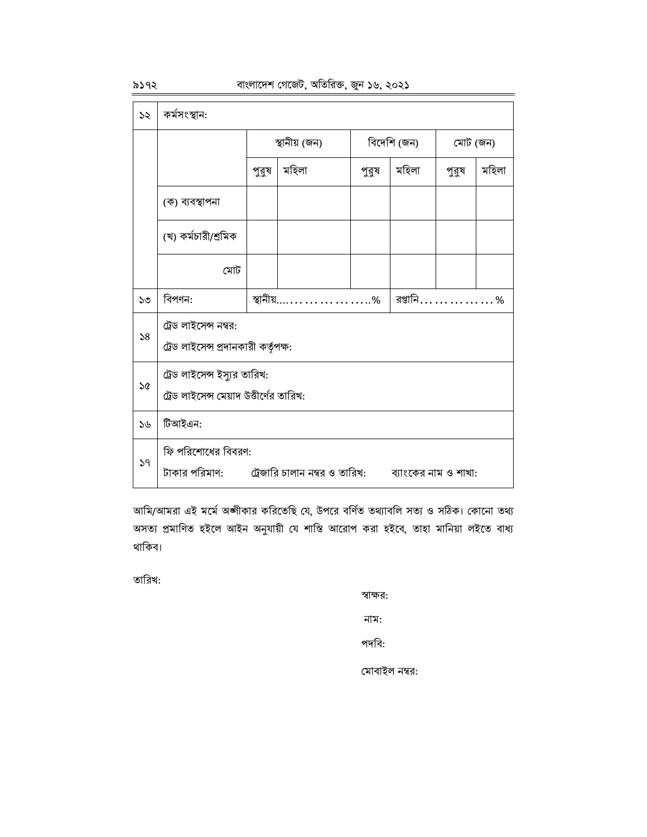৯১৭২

| ১২ | কৰ্মসংস্থান:                                                                                          |       |                                        |       |                      |          |       |  |
|----|-------------------------------------------------------------------------------------------------------|-------|----------------------------------------|-------|----------------------|----------|-------|--|
|    |                                                                                                       |       | স্থানীয় (জন)                          |       | বিদেশি (জন)          | মোট (জন) |       |  |
|    |                                                                                                       | পুরুষ | মহিলা                                  | পুরুষ | মহিলা                | পুরুষ    | মহিলা |  |
|    | (ক) ব্যবস্থাপনা                                                                                       |       |                                        |       |                      |          |       |  |
|    | (খ) কর্মচারী/শ্রমিক                                                                                   |       |                                        |       |                      |          |       |  |
|    | মোট                                                                                                   |       |                                        |       |                      |          |       |  |
| ১৩ | বিপণন:                                                                                                |       | স্থানীয় $\dots\dots\dots\dots\dots$ % |       | রপ্তানি……………<br>$\%$ |          |       |  |
| 58 | ট্রেড লাইসেন্স নম্বর:<br>ট্রেড লাইসেন্স প্রদানকারী কর্তৃপক্ষ:                                         |       |                                        |       |                      |          |       |  |
| ১৫ | ট্রেড লাইসেন্স ইস্যুর তারিখ:<br>ট্রেড লাইসেন্স মেয়াদ উত্তীর্ণের তারিখ:                               |       |                                        |       |                      |          |       |  |
| 56 | টিআইএন:                                                                                               |       |                                        |       |                      |          |       |  |
| 59 | ফি পরিশোধের বিবরণ:<br>টাকার পরিমাণ:        ট্রেজারি চালান নম্বর ও তারিখ:         ব্যাংকের নাম ও শাখা: |       |                                        |       |                      |          |       |  |

আমি/আমরা এই মর্মে অঙ্গীকার করিতেছি যে, উপরে বর্ণিত তথ্যাবলি সত্য ও সঠিক। কোনো তথ্য অসত্য প্রমাণিত হইলে আইন অনুযায়ী যে শাস্তি আরোপ করা হইবে, তাহা মানিয়া লইতে বাধ্য থাকিব।

তারিখ:

স্বাক্ষর:

নাম:

পদবি:

মোবাইল নম্বর: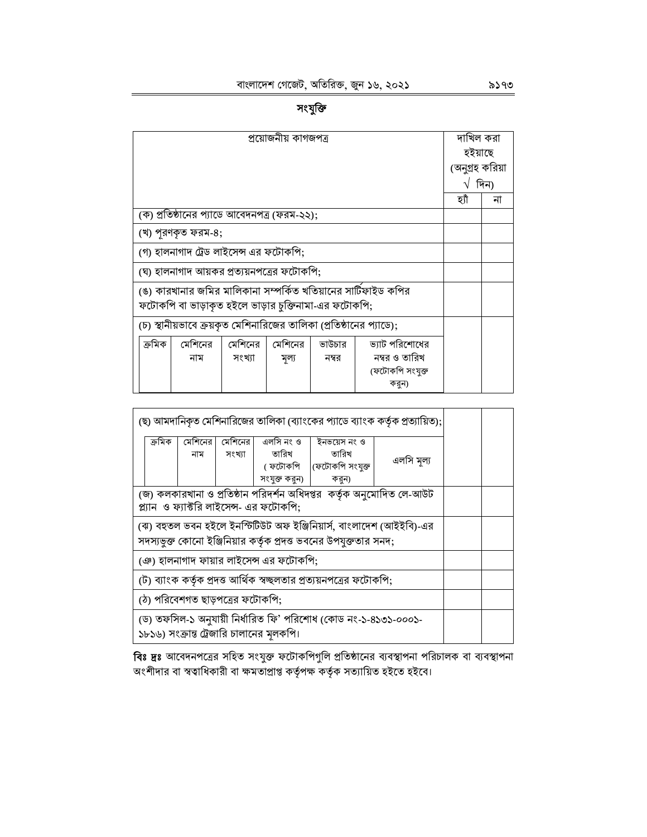|        | দাখিল করা                                                           |  |  |  |                                                                |                 |      |  |  |
|--------|---------------------------------------------------------------------|--|--|--|----------------------------------------------------------------|-----------------|------|--|--|
|        | হইয়াছে                                                             |  |  |  |                                                                |                 |      |  |  |
|        |                                                                     |  |  |  |                                                                | (অনুগ্রহ করিয়া |      |  |  |
|        |                                                                     |  |  |  |                                                                | V               | দিন) |  |  |
|        |                                                                     |  |  |  |                                                                | হাঁ             | না   |  |  |
|        | (ক) প্রতিষ্ঠানের প্যাডে আবেদনপত্র (ফরম-২২);                         |  |  |  |                                                                |                 |      |  |  |
|        | (খ) পুরণকৃত ফরম-৪;                                                  |  |  |  |                                                                |                 |      |  |  |
|        | (গ) হালনাগাদ ট্রেড লাইসেন্স এর ফটোকপি;                              |  |  |  |                                                                |                 |      |  |  |
|        | (ঘ) হালনাগাদ আয়কর প্রত্যয়নপত্রের ফটোকপি;                          |  |  |  |                                                                |                 |      |  |  |
|        |                                                                     |  |  |  | (ঙ) কারখানার জমির মালিকানা সম্পর্কিত খতিয়ানের সার্টিফাইড কপির |                 |      |  |  |
|        | ফটোকপি বা ভাড়াকৃত হইলে ভাড়ার চুক্তিনামা-এর ফটোকপি;                |  |  |  |                                                                |                 |      |  |  |
|        | (চ) স্থানীয়ভাবে ক্রয়কৃত মেশিনারিজের তালিকা (প্রতিষ্ঠানের প্যাডে); |  |  |  |                                                                |                 |      |  |  |
| ক্ৰমিক |                                                                     |  |  |  |                                                                |                 |      |  |  |
|        | ভ্যাট পরিশোধের<br>নম্বর ও তারিখ<br>সংখ্যা<br>নাম<br>নম্বর<br>মূল্য  |  |  |  |                                                                |                 |      |  |  |
|        |                                                                     |  |  |  | (ফটোকপি সংযুক্ত                                                |                 |      |  |  |
|        |                                                                     |  |  |  | করুন)                                                          |                 |      |  |  |

|                                                                                                            |                                                                                                                  | (ছ) আমদানিকৃত মেশিনারিজের তালিকা (ব্যাংকের প্যাডে ব্যাংক কর্তৃক প্রত্যায়িত); |                     |                                         |                                                                                                                                         |            |  |  |  |
|------------------------------------------------------------------------------------------------------------|------------------------------------------------------------------------------------------------------------------|-------------------------------------------------------------------------------|---------------------|-----------------------------------------|-----------------------------------------------------------------------------------------------------------------------------------------|------------|--|--|--|
|                                                                                                            | ক্ৰমিক                                                                                                           | মেশিনের<br>নাম                                                                | মেশিনের  <br>সংখ্যা | এলসি নং ও<br>তারিখ<br>সংযুক্ত করুন)     | ইনভয়েস নং ও<br>তারিখ<br>( ফটোকপি   (ফটোকপি সংযুক্ত<br>করুন)                                                                            | এলসি মূল্য |  |  |  |
|                                                                                                            | (জ) কলকারখানা ও প্রতিষ্ঠান পরিদর্শন অধিদপ্তর  কর্তৃক অনুমোদিত লে-আউট<br>প্ল্যান ও ফ্যাক্টরি লাইসেন্স- এর ফটোকপি: |                                                                               |                     |                                         |                                                                                                                                         |            |  |  |  |
|                                                                                                            |                                                                                                                  |                                                                               |                     |                                         | (ঝ) বহুতল ভবন হইলে ইনস্টিটিউট অফ ইঞ্জিনিয়ার্স, বাংলাদেশ (আইইবি)-এর<br>সদস্যভুক্ত কোনো ইঞ্জিনিয়ার কর্তৃক প্রদত্ত ভবনের উপযুক্ততার সনদ; |            |  |  |  |
|                                                                                                            |                                                                                                                  |                                                                               |                     | (ঞ) হালনাগাদ ফায়ার লাইসেন্স এর ফটোকপি; |                                                                                                                                         |            |  |  |  |
|                                                                                                            |                                                                                                                  |                                                                               |                     |                                         | (ট) ব্যাংক কর্তৃক প্রদত্ত আর্থিক স্বচ্ছলতার প্রত্যয়নপত্রের ফটোকপি;                                                                     |            |  |  |  |
|                                                                                                            | (ঠ) পরিবেশগত ছাড়পত্রের ফটোকপি;                                                                                  |                                                                               |                     |                                         |                                                                                                                                         |            |  |  |  |
| (ড) তফসিল-১ অনুযায়ী নির্ধারিত ফি' পরিশোধ (কোড নং-১-৪১৩১-০০০১-<br>১৮১৬) সংক্রান্ত ট্রেজারি চালানের মূলকপি। |                                                                                                                  |                                                                               |                     |                                         |                                                                                                                                         |            |  |  |  |

**বিঃ দ্রঃ** আবেদনপত্রের সহিত সংযুক্ত ফটোকপিগুলি প্রতিষ্ঠানের ব্যবস্থাপনা পরিচালক বা ব্যবস্থাপনা<br>অংশীদার বা স্বত্বাধিকারী বা ক্ষমতাপ্রাপ্ত কর্তৃপক্ষ কর্তৃক সত্যায়িত হইতে হইবে।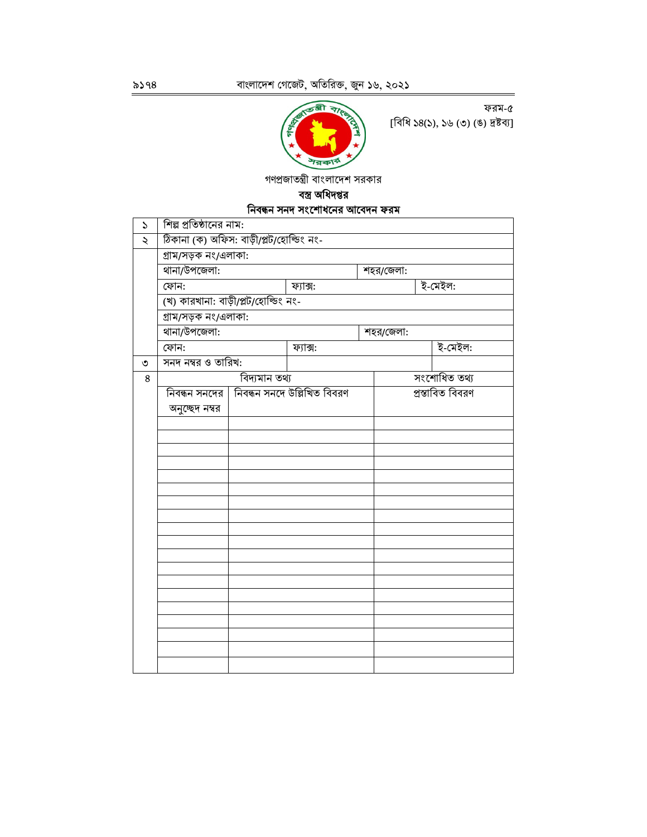

ফরম-৫ [বিধি ১৪(১), ১৬ (৩) (ঙ) দ্রষ্টব্য]

গণপ্রজাতন্ত্রী বাংলাদেশ সরকার

### বস্ত্র অধিদপ্তর নিবন্ধন সনদ সংশোধনের আবেদন ফরম

| S | শিল্প প্রতিষ্ঠানের নাম:                 |               |                             |  |           |  |                  |  |
|---|-----------------------------------------|---------------|-----------------------------|--|-----------|--|------------------|--|
| ২ | ঠিকানা (ক) অফিস: বাড়ী/প্লট/হোল্ডিং নং- |               |                             |  |           |  |                  |  |
|   | গ্ৰাম/সড়ক নং/এলাকা:                    |               |                             |  |           |  |                  |  |
|   | থানা/উপজেলা:<br>শহর/জেলা:               |               |                             |  |           |  |                  |  |
|   | ফোন:                                    |               | ফ্যাক্স:                    |  |           |  | ই-মেইল:          |  |
|   | (খ) কারখানা: বাড়ী/প্লট/হোল্ডিং নং-     |               |                             |  |           |  |                  |  |
|   | গ্ৰাম/সড়ক নং/এলাকা:                    |               |                             |  |           |  |                  |  |
|   | থানা/উপজেলা:                            |               |                             |  | শহর/জেলা: |  |                  |  |
|   | ফোন:                                    |               | ফ্যাক্স:                    |  |           |  | ই-মেইল:          |  |
| ৩ | সনদ নম্বর ও তারিখ:                      |               |                             |  |           |  |                  |  |
| 8 |                                         | বিদ্যমান তথ্য |                             |  |           |  | সংশোধিত তথ্য     |  |
|   | নিবন্ধন সনদের                           |               | নিবন্ধন সনদে উল্লিখিত বিবরণ |  |           |  | প্ৰস্তাবিত বিবরণ |  |
|   | অনুচ্ছেদ নম্বর                          |               |                             |  |           |  |                  |  |
|   |                                         |               |                             |  |           |  |                  |  |
|   |                                         |               |                             |  |           |  |                  |  |
|   |                                         |               |                             |  |           |  |                  |  |
|   |                                         |               |                             |  |           |  |                  |  |
|   |                                         |               |                             |  |           |  |                  |  |
|   |                                         |               |                             |  |           |  |                  |  |
|   |                                         |               |                             |  |           |  |                  |  |
|   |                                         |               |                             |  |           |  |                  |  |
|   |                                         |               |                             |  |           |  |                  |  |
|   |                                         |               |                             |  |           |  |                  |  |
|   |                                         |               |                             |  |           |  |                  |  |
|   |                                         |               |                             |  |           |  |                  |  |
|   |                                         |               |                             |  |           |  |                  |  |
|   |                                         |               |                             |  |           |  |                  |  |
|   |                                         |               |                             |  |           |  |                  |  |
|   |                                         |               |                             |  |           |  |                  |  |
|   |                                         |               |                             |  |           |  |                  |  |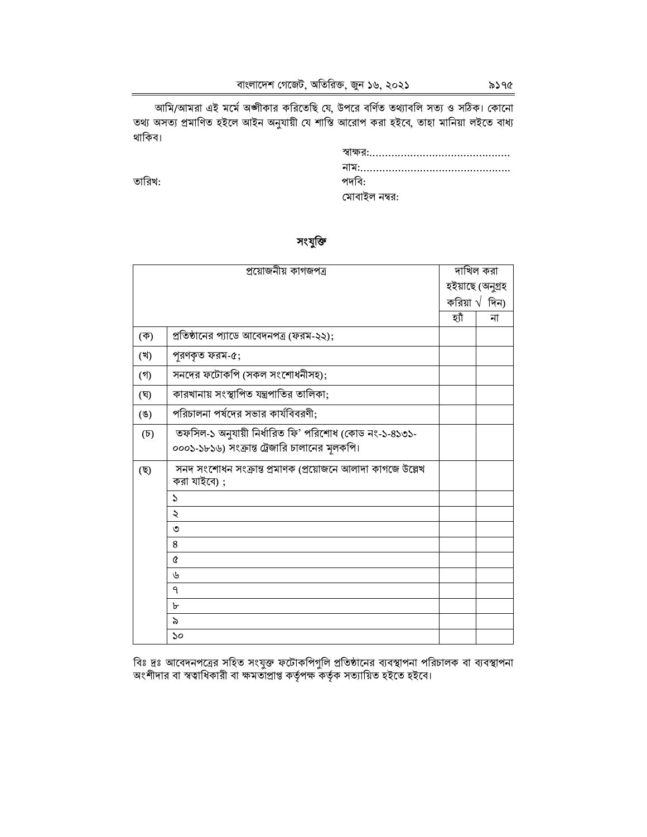আমি/আমরা এই মর্মে অঙ্গীকার করিতেছি যে, উপরে বর্ণিত তথ্যাবলি সত্য ও সঠিক। কোনো<br>তথ্য অসত্য প্রমাণিত হইলে আইন অনুযায়ী যে শাস্তি আরোপ করা হইবে, তাহা মানিয়া লইতে বাধ্য থাকিব।

তারিখ:

| পদবি:         |
|---------------|
| মোবাইল নম্বর: |

#### সংযুক্তি

|                  | প্ৰয়োজনীয় কাগজপত্ৰ                                                                                   |       | দাখিল করা              |
|------------------|--------------------------------------------------------------------------------------------------------|-------|------------------------|
|                  |                                                                                                        |       | হইয়াছে (অনুগ্ৰহ       |
|                  |                                                                                                        |       | করিয়া $\sqrt{6}$ দিন) |
|                  |                                                                                                        | হ্যাঁ | না                     |
| (ক)              | প্রতিষ্ঠানের প্যাডে আবেদনপত্র (ফরম-২২);                                                                |       |                        |
| (খ)              | পুরণকৃত ফরম-৫;                                                                                         |       |                        |
| (গ)              | সনদের ফটোকপি (সকল সংশোধনীসহ);                                                                          |       |                        |
| (ঘ)              | কারখানায় সংস্থাপিত যন্ত্রপাতির তালিকা;                                                                |       |                        |
| $($ E)           | পরিচালনা পর্ষদের সভার কার্যবিবরণী;                                                                     |       |                        |
| $(\overline{b})$ | তফসিল-১ অনুযায়ী নির্ধারিত ফি' পরিশোধ (কোড নং-১-৪১৩১-<br>০০০১-১৮১৬) সংক্রান্ত ট্রেজারি চালানের মূলকপি। |       |                        |
| (ছ)              | সনদ সংশোধন সংক্রান্ত প্রমাণক (প্রয়োজনে আলাদা কাগজে উল্লেখ<br>করা যাইবে) ;                             |       |                        |
|                  | $\mathcal{L}$                                                                                          |       |                        |
|                  | $\ddot{\sim}$                                                                                          |       |                        |
|                  | ৩                                                                                                      |       |                        |
|                  | 8                                                                                                      |       |                        |
|                  | Q                                                                                                      |       |                        |
|                  | ৬                                                                                                      |       |                        |
|                  | ٩                                                                                                      |       |                        |
|                  | ৮                                                                                                      |       |                        |
|                  | ৯                                                                                                      |       |                        |
|                  | $\mathcal{S}^{\mathcal{O}}$                                                                            |       |                        |

বিঃ দ্রঃ আবেদনপত্রের সহিত সংযুক্ত ফটোকপিগুলি প্রতিষ্ঠানের ব্যবস্থাপনা পরিচালক বা ব্যবস্থাপনা<br>অংশীদার বা স্বত্বাধিকারী বা ক্ষমতাপ্রাপ্ত কর্তৃপক্ষ কর্তৃক সত্যায়িত হইতে হইবে।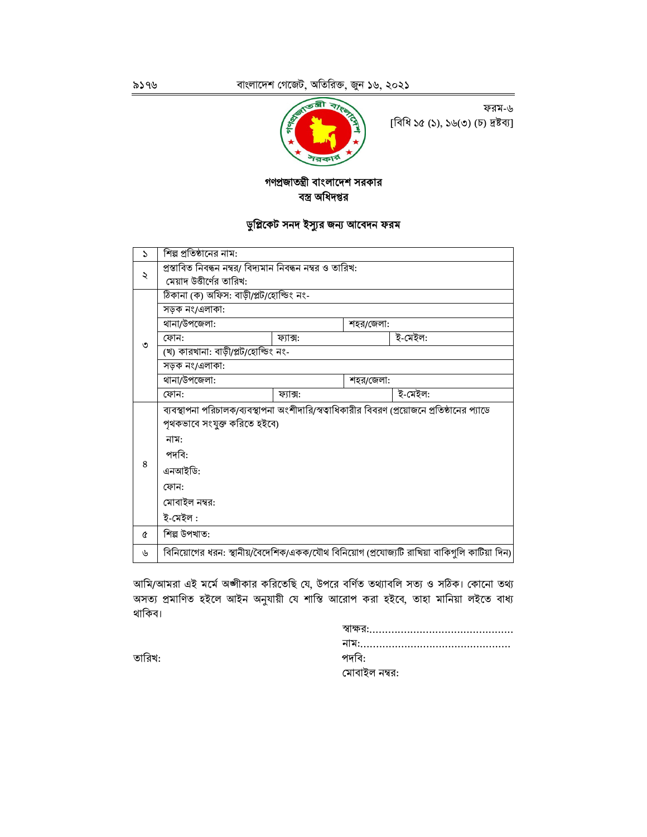

ফরম-৬ [বিধি ১৫ (১), ১৬(৩) (চ) দ্রষ্টব্য]

### গণপ্ৰজাতন্ত্ৰী বাংলাদেশ সরকার বস্ত্র অধিদপ্তর

## ডুপ্লিকেট সনদ ইস্যুর জন্য আবেদন ফরম

| $\mathcal{L}$ | শিল্প প্রতিষ্ঠানের নাম:                                   |                                                                                              |           |                                                                                             |  |  |  |  |
|---------------|-----------------------------------------------------------|----------------------------------------------------------------------------------------------|-----------|---------------------------------------------------------------------------------------------|--|--|--|--|
| ₹             | প্রস্তাবিত নিবন্ধন নম্বর/ বিদ্যমান নিবন্ধন নম্বর ও তারিখ: |                                                                                              |           |                                                                                             |  |  |  |  |
|               | মেয়াদ উত্তীর্ণের তারিখ:                                  |                                                                                              |           |                                                                                             |  |  |  |  |
|               | ঠিকানা (ক) অফিস: বাড়ী/প্লট/হোল্ডিং নং-                   |                                                                                              |           |                                                                                             |  |  |  |  |
|               | সড়ক নং/এলাকা:                                            |                                                                                              |           |                                                                                             |  |  |  |  |
|               | থানা/উপজেলা:                                              |                                                                                              | শহর/জেলা: |                                                                                             |  |  |  |  |
| ৩             | ফোন:                                                      | ফ্যাক্স:                                                                                     |           | ই-মেইল:                                                                                     |  |  |  |  |
|               | (খ) কারখানা: বাড়ী/প্লট/হোল্ডিং নং-                       |                                                                                              |           |                                                                                             |  |  |  |  |
|               | সড়ক নং/এলাকা:                                            |                                                                                              |           |                                                                                             |  |  |  |  |
|               | থানা/উপজেলা:                                              |                                                                                              | শহর/জেলা: |                                                                                             |  |  |  |  |
|               | ফোন:                                                      | ফ্যাক্স:                                                                                     |           | ই-মেইল:                                                                                     |  |  |  |  |
|               |                                                           | ব্যবস্থাপনা পরিচালক/ব্যবস্থাপনা অংশীদারি/স্বত্বাধিকারীর বিবরণ (প্রয়োজনে প্রতিষ্ঠানের প্যাডে |           |                                                                                             |  |  |  |  |
|               | পৃথকভাবে সংযুক্ত করিতে হইবে)                              |                                                                                              |           |                                                                                             |  |  |  |  |
|               | নাম:                                                      |                                                                                              |           |                                                                                             |  |  |  |  |
|               | পদবি:                                                     |                                                                                              |           |                                                                                             |  |  |  |  |
| 8             | এনআইডি:                                                   |                                                                                              |           |                                                                                             |  |  |  |  |
|               | ফোন:                                                      |                                                                                              |           |                                                                                             |  |  |  |  |
|               | মোবাইল নম্বর:                                             |                                                                                              |           |                                                                                             |  |  |  |  |
|               | ই-মেইল :                                                  |                                                                                              |           |                                                                                             |  |  |  |  |
| Q             | শিল্প উপখাত:                                              |                                                                                              |           |                                                                                             |  |  |  |  |
| ৬             |                                                           |                                                                                              |           | বিনিয়োগের ধরন: স্থানীয়/বৈদেশিক/একক/যৌথ বিনিয়োগ (প্রযোজ্যটি রাখিয়া বাকিগুলি কাটিয়া দিন) |  |  |  |  |

আমি/আমরা এই মর্মে অঙ্গীকার করিতেছি যে, উপরে বর্ণিত তথ্যাবলি সত্য ও সঠিক। কোনো তথ্য অসত্য প্রমাণিত হইলে আইন অনুযায়ী যে শাস্তি আরোপ করা হইবে, তাহা মানিয়া লইতে বাধ্য থাকিব।

| পদবি:         |
|---------------|
| মোবাইল নম্বর: |

তারিখ: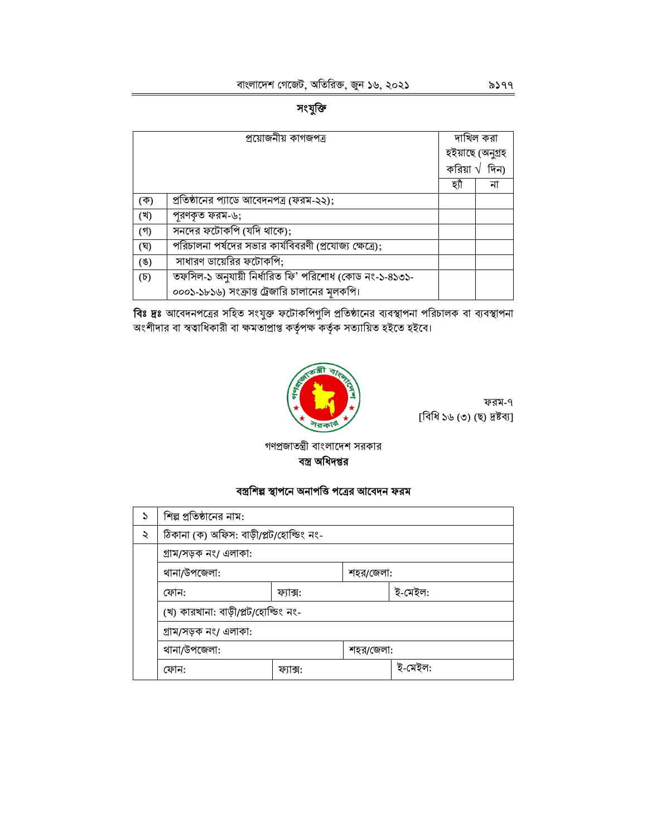# সংযুক্তি

|                  | প্ৰয়োজনীয় কাগজপত্ৰ                                   |      | দাখিল করা              |
|------------------|--------------------------------------------------------|------|------------------------|
|                  |                                                        |      | হইয়াছে (অনুগ্ৰহ       |
|                  |                                                        |      | করিয়া $\sqrt{6}$ দিন) |
|                  |                                                        | হ্যা | না                     |
| (ক)              | প্রতিষ্ঠানের প্যাডে আবেদনপত্র (ফরম-২২);                |      |                        |
| (খ)              | পরণকৃত ফরম-৬;                                          |      |                        |
| $($ গী           | সনদের ফটোকপি (যদি থাকে);                               |      |                        |
| (ঘ)              | পরিচালনা পর্ষদের সভার কার্যবিবরণী (প্রযোজ্য ক্ষেত্রে); |      |                        |
| (8)              | সাধারণ ডায়েরির ফটোকপি;                                |      |                        |
| $(\mathfrak{D})$ | তফসিল-১ অনুযায়ী নিৰ্ধারিত ফি' পরিশোধ (কোড নং-১-৪১৩১-  |      |                        |
|                  | ০০০১-১৮১৬) সংক্রান্ত ট্রেজারি চালানের মূলকপি।          |      |                        |

**বিঃ দ্রঃ** আবেদনপত্রের সহিত সংযুক্ত ফটোকপিগুলি প্রতিষ্ঠানের ব্যবস্থাপনা পরিচালক বা ব্যবস্থাপনা<br>অংশীদার বা স্বত্বাধিকারী বা ক্ষমতাপ্রাপ্ত কর্তৃপক্ষ কর্তৃক সত্যায়িত হইতে হইবে।



ফরম-৭ [বিধি ১৬ (৩) (ছ) দ্ৰষ্টব্য]

গণপ্রজাতন্ত্রী বাংলাদেশ সরকার বস্ত্র অধিদপ্তর

#### বস্ত্রশিল্প স্থাপনে অনাপত্তি পত্রের আবেদন ফরম

| ১ | শিল্প প্রতিষ্ঠানের নাম:                 |          |           |         |  |  |  |
|---|-----------------------------------------|----------|-----------|---------|--|--|--|
| ২ | ঠিকানা (ক) অফিস: বাড়ী/প্লট/হোল্ডিং নং- |          |           |         |  |  |  |
|   | গ্ৰাম/সড়ক নং/ এলাকা:                   |          |           |         |  |  |  |
|   | থানা/উপজেলা:<br>শহর/জেলা:               |          |           |         |  |  |  |
|   | ফোন:                                    | ফ্যাক্স: |           | ই-মেইল: |  |  |  |
|   | (খ) কারখানা: বাড়ী/প্লট/হোল্ডিং নং-     |          |           |         |  |  |  |
|   | গ্ৰাম/সড়ক নং/ এলাকা:                   |          |           |         |  |  |  |
|   | থানা/উপজেলা:                            |          | শহর/জেলা: |         |  |  |  |
|   | ফোন:                                    | ফ্যাক্স: |           | ই-মেইল: |  |  |  |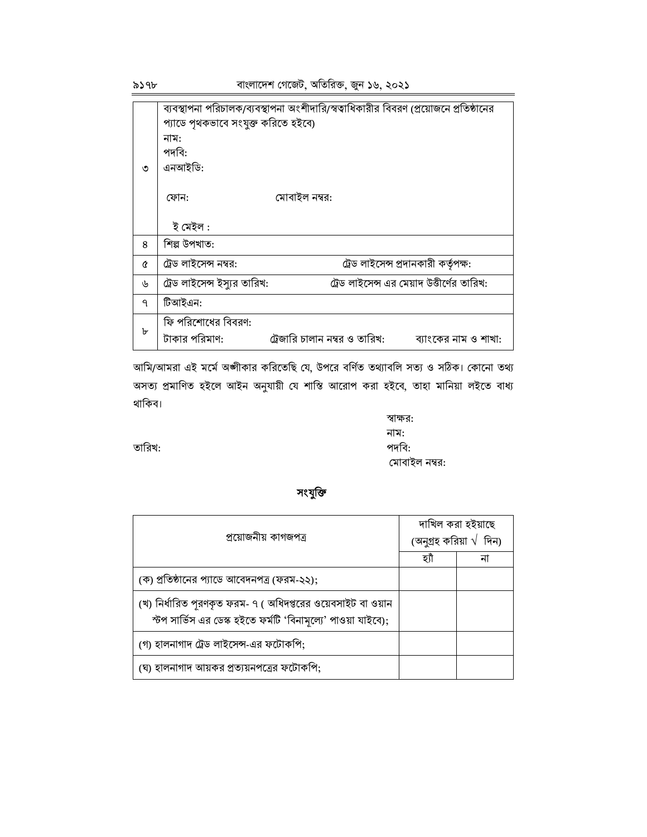৯১৭৮

|   | ব্যবস্থাপনা পরিচালক/ব্যবস্থাপনা অংশীদারি/স্বত্বাধিকারীর বিবরণ (প্রয়োজনে প্রতিষ্ঠানের |
|---|---------------------------------------------------------------------------------------|
|   | প্যাডে পৃথকভাবে সংযুক্ত করিতে হইবে)                                                   |
|   | নাম:                                                                                  |
|   | পদবি:                                                                                 |
| ৩ | এনআইডি:                                                                               |
|   |                                                                                       |
|   | মোবাইল নম্বর:<br>ফোন:                                                                 |
|   |                                                                                       |
|   | ই মেইল :                                                                              |
| 8 | শিল্প উপখাত:                                                                          |
| Á | ট্রেড লাইসেন্স প্রদানকারী কর্তৃপক্ষ:<br>ট্রেড লাইসেন্স নম্বর:                         |
| ৬ | ট্রেড লাইসেন্স ইস্যুর তারিখ:<br>ট্রেড লাইসেন্স এর মেয়াদ উত্তীর্ণের তারিখ:            |
| ٩ | টিআইএন:                                                                               |
|   | ফি পরিশোধের বিবরণ:                                                                    |
| ৮ | ট্রেজারি চালান নম্বর ও তারিখ:<br>টাকার পরিমাণ:<br>ব্যাংকের নাম ও শাখা:                |

আমি/আমরা এই মর্মে অঙ্গীকার করিতেছি যে, উপরে বর্ণিত তথ্যাবলি সত্য ও সঠিক। কোনো তথ্য অসত্য প্রমাণিত হইলে আইন অনুযায়ী যে শাস্তি আরোপ করা হইবে, তাহা মানিয়া লইতে বাধ্য থাকিব।

তারিখ:

স্বাক্ষর: নাম: পদবি: মোবাইল নম্বর:

#### সংযুক্তি

| প্ৰয়োজনীয় কাগজপত্ৰ                                                                                                          | দাখিল করা হইয়াছে<br>(অনুগ্ৰহ করিয়া $\sqrt{ }$ দিন) |  |  |
|-------------------------------------------------------------------------------------------------------------------------------|------------------------------------------------------|--|--|
|                                                                                                                               | হ্যী                                                 |  |  |
| (ক) প্রতিষ্ঠানের প্যাডে আবেদনপত্র (ফরম-২২);                                                                                   |                                                      |  |  |
| (খ) নির্ধারিত পূরণকৃত ফরম- ৭ ( অধিদপ্তরের ওয়েবসাইট বা ওয়ান<br>স্টপ সার্ভিস এর ডেস্ক হইতে ফর্মটি 'বিনামূল্যে' পাওয়া যাইবে); |                                                      |  |  |
| (গ) হালনাগাদ ট্রেড লাইসেন্স-এর ফটোকপি;                                                                                        |                                                      |  |  |
| (ঘ) হালনাগাদ আয়কর প্রত্যয়নপত্রের ফটোকপি;                                                                                    |                                                      |  |  |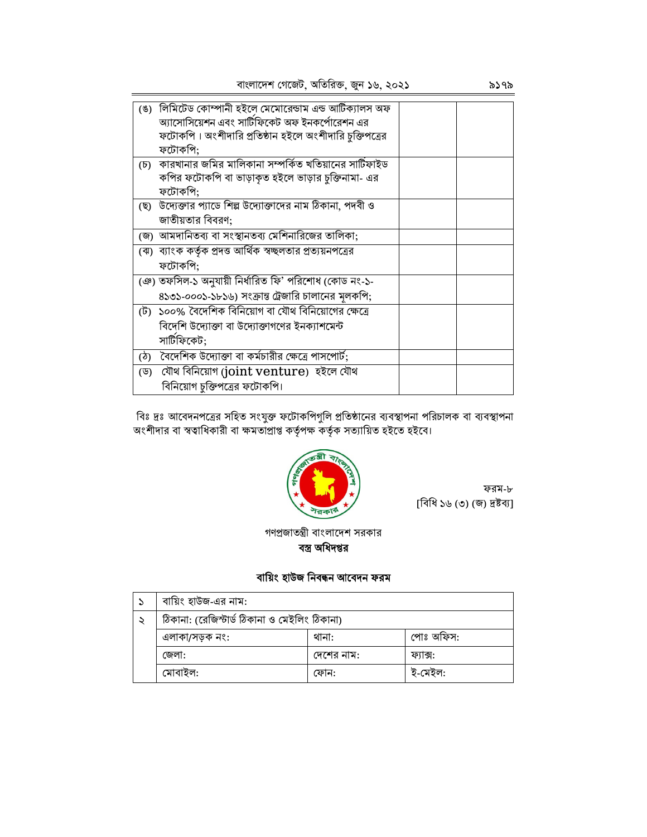|                 | (ঙ) লিমিটেড কোম্পানী হইলে মেমোরেন্ডাম এন্ড আর্টিক্যালস অফ   |  |
|-----------------|-------------------------------------------------------------|--|
|                 | অ্যাসোসিয়েশন এবং সার্টিফিকেট অফ ইনকর্পোরেশন এর             |  |
|                 | ফটোকপি। অংশীদারি প্রতিষ্ঠান হইলে অংশীদারি চুক্তিপত্রের      |  |
|                 | ফটোকপি;                                                     |  |
| $(\mathcal{D})$ | কারখানার জমির মালিকানা সম্পর্কিত খতিয়ানের সাটিফাইড         |  |
|                 | কপির ফটোকপি বা ভাড়াকৃত হইলে ভাড়ার চুক্তিনামা- এর          |  |
|                 | ফটোকপি;                                                     |  |
|                 | (ছ) উদ্যেক্তার প্যাডে শিল্প উদ্যোক্তাদের নাম ঠিকানা, পদবী ও |  |
|                 | জাতীয়তার বিবরণ;                                            |  |
|                 | (জ) আমদানিতব্য বা সংস্থানতব্য মেশিনারিজের তালিকা;           |  |
|                 | (ঝ) ব্যাংক কর্তৃক প্রদত্ত আর্থিক স্বচ্ছলতার প্রত্যয়নপত্রের |  |
|                 | ফটোকপি;                                                     |  |
|                 | (ঞ) তফসিল-১ অনুযায়ী নির্ধারিত ফি' পরিশোধ (কোড নং-১-        |  |
|                 | ৪১৩১-০০০১-১৮১৬) সংক্রান্ত ট্রেজারি চালানের মূলকপি;          |  |
|                 | (ট)  ১০০% বৈদেশিক বিনিয়োগ বা যৌথ বিনিয়োগের ক্ষেত্রে       |  |
|                 | বিদেশি উদ্যোক্তা বা উদ্যোক্তাগণের ইনক্যাশমেন্ট              |  |
|                 | সার্টিফিকেট;                                                |  |
|                 | (ঠ) বৈদেশিক উদ্যোক্তা বা কর্মচারীর ক্ষেত্রে পাসপোর্ট;       |  |
|                 | (ড) যৌথ বিনিয়োগ (joint venture) হইলে যৌথ                   |  |
|                 | বিনিয়োগ চুক্তিপত্রের ফটোকপি।                               |  |

বিঃ দ্রঃ আবেদনপত্রের সহিত সংযুক্ত ফটোকপিগুলি প্রতিষ্ঠানের ব্যবস্থাপনা পরিচালক বা ব্যবস্থাপনা<br>অংশীদার বা স্বত্বাধিকারী বা ক্ষমতাপ্রাপ্ত কর্তৃপক্ষ কর্তৃক সত্যায়িত হইতে হইবে।



ফরম-৮ [বিধি ১৬ (৩) (জ) দ্ৰষ্টব্য]

গণপ্রজাতন্ত্রী বাংলাদেশ সরকার বস্ত্র অধিদপ্তর

## বায়িং হাউজ নিবন্ধন আবেদন ফরম

| বায়িং হাউজ-এর নাম:                          |            |           |  |  |  |  |
|----------------------------------------------|------------|-----------|--|--|--|--|
| ঠিকানা: (রেজিস্টার্ড ঠিকানা ও মেইলিং ঠিকানা) |            |           |  |  |  |  |
| এলাকা/সড়ক নং:                               | থানা:      | পোঃ অফিস: |  |  |  |  |
| জেলা:                                        | দেশের নাম: | ফ্যাক্স:  |  |  |  |  |
| মোবাইল:                                      | ফোন:       | ই-মেইল:   |  |  |  |  |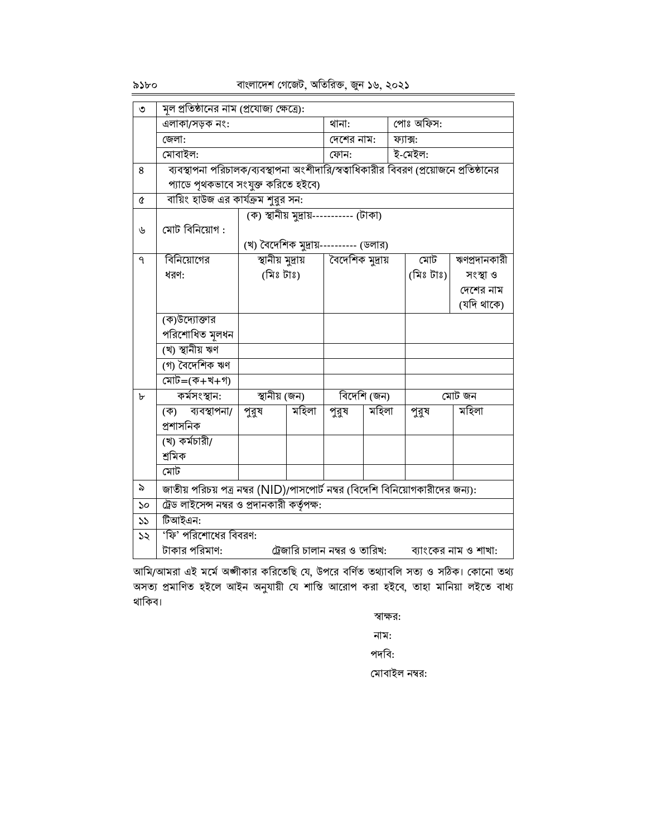বাংলাদেশ গেজেট, অতিরিক্ত, জুন ১৬, ২০২১

| -Ω⊃ | x.<br>۰ | D |  |
|-----|---------|---|--|

| $\overline{6}$        | মূল প্রতিষ্ঠানের নাম (প্রযোজ্য ক্ষেত্রে):                                             |                                         |       |                  |       |           |           |              |
|-----------------------|---------------------------------------------------------------------------------------|-----------------------------------------|-------|------------------|-------|-----------|-----------|--------------|
|                       | এলাকা/সড়ক নং:                                                                        |                                         | থানা: |                  |       | পোঃ অফিস: |           |              |
|                       | জেলা:                                                                                 |                                         |       | দেশের নাম:       |       |           | ফ্যাক্স:  |              |
|                       | মোবাইল:                                                                               |                                         |       | ফোন:             |       |           | ই-মেইল:   |              |
| 8                     | ব্যবস্থাপনা পরিচালক/ব্যবস্থাপনা অংশীদারি/স্বত্বাধিকারীর বিবরণ (প্রয়োজনে প্রতিষ্ঠানের |                                         |       |                  |       |           |           |              |
|                       | প্যাডে পৃথকভাবে সংযুক্ত করিতে হইবে)                                                   |                                         |       |                  |       |           |           |              |
| $\pmb{\mathfrak{C}}$  | বায়িং হাউজ এর কার্যক্রম শুরুর সন:                                                    |                                         |       |                  |       |           |           |              |
|                       |                                                                                       | (ক) স্থানীয় মুদ্রায়----------- (টাকা) |       |                  |       |           |           |              |
| ৬                     | মোট বিনিয়োগ :                                                                        |                                         |       |                  |       |           |           |              |
|                       |                                                                                       | (খ) বৈদেশিক মুদ্রায়---------- (ডলার)   |       |                  |       |           |           |              |
| $\overline{q}$        | বিনিয়োগের                                                                            | স্থানীয় মুদ্ৰায়                       |       | বৈদেশিক মুদ্রায় |       |           | মোট       | ঋণপ্রদানকারী |
|                       | ধরণ:                                                                                  | (মিঃ টাঃ)                               |       |                  |       |           | (মিঃ টাঃ) | সংস্থা ও     |
|                       |                                                                                       |                                         |       |                  |       |           |           | দেশের নাম    |
|                       |                                                                                       |                                         |       |                  |       |           |           | (যদি থাকে)   |
|                       | (ক)উদ্যোক্তার                                                                         |                                         |       |                  |       |           |           |              |
|                       | পরিশোধিত মূলধন                                                                        |                                         |       |                  |       |           |           |              |
|                       | (খ) স্থানীয় ঋণ                                                                       |                                         |       |                  |       |           |           |              |
|                       | (গ) বৈদেশিক ঋণ                                                                        |                                         |       |                  |       |           |           |              |
|                       | মোট=(ক+খ+গ)                                                                           |                                         |       |                  |       |           |           |              |
| $\mathbf{b}$          | কর্মসংস্থান:                                                                          | স্থানীয় (জন)                           |       | বিদেশি (জন)      |       | মোট জন    |           |              |
|                       | ব্যবস্থাপনা/<br>(ক)                                                                   | পুরুষ                                   | মহিলা | পুরুষ            | মহিলা |           | পুরুষ     | মহিলা        |
|                       | প্ৰশাসনিক                                                                             |                                         |       |                  |       |           |           |              |
|                       | (খ) কৰ্মচারী/                                                                         |                                         |       |                  |       |           |           |              |
|                       | শ্ৰমিক                                                                                |                                         |       |                  |       |           |           |              |
|                       | মোট                                                                                   |                                         |       |                  |       |           |           |              |
| ৯                     | জাতীয় পরিচয় পত্র নম্বর (NID)/পাসপোর্ট নম্বর (বিদেশি বিনিয়োগকারীদের জন্য):          |                                         |       |                  |       |           |           |              |
| $\mathcal{S}^{\circ}$ | ট্রেড লাইসেন্স নম্বর ও প্রদানকারী কর্তৃপক্ষ:                                          |                                         |       |                  |       |           |           |              |
| $\mathcal{V}$         | টিআইএন:                                                                               |                                         |       |                  |       |           |           |              |
| $\mathcal{S}$         | 'ফি' পরিশোধের বিবরণ:                                                                  |                                         |       |                  |       |           |           |              |
|                       | টাকার পরিমাণ:<br>ট্রেজারি চালান নম্বর ও তারিখ:<br>ব্যাংকের নাম ও শাখা:                |                                         |       |                  |       |           |           |              |

আমি/আমরা এই মর্মে অঙ্গীকার করিতেছি যে, উপরে বর্ণিত তথ্যাবলি সত্য ও সঠিক। কোনো তথ্য অসত্য প্রমাণিত হইলে আইন অনুযায়ী যে শাস্তি আরোপ করা হইবে, তাহা মানিয়া লইতে বাধ্য থাকিব।

স্বাক্ষর:

নাম:

পদবি:

মোবাইল নম্বর: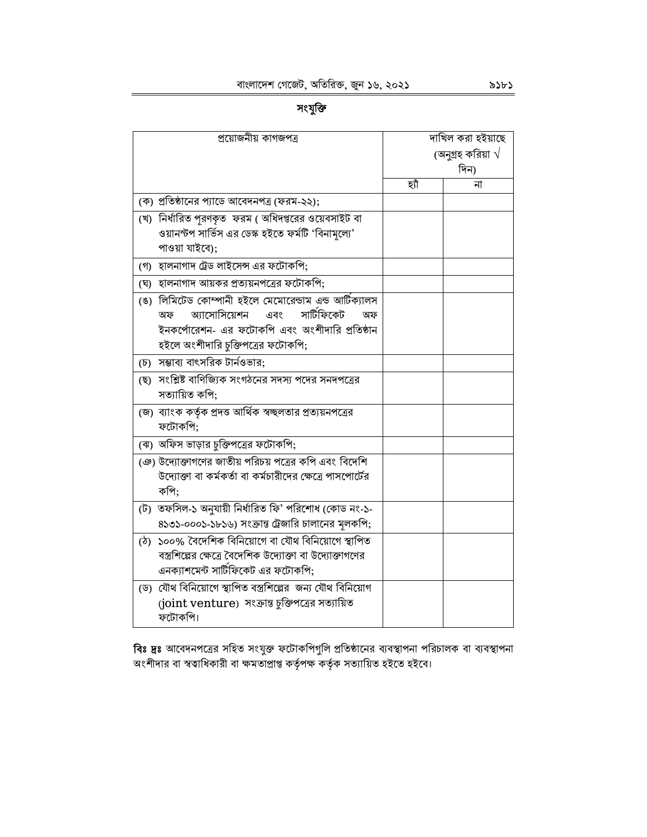সংযুক্তি

| প্রয়োজনীয় কাগজপত্র                                                                                                                                                                           |     | দাখিল করা হইয়াছে         |
|------------------------------------------------------------------------------------------------------------------------------------------------------------------------------------------------|-----|---------------------------|
|                                                                                                                                                                                                |     | (অনুগ্রহ করিয়া $\sqrt{}$ |
|                                                                                                                                                                                                |     | দিন)                      |
|                                                                                                                                                                                                | হাঁ | না                        |
| (ক) প্রতিষ্ঠানের প্যাডে আবেদনপত্র (ফরম-২২);                                                                                                                                                    |     |                           |
| (খ) নির্ধারিত পরণকৃত ফরম ( অধিদপ্তরের ওয়েবসাইট বা                                                                                                                                             |     |                           |
| ওয়ানস্টপ সার্ভিস এর ডেস্ক হইতে ফর্মটি 'বিনামূল্যে'<br>পাওয়া যাইবে);                                                                                                                          |     |                           |
| (গ) হালনাগাদ ট্রেড লাইসেন্স এর ফটোকপি;                                                                                                                                                         |     |                           |
| (ঘ) হালনাগাদ আয়কর প্রত্যয়নপত্রের ফটোকপি;                                                                                                                                                     |     |                           |
| (ঙ) লিমিটেড কোম্পানী হইলে মেমোরেন্ডাম এন্ড আর্টিক্যালস<br>সার্টিফিকেট<br>আসোসিয়েশন<br>এবং<br>অফ<br>অফ<br>ইনকর্পোরেশন- এর ফটোকপি এবং অংশীদারি প্রতিষ্ঠান<br>হইলে অংশীদারি চুক্তিপত্রের ফটোকপি; |     |                           |
| (চ) সম্ভাব্য বাৎসরিক টার্নওভার;                                                                                                                                                                |     |                           |
| (ছ) সংশ্লিষ্ট বাণিজ্যিক সংগঠনের সদস্য পদের সনদপত্রের<br>সত্যায়িত কপি;                                                                                                                         |     |                           |
| (জ) ব্যাংক কর্তৃক প্রদত্ত আর্থিক স্বচ্ছলতার প্রত্যয়নপত্রের<br>ফটোকপি;                                                                                                                         |     |                           |
| (ঝ) অফিস ভাড়ার চুক্তিপত্রের ফটোকপি;                                                                                                                                                           |     |                           |
| (ঞ) উদ্যোক্তাগণের জাতীয় পরিচয় পত্রের কপি এবং বিদেশি<br>উদ্যোক্তা বা কর্মকর্তা বা কর্মচারীদের ক্ষেত্রে পাসপোর্টের<br>কপি:                                                                     |     |                           |
| (ট) তফসিল-১ অনুযায়ী নিৰ্ধারিত ফি' পরিশোধ (কোড নং-১-<br>৪১৩১-০০০১-১৮১৬) সংক্রান্ত ট্রেজারি চালানের মূলকপি;                                                                                     |     |                           |
| (ঠ) ১০০% বৈদেশিক বিনিয়োগে বা যৌথ বিনিয়োগে স্থাপিত<br>বস্ত্রশিল্পের ক্ষেত্রে বৈদেশিক উদ্যোক্তা বা উদ্যোক্তাগণের<br>এনক্যাশমেন্ট সার্টিফিকেট এর ফটোকপি;                                        |     |                           |
| (ড) যৌথ বিনিয়োগে স্থাপিত বস্ত্রশিল্পের জন্য যৌথ বিনিয়োগ<br>(joint venture) সংক্রান্ত চুক্তিপত্রের সত্যায়িত<br>ফটোকপি।                                                                       |     |                           |

**বিঃ দ্রঃ** আবেদনপত্রের সহিত সংযুক্ত ফটোকপিগুলি প্রতিষ্ঠানের ব্যবস্থাপনা পরিচালক বা ব্যবস্থাপনা<br>অংশীদার বা স্বত্বাধিকারী বা ক্ষমতাপ্রাপ্ত কর্তৃপক্ষ কর্তৃক সত্যায়িত হইতে হইবে।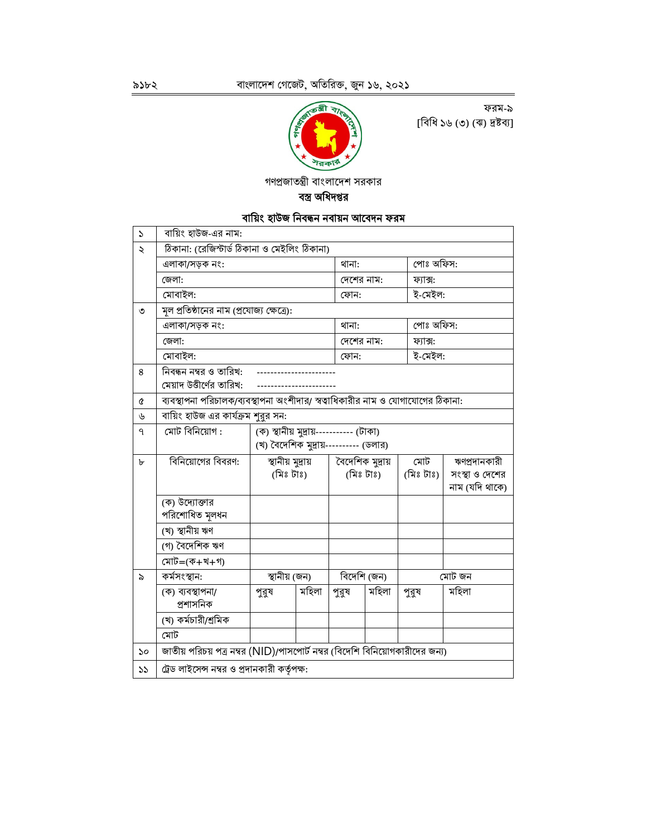

ফরম-৯ [বিধি ১৬ (৩) (ঝ) দ্রষ্টব্য]

গণপ্রজাতন্ত্রী বাংলাদেশ সরকার

বস্ত্র অধিদপ্তর

# বায়িং হাউজ নিবন্ধন নবায়ন আবেদন ফরম

| $\mathcal{L}$         | বায়িং হাউজ-এর নাম:                                                             |                                         |       |                  |            |           |                |
|-----------------------|---------------------------------------------------------------------------------|-----------------------------------------|-------|------------------|------------|-----------|----------------|
| ২                     | ঠিকানা: (রেজিস্টার্ড ঠিকানা ও মেইলিং ঠিকানা)                                    |                                         |       |                  |            |           |                |
|                       | এলাকা/সড়ক নং:                                                                  |                                         | থানা: |                  |            | পোঃ অফিস: |                |
|                       | জেলা:                                                                           |                                         |       |                  | দেশের নাম: | ফ্যাক্স:  |                |
|                       | মোবাইল:                                                                         |                                         |       | ফোন:             |            | ই-মেইল:   |                |
| ৩                     | মূল প্রতিষ্ঠানের নাম (প্রযোজ্য ক্ষেত্রে):                                       |                                         |       |                  |            |           |                |
|                       | এলাকা/সড়ক নং:                                                                  |                                         |       | থানা:            |            | পোঃ অফিস: |                |
|                       | জেলা:                                                                           |                                         |       |                  | দেশের নাম: | ফ্যাক্স:  |                |
|                       | মোবাইল:                                                                         |                                         |       | ফোন:             |            | ই-মেইল:   |                |
| 8                     | নিবন্ধন নম্বর ও তারিখ:                                                          |                                         |       |                  |            |           |                |
|                       | মেয়াদ উত্তীর্ণের তারিখ:                                                        |                                         |       |                  |            |           |                |
| Q                     | ব্যবস্থাপনা পরিচালক/ব্যবস্থাপনা অংশীদার/ স্বত্বাধিকারীর নাম ও যোগাযোগের ঠিকানা: |                                         |       |                  |            |           |                |
| ৬                     | বায়িং হাউজ এর কার্যক্রম শুরুর সন:                                              |                                         |       |                  |            |           |                |
| $\mathsf{P}$          | মোট বিনিয়োগ :                                                                  | (ক) স্থানীয় মুদ্রায়----------- (টাকা) |       |                  |            |           |                |
|                       |                                                                                 | (খ) বৈদেশিক মুদ্রায়--------- (ডলার)    |       |                  |            |           |                |
| ৮                     | বিনিয়োগের বিবরণ:                                                               | স্থানীয় মুদ্ৰায়                       |       | বৈদেশিক মুদ্রায় |            | মোট       | ঋণপ্রদানকারী   |
|                       |                                                                                 | (মিঃ টাঃ)                               |       |                  | (মিঃ টাঃ)  | (মিঃ টাঃ) | সংস্থা ও দেশের |
|                       |                                                                                 |                                         |       |                  |            |           | নাম (যদি থাকে) |
|                       | (ক) উদ্যোক্তার<br>পরিশোধিত মূলধন                                                |                                         |       |                  |            |           |                |
|                       | (খ) স্থানীয় ঋণ                                                                 |                                         |       |                  |            |           |                |
|                       | (গ) বৈদেশিক ঋণ                                                                  |                                         |       |                  |            |           |                |
|                       | মোট=(ক+খ+গ)                                                                     |                                         |       |                  |            |           |                |
| ৯                     | মোট জন<br>কৰ্মসংস্থান:<br>স্থানীয় (জন)<br>বিদেশি (জন)                          |                                         |       |                  |            |           |                |
|                       | (ক) ব্যবস্থাপনা/<br>প্ৰশাসনিক                                                   | পুরুষ                                   | মহিলা | পুরুষ            | মহিলা      | পুরুষ     | মহিলা          |
|                       | (খ) কর্মচারী/শ্রমিক                                                             |                                         |       |                  |            |           |                |
|                       | মোট                                                                             |                                         |       |                  |            |           |                |
| $\mathcal{S}^{\circ}$ | জাতীয় পরিচয় পত্র নম্বর (NID)/পাসপোর্ট নম্বর (বিদেশি বিনিয়োগকারীদের জন্য)     |                                         |       |                  |            |           |                |
| $\mathcal{V}$         | ট্রেড লাইসেন্স নম্বর ও প্রদানকারী কর্তৃপক্ষ:                                    |                                         |       |                  |            |           |                |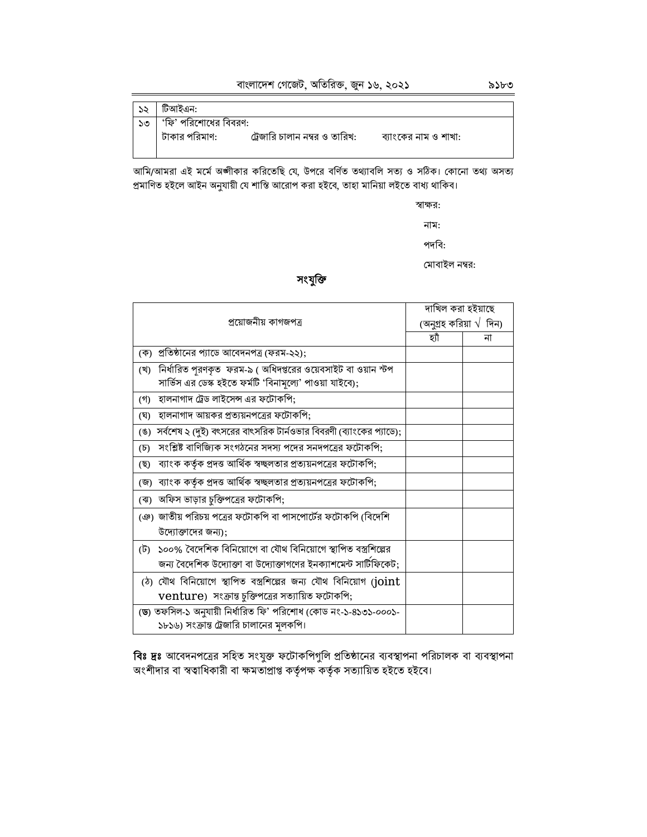| ১২ | টিআইএন:              |                               |                      |
|----|----------------------|-------------------------------|----------------------|
| ১৩ | 'ফি' পরিশোধের বিবরণ: |                               |                      |
|    | টাকার পরিমাণ:        | ট্রেজারি চালান নম্বর ও তারিখ: | ব্যাংকের নাম ও শাখা: |

আমি/আমরা এই মর্মে অঙ্গীকার করিতেছি যে, উপরে বর্ণিত তথ্যাবলি সত্য ও সঠিক। কোনো তথ্য অসত্য<br>প্রমাণিত হইলে আইন অনুযায়ী যে শাস্তি আরোপ করা হইবে, তাহা মানিয়া লইতে বাধ্য থাকিব।

স্বাক্ষর:

নাম:

পদবি:

মোবাইল নম্বর:

#### সংযুক্তি

|                                                                              | দাখিল করা হইয়াছে      |    |
|------------------------------------------------------------------------------|------------------------|----|
| প্ৰয়োজনীয় কাগজপত্ৰ                                                         | (অনুগ্রহ করিয়া √ দিন) |    |
|                                                                              | হাঁ                    | না |
| (ক)  প্রতিষ্ঠানের প্যাডে আবেদনপত্র (ফরম-২২);                                 |                        |    |
| (খ)  নির্ধারিত পুরণকৃত  ফরম-৯ ( অধিদপ্তরের ওয়েবসাইট বা ওয়ান স্টপ           |                        |    |
| সার্ভিস এর ডেস্ক হইতে ফর্মটি 'বিনামূল্যে' পাওয়া যাইবে);                     |                        |    |
| হালনাগাদ ট্রেড লাইসেন্স এর ফটোকপি;<br>(গ)                                    |                        |    |
| হালনাগাদ আয়কর প্রত্যয়নপত্রের ফটোকপি;<br>(ঘ)                                |                        |    |
| (ঙ)  সর্বশেষ ২ (দুই) বৎসরের বাৎসরিক টার্নওভার বিবরণী (ব্যাংকের প্যাডে);      |                        |    |
| সংশ্লিষ্ট বাণিজ্যিক সংগঠনের সদস্য পদের সনদপত্রের ফটোকপি;<br>$(\overline{b})$ |                        |    |
| ব্যাংক কর্তৃক প্রদত্ত আর্থিক স্বচ্ছলতার প্রত্যয়নপত্রের ফটোকপি;<br>(ছ)       |                        |    |
| (জ) ব্যাংক কর্তৃক প্রদত্ত আর্থিক স্বচ্ছলতার প্রত্যয়নপত্রের ফটোকপি;          |                        |    |
| (ঝ) অফিস ভাড়ার চুক্তিপত্রের ফটোকপি;                                         |                        |    |
| ঞে) জাতীয় পরিচয় পত্রের ফটোকপি বা পাসপোর্টের ফটোকপি (বিদেশি                 |                        |    |
| উদ্যোক্তাদের জন্য);                                                          |                        |    |
| (ট) ১০০% বৈদেশিক বিনিয়োগে বা যৌথ বিনিয়োগে স্থাপিত বস্ত্রশিল্পের            |                        |    |
| জন্য বৈদেশিক উদ্যোক্তা বা উদ্যোক্তাগণের ইনক্যাশমেন্ট সার্টিফিকেট;            |                        |    |
| (ঠ) যৌথ বিনিয়োগে স্থাপিত বস্ত্রশিল্পের জন্য যৌথ বিনিয়োগ (joint             |                        |    |
| venture) সংক্রান্ত চুক্তিপত্রের সত্যায়িত ফটোকপি;                            |                        |    |
| (ড) তফসিল-১ অনুযায়ী নির্ধারিত ফি' পরিশোধ (কোড নং-১-৪১৩১-০০০১-               |                        |    |
| ১৮১৬) সংক্রান্ত ট্রেজারি চালানের মূলকপি।                                     |                        |    |

বিঃ দ্রঃ আবেদনপত্রের সহিত সংযুক্ত ফটোকপিগুলি প্রতিষ্ঠানের ব্যবস্থাপনা পরিচালক বা ব্যবস্থাপনা অংশীদার বা স্বত্বাধিকারী বা ক্ষমতাপ্রাপ্ত কর্তৃপক্ষ কর্তৃক সত্যায়িত হইতে হইবে।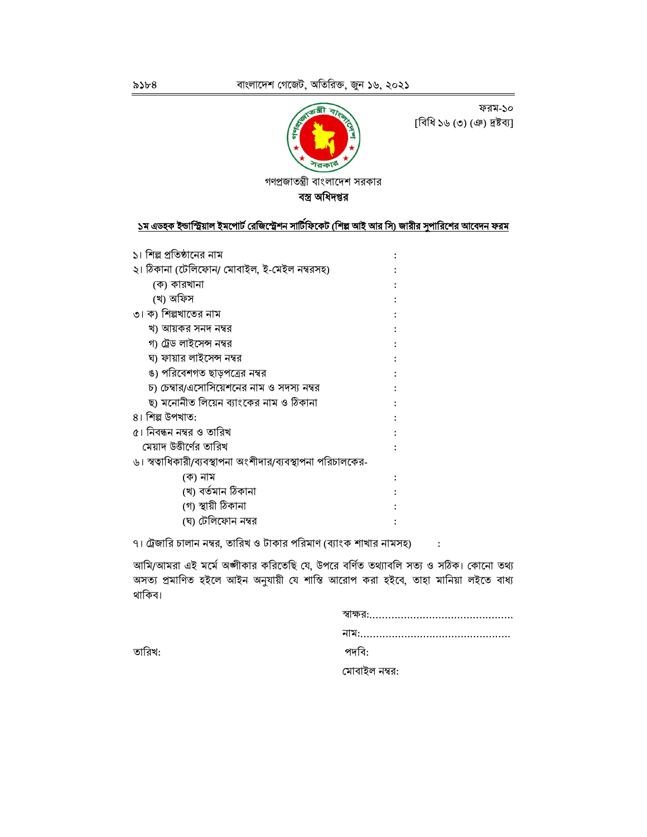

ফরম-১০ [বিধি ১৬ (৩) (ঞ) দ্রষ্টব্য]

গণপ্রজাতন্ত্রী বাংলাদেশ সরকার

বস্ত্র অধিদপ্তর

## ১ম এডহক ইন্ডাস্ট্রিয়াল ইমপোর্ট রেজিস্ট্রেশন সার্টিফিকেট (শিল্প আই আর সি) জারীর সুপারিশের আবেদন ফরম

| ১। শিল্প প্রতিষ্ঠানের নাম                                   |  |
|-------------------------------------------------------------|--|
| ২। ঠিকানা (টেলিফোন/ মোবাইল, ই-মেইল নম্বরসহ)                 |  |
| (ক) কারখানা                                                 |  |
| (খ) অফিস                                                    |  |
| ৩। ক) শিল্পখাতের নাম                                        |  |
| খ) আয়কর সনদ নম্বর                                          |  |
| গ) ট্রেড লাইসেন্স নম্বর                                     |  |
| ঘ) ফায়ার লাইসেন্স নম্বর                                    |  |
| ঙ) পরিবেশগত ছাড়পত্রের নম্বর                                |  |
| চ) চেম্বার/এসোসিয়েশনের নাম ও সদস্য নম্বর                   |  |
| ছ) মনোনীত লিয়েন ব্যাংকের নাম ও ঠিকানা                      |  |
| ৪। শিল্প উপখাত:                                             |  |
| ৫। নিবন্ধন নম্বর ও তারিখ                                    |  |
| মেয়াদ উত্তীর্ণের তারিখ                                     |  |
| ৬। স্বত্বাধিকারী/ব্যবস্থাপনা অংশীদার/ব্যবস্থাপনা পরিচালকের- |  |
| (ক) নাম                                                     |  |
| (খ) বৰ্তমান ঠিকানা                                          |  |
| (গ) স্থায়ী ঠিকানা                                          |  |
| (ঘ) টেলিফোন নম্বর                                           |  |

৭। ট্রেজারি চালান নম্বর, তারিখ ও টাকার পরিমাণ (ব্যাংক শাখার নামসহ) :

আমি/আমরা এই মর্মে অঙ্গীকার করিতেছি যে, উপরে বর্ণিত তথ্যাবলি সত্য ও সঠিক। কোনো তথ্য অসত্য প্রমাণিত হইলে আইন অনুযায়ী যে শাস্তি আরোপ করা হইবে, তাহা মানিয়া লইতে বাধ্য থাকিব।

| পদবি:         |
|---------------|
| মোবাইল নম্বর: |

তারিখ: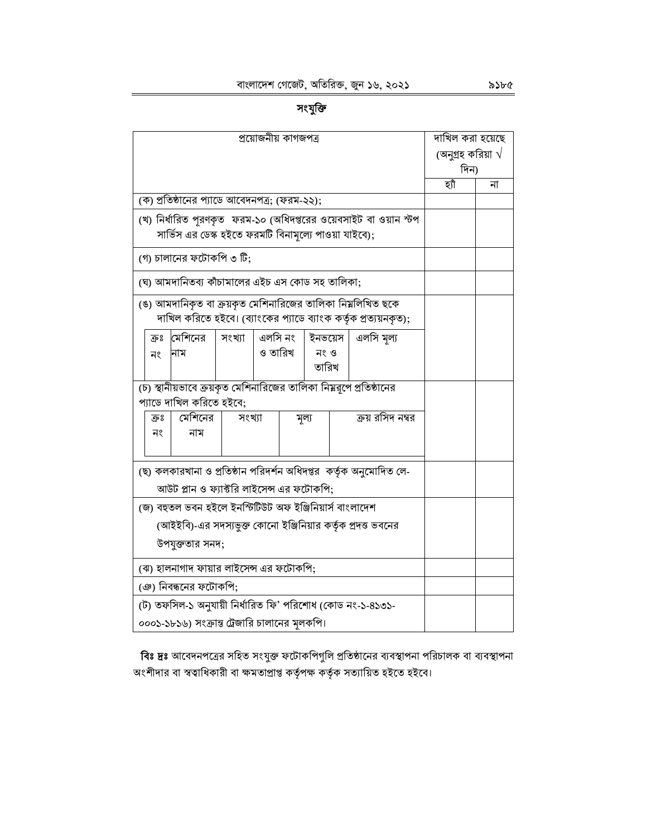# সংযুক্তি

| প্রয়োজনীয় কাগজপত্র                                                                                                       | দাখিল করা হয়েছে |                           |  |
|----------------------------------------------------------------------------------------------------------------------------|------------------|---------------------------|--|
|                                                                                                                            |                  | (অনুগ্রহ করিয়া $\sqrt{}$ |  |
|                                                                                                                            |                  | দিন)                      |  |
|                                                                                                                            | হাঁ              | না                        |  |
| (ক) প্রতিষ্ঠানের প্যাডে আবেদনপত্র; (ফরম-২২);                                                                               |                  |                           |  |
| (খ) নির্ধারিত পূরণকৃত  ফরম-১০ (অধিদপ্তরের ওয়েবসাইট বা ওয়ান স্টপ<br>সার্ভিস এর ডেস্ক হইতে ফরমটি বিনামূল্যে পাওয়া যাইবে); |                  |                           |  |
| (গ) চালানের ফটোকপি ৩ টি;                                                                                                   |                  |                           |  |
| (ঘ) আমদানিতব্য কাঁচামালের এইচ এস কোড সহ তালিকা;                                                                            |                  |                           |  |
| (ঙ) আমদানিকৃত বা ক্রয়কৃত মেশিনারিজের তালিকা নিয়লিখিত ছকে                                                                 |                  |                           |  |
| দাখিল করিতে হইবে। (ব্যাংকের প্যাডে ব্যাংক কর্তৃক প্রত্যয়নকৃত);                                                            |                  |                           |  |
| মেশিনের<br>এলসি নং<br>ইনভয়েস<br>এলসি মল্য<br>সংখ্যা<br>ক্রঃ                                                               |                  |                           |  |
| ও তারিখ<br>নং ও<br>নাম<br>নং<br>তারিখ                                                                                      |                  |                           |  |
|                                                                                                                            |                  |                           |  |
| (চ) স্থানীয়ভাবে ক্রয়কৃত মেশিনারিজের তালিকা নিম্নরূপে প্রতিষ্ঠানের                                                        |                  |                           |  |
| প্যাডে দাখিল করিতে হইবে;                                                                                                   |                  |                           |  |
| মেশিনের<br>ক্রয় রসিদ নম্বর<br>সংখ্যা<br>ক্রঃ<br>মূল্য                                                                     |                  |                           |  |
| নং<br>নাম                                                                                                                  |                  |                           |  |
|                                                                                                                            |                  |                           |  |
| (ছ) কলকারখানা ও প্রতিষ্ঠান পরিদর্শন অধিদপ্তর  কর্তৃক অনুমোদিত লে-                                                          |                  |                           |  |
| আউট প্লান ও ফ্যাক্টরি লাইসেন্স এর ফটোকপি;                                                                                  |                  |                           |  |
| (জ) বহুতল ভবন হইলে ইনস্টিটিউট অফ ইঞ্জিনিয়ার্স বাংলাদেশ                                                                    |                  |                           |  |
| (আইইবি)-এর সদস্যভুক্ত কোনো ইঞ্জিনিয়ার কর্তৃক প্রদত্ত ভবনের                                                                |                  |                           |  |
|                                                                                                                            |                  |                           |  |
| উপযুক্ততার সনদ;                                                                                                            |                  |                           |  |
| (ঝ) হালনাগাদ ফায়ার লাইসেন্স এর ফটোকপি;                                                                                    |                  |                           |  |
| (ঞ) নিবন্ধনের ফটোকপি;                                                                                                      |                  |                           |  |
| (ট) তফসিল-১ অনুযায়ী নিৰ্ধারিত ফি' পরিশোধ (কোড নং-১-৪১৩১-                                                                  |                  |                           |  |
| ০০০১-১৮১৬) সংক্রান্ত ট্রেজারি চালানের মূলকপি।                                                                              |                  |                           |  |

বিঃ দ্রঃ আবেদনপত্রের সহিত সংযুক্ত ফটোকপিগুলি প্রতিষ্ঠানের ব্যবস্থাপনা পরিচালক বা ব্যবস্থাপনা অংশীদার বা স্বত্বাধিকারী বা ক্ষমতাপ্রাপ্ত কর্তৃপক্ষ কর্তৃক সত্যায়িত হইতে হইবে।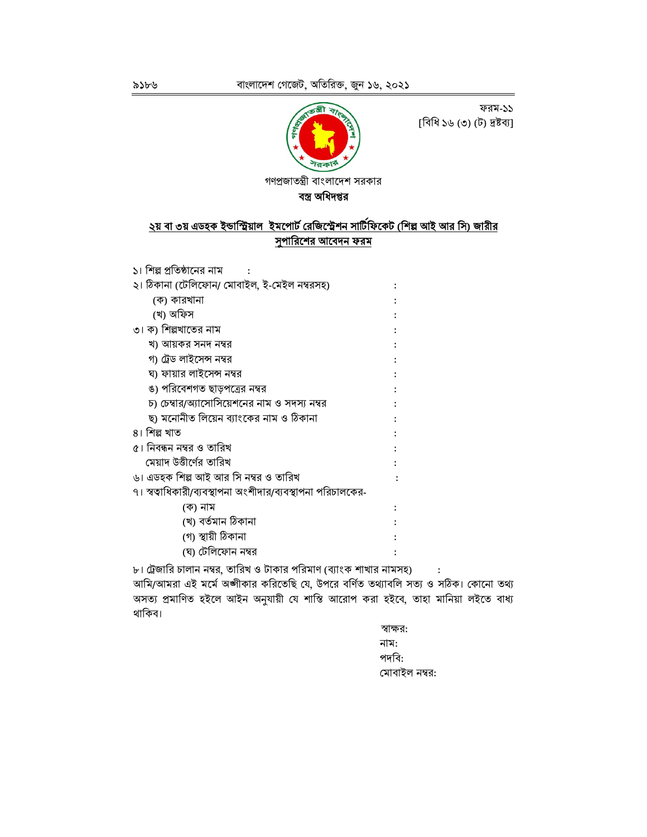ফরম-১১ [বিধি ১৬ (৩) (ট) দ্রষ্টব্য]



গণপ্রজাতন্ত্রী বাংলাদেশ সরকার

বস্ত্র অধিদপ্তর

# <u>২য় বা ৩য় এডহক ইন্ডাস্ট্রিয়াল ইমপোর্ট রেজিস্ট্রেশন সার্টিফিকেট (শিল্প আই আর সি) জারীর</u> <u>সুপারিশের আবেদন ফরম</u>

| ১। শিল্প প্রতিষ্ঠানের নাম                                          |  |
|--------------------------------------------------------------------|--|
| ২। ঠিকানা (টেলিফোন/ মোবাইল, ই-মেইল নম্বরসহ)                        |  |
| (ক) কারখানা                                                        |  |
| (খ) অফিস                                                           |  |
| ৩। ক) শিল্পখাতের নাম                                               |  |
| খ) আয়কর সনদ নম্বর                                                 |  |
| গ) ট্রেড লাইসেন্স নম্বর                                            |  |
| ঘ) ফায়ার লাইসেন্স নম্বর                                           |  |
| ঙ) পরিবেশগত ছাড়পত্রের নম্বর                                       |  |
| চ) চেম্বার/অ্যাসোসিয়েশনের নাম ও সদস্য নম্বর                       |  |
| ছ) মনোনীত লিয়েন ব্যাংকের নাম ও ঠিকানা                             |  |
| ৪। শিল্প খাত                                                       |  |
| ৫। নিবন্ধন নম্বর ও তারিখ                                           |  |
| মেয়াদ উত্তীর্ণের তারিখ                                            |  |
| ৬। এডহক শিল্প আই আর সি নম্বর ও তারিখ                               |  |
| ৭। স্বত্বাধিকারী/ব্যবস্থাপনা অংশীদার/ব্যবস্থাপনা পরিচালকের-        |  |
| (ক) নাম                                                            |  |
| (খ) বৰ্তমান ঠিকানা                                                 |  |
| (গ) স্থায়ী ঠিকানা                                                 |  |
| (ঘ) টেলিফোন নম্বর                                                  |  |
| ৮। ট্রেজারি চালান নম্বর, তারিখ ও টাকার পরিমাণ (ব্যাংক শাখার নামসহ) |  |

আমি/আমরা এই মর্মে অঙ্গীকার করিতেছি যে, উপরে বর্ণিত তথ্যাবলি সত্য ও সঠিক। কোনো তথ্য অসত্য প্রমাণিত হইলে আইন অনুযায়ী যে শাস্তি আরোপ করা হইবে, তাহা মানিয়া লইতে বাধ্য থাকিব।

> স্বাক্ষর: নাম: পদবি: মোবাইল নম্বর: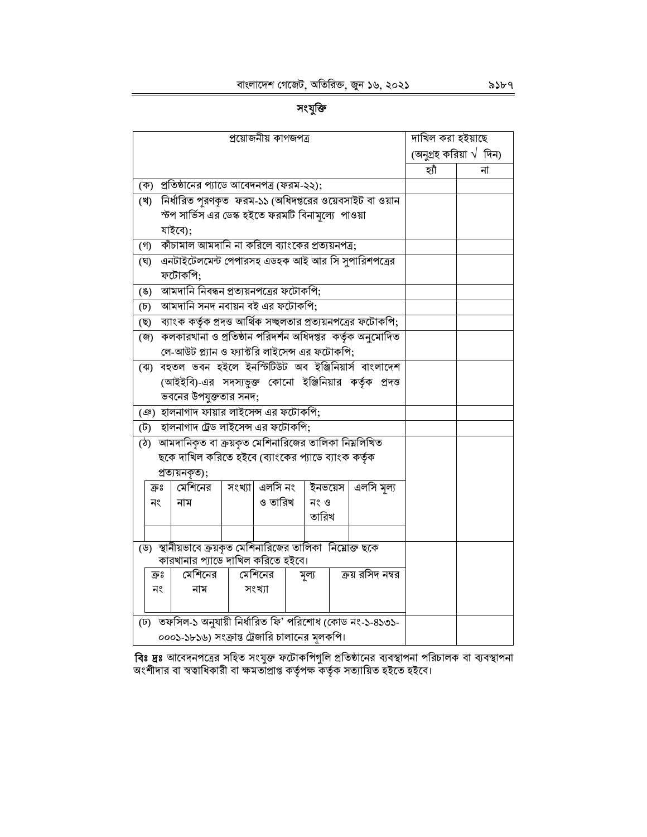সংযুক্তি

| প্ৰয়োজনীয় কাগজপত্ৰ                                                 | দাখিল করা হইয়াছে               |
|----------------------------------------------------------------------|---------------------------------|
|                                                                      | (অনুগ্রহ করিয়া $\sqrt{ }$ দিন) |
|                                                                      | হ্যাঁ<br>না                     |
| প্রতিষ্ঠানের প্যাডে আবেদনপত্র (ফরম-২২);<br>(ক)                       |                                 |
| নির্ধারিত পূরণকৃত ফরম-১১ (অধিদপ্তরের ওয়েবসাইট বা ওয়ান<br>(খ)       |                                 |
| স্টপ সার্ভিস এর ডেস্ক হইতে ফরমটি বিনামূল্যে  পাওয়া                  |                                 |
| যাইবে);                                                              |                                 |
| কাঁচামাল আমদানি না করিলে ব্যাংকের প্রত্যয়নপত্র;<br>(গ)              |                                 |
| এনটাইটেলমেন্ট পেপারসহ এডহক আই আর সি সুপারিশপত্রের<br>(ঘ)             |                                 |
| ফটোকপি;                                                              |                                 |
| আমদানি নিবন্ধন প্রত্যয়নপত্রের ফটোকপি;<br>$($ E)                     |                                 |
| আমদানি সনদ নবায়ন বই এর ফটোকপি;<br>$(\overline{b})$                  |                                 |
| ব্যাংক কর্তৃক প্রদত্ত আর্থিক সচ্ছলতার প্রত্যয়নপত্রের ফটোকপি;<br>(ছ) |                                 |
| কলকারখানা ও প্রতিষ্ঠান পরিদর্শন অধিদপ্তর  কর্তৃক অনুমোদিত<br>(জ)     |                                 |
| লে-আউট প্ল্যান ও ফ্যাক্টরি লাইসেন্স এর ফটোকপি;                       |                                 |
| বহুতল ভবন হইলে ইনস্টিটিউট অব ইঞ্জিনিয়ার্স বাংলাদেশ<br>(ঝ)           |                                 |
| (আইইবি)-এর সদস্যভুক্ত কোনো ইঞ্জিনিয়ার কর্তৃক প্রদত্ত                |                                 |
| ভবনের উপযুক্ততার সনদ;                                                |                                 |
| (ঞ) হালনাগাদ ফায়ার লাইসেন্স এর ফটোকপি;                              |                                 |
| হালনাগাদ ট্রেড লাইসেন্স এর ফটোকপি;<br>(ট)                            |                                 |
| (ঠ) আমদানিকৃত বা ক্রয়কৃত মেশিনারিজের তালিকা নিয়লিখিত               |                                 |
| ছকে দাখিল করিতে হইবে (ব্যাংকের প্যাডে ব্যাংক কর্তৃক                  |                                 |
| প্ৰত্যয়নকৃত);                                                       |                                 |
| সংখ্যা এলসি নং<br>ইনভয়েস<br>এলসি মূল্য<br>মেশিনের<br>ক্রঃ           |                                 |
| ও তারিখ<br>নং ও<br>নং<br>নাম                                         |                                 |
| তারিখ                                                                |                                 |
|                                                                      |                                 |
| (ড) স্থানীয়ভাবে ক্রয়কৃত মেশিনারিজের তালিকা নিয়োক্ত ছকে            |                                 |
| কারখানার প্যাডে দাখিল করিতে হইবে।<br>মেশিনের                         |                                 |
| মেশিনের<br>ক্রয় রসিদ নম্বর<br>ক্রঃ<br>মূল্য                         |                                 |
| নং<br>নাম<br>সংখ্যা                                                  |                                 |
|                                                                      |                                 |
| (ঢ) তফসিল-১ অনুযায়ী নিৰ্ধারিত ফি' পরিশোধ (কোড নং-১-৪১৩১-            |                                 |
| ০০০১-১৮১৬) সংক্রান্ত ট্রেজারি চালানের মূলকপি।                        |                                 |

**বিঃ দ্রঃ** আবেদনপত্রের সহিত সংযুক্ত ফটোকপিগুলি প্রতিষ্ঠানের ব্যবস্থাপনা পরিচালক বা ব্যবস্থাপনা<br>অংশীদার বা স্বত্বাধিকারী বা ক্ষমতাপ্রাপ্ত কর্তৃপক্ষ কর্তৃক সত্যায়িত হইতে হইবে।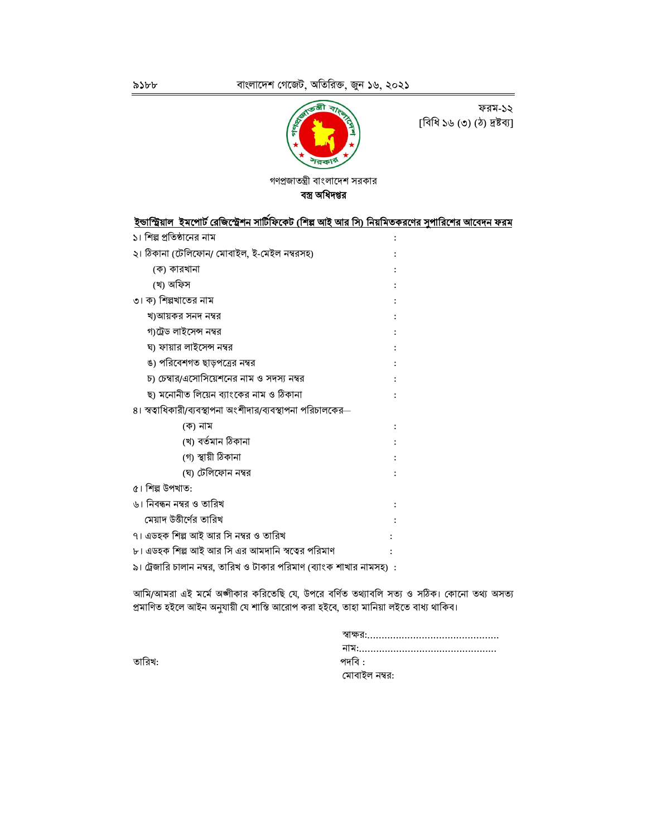

ফরম-১২ [বিধি ১৬ (৩) (ঠ) দ্রষ্টব্য]

গণপ্রজাতন্ত্রী বাংলাদেশ সরকার বস্ত্র অধিদপ্তর

| ইন্ডাস্ট্রিয়াল  ইমপোর্ট রেজিস্ট্রেশন সাটিফিকেট (শিল্প আই আর সি) নিয়মিতকরণের সুপারিশের আবেদন ফরম |  |
|---------------------------------------------------------------------------------------------------|--|
| ১। শিল্প প্রতিষ্ঠানের নাম                                                                         |  |
| ২। ঠিকানা (টেলিফোন/ মোবাইল, ই-মেইল নম্বরসহ)                                                       |  |
| (ক) কারখানা                                                                                       |  |
| (খ) অফিস                                                                                          |  |
| ৩। ক) শিল্পখাতের নাম                                                                              |  |
| খ)আয়কর সনদ নম্বর                                                                                 |  |
| গ)ট্রেড লাইসেন্স নম্বর                                                                            |  |
| ঘ) ফায়ার লাইসেন্স নম্বর                                                                          |  |
| ঙ) পরিবেশগত ছাড়পত্রের নম্বর                                                                      |  |
| চ) চেম্বার/এসোসিয়েশনের নাম ও সদস্য নম্বর                                                         |  |
| ছ) মনোনীত লিয়েন ব্যাংকের নাম ও ঠিকানা                                                            |  |
| ৪। স্বত্বাধিকারী/ব্যবস্থাপনা অংশীদার/ব্যবস্থাপনা পরিচালকের—                                       |  |
| (ক) নাম                                                                                           |  |
| (খ) বৰ্তমান ঠিকানা                                                                                |  |
| (গ) স্থায়ী ঠিকানা                                                                                |  |
| (ঘ) টেলিফোন নম্বর                                                                                 |  |
| ৫। শিল্প উপখাত:                                                                                   |  |
| ৬। নিবন্ধন নম্বর ও তারিখ                                                                          |  |
| মেয়াদ উত্তীর্ণের তারিখ                                                                           |  |
| ৭। এডহক শিল্প আই আর সি নম্বর ও তারিখ                                                              |  |
| ৮। এডহক শিল্প আই আর সি এর আমদানি স্বত্বের পরিমাণ                                                  |  |
| ৯। ট্রেজারি চালান নম্বর, তারিখ ও টাকার পরিমাণ (ব্যাংক শাখার নামসহ)  :                             |  |
|                                                                                                   |  |

আমি/আমরা এই মর্মে অঙ্গীকার করিতেছি যে, উপরে বর্ণিত তথ্যাবলি সত্য ও সঠিক। কোনো তথ্য অসত্য প্রমাণিত হইলে আইন অনুযায়ী যে শাস্তি আরোপ করা হইবে, তাহা মানিয়া লইতে বাধ্য থাকিব।

| পদাব :        |  |
|---------------|--|
| মোবাইল নম্বর: |  |

তারিখ: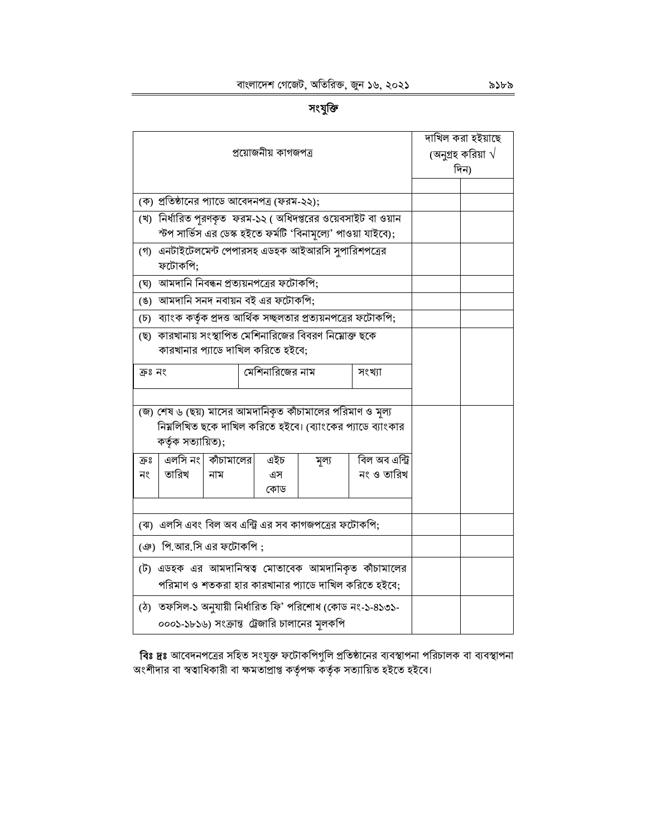# সংযুক্তি

| প্ৰয়োজনীয় কাগজপত্ৰ                                                                                                                         | দাখিল করা হইয়াছে<br>(অনুগ্রহ করিয়া $\sqrt{}$<br>দিন) |
|----------------------------------------------------------------------------------------------------------------------------------------------|--------------------------------------------------------|
|                                                                                                                                              |                                                        |
| (ক) প্রতিষ্ঠানের প্যাডে আবেদনপত্র (ফরম-২২);                                                                                                  |                                                        |
| (খ) নির্ধারিত পুরণকৃত  ফরম-১২ ( অধিদপ্তরের ওয়েবসাইট বা ওয়ান<br>স্টপ সার্ভিস এর ডেস্ক হইতে ফর্মটি 'বিনামূল্যে' পাওয়া যাইবে);               |                                                        |
| (গ) এনটাইটেলমেন্ট পেপারসহ এডহক আইআরসি সুপারিশপত্রের<br>ফটোকপি;                                                                               |                                                        |
| (ঘ) আমদানি নিবন্ধন প্রত্যয়নপত্রের ফটোকপি;                                                                                                   |                                                        |
| (ঙ) আমদানি সনদ নবায়ন বই এর ফটোকপি;                                                                                                          |                                                        |
| (চ) ব্যাংক কর্তৃক প্রদত্ত আর্থিক সচ্ছলতার প্রত্যয়নপত্রের ফটোকপি;                                                                            |                                                        |
| (ছ)  কারখানায় সংস্থাপিত মেশিনারিজের বিবরণ নিয়োক্ত ছকে<br>কারখানার প্যাডে দাখিল করিতে হইবে;                                                 |                                                        |
| মেশিনারিজের নাম<br>ক্ৰঃ নং<br>সংখ্যা                                                                                                         |                                                        |
| (জ) শেষ ৬ (ছয়) মাসের আমদানিকৃত কাঁচামালের পরিমাণ ও মল্য<br>নিম্নলিখিত ছকে দাখিল করিতে হইবে। (ব্যাংকের প্যাডে ব্যাংকার<br>কৰ্তৃক সত্যায়িত); |                                                        |
| এলসি নং  কাঁচামালের<br>বিল অব এন্ট্রি<br>এইচ<br>ক্রঃ<br>মূল্য<br>তারিখ<br>নং ও তারিখ<br>নং<br>নাম<br>এস<br>কোড                               |                                                        |
| (ঝ) এলসি এবং বিল অব এন্ট্রি এর সব কাগজপত্রের ফটোকপি;                                                                                         |                                                        |
| (ঞ) পি.আর.সি এর ফটোকপি;                                                                                                                      |                                                        |
| (ট) এডহক এর আমদানিস্বত্ব মোতাবেক আমদানিকৃত কাঁচামালের<br>পরিমাণ ও শতকরা হার কারখানার প্যাডে দাখিল করিতে হইবে;                                |                                                        |
| (ঠ) তফসিল-১ অনুযায়ী নির্ধারিত ফি' পরিশোধ (কোড নং-১-৪১৩১-<br>০০০১-১৮১৬) সংক্রান্ত ট্রেজারি চালানের মূলকপি                                    |                                                        |

**বিঃ দ্রঃ** আবেদনপত্রের সহিত সংযুক্ত ফটোকপিগুলি প্রতিষ্ঠানের ব্যবস্থাপনা পরিচালক বা ব্যবস্থাপনা<br>অংশীদার বা স্বত্বাধিকারী বা ক্ষমতাপ্রাপ্ত কর্তৃপক্ষ কর্তৃক সত্যায়িত হইতে হইবে।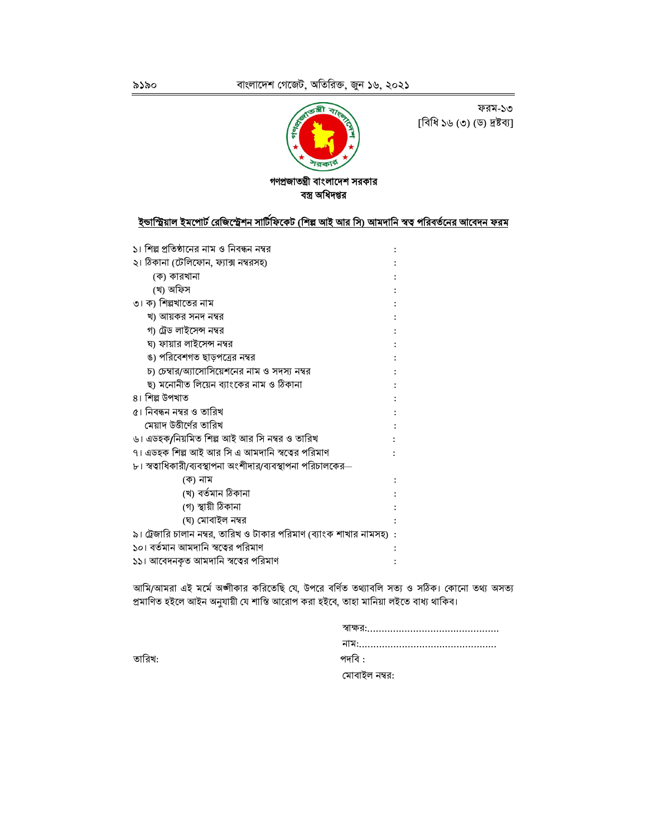

ফরম-১৩ [বিধি ১৬ (৩) (ড) দ্রষ্টব্য]

#### গণপ্রজাতন্ত্রী বাংলাদেশ সরকার বস্ত্র অধিদপ্তর

# ইন্ডাস্ট্রিয়াল <u>ইমপোর্ট রেজিস্ট্রেশন সার্টিফিকেট (শিল্প আই আর সি) আমদানি স্বত্ব পরিবর্তনের আবেদন ফরম</u>

| ১। শিল্প প্রতিষ্ঠানের নাম ও নিবন্ধন নম্বর                          |  |
|--------------------------------------------------------------------|--|
| ২। ঠিকানা (টেলিফোন, ফ্যাক্স নম্বরসহ)                               |  |
| (ক) কারখানা                                                        |  |
| (খ) অফিস                                                           |  |
| ৩। ক) শিল্পখাতের নাম                                               |  |
| খ) আয়কর সনদ নম্বর                                                 |  |
| গ) ট্রেড লাইসেন্স নম্বর                                            |  |
| ঘ) ফায়ার লাইসেন্স নম্বর                                           |  |
| ঙ) পরিবেশগত ছাড়পত্রের নম্বর                                       |  |
| চ) চেম্বার/অ্যাসোসিয়েশনের নাম ও সদস্য নম্বর                       |  |
| ছ) মনোনীত লিয়েন ব্যাংকের নাম ও ঠিকানা                             |  |
| ৪। শিল্প উপখাত                                                     |  |
| ৫। নিবন্ধন নম্বর ও তারিখ                                           |  |
| মেয়াদ উত্তীর্ণের তারিখ                                            |  |
| ৬। এডহক/নিয়মিত শিল্প আই আর সি নম্বর ও তারিখ                       |  |
| ৭। এডহক শিল্প আই আর সি এ আমদানি স্বত্বের পরিমাণ                    |  |
| ৮। স্বত্বাধিকারী/ব্যবস্থাপনা অংশীদার/ব্যবস্থাপনা পরিচালকের—        |  |
| (ক) নাম                                                            |  |
| (খ) বৰ্তমান ঠিকানা                                                 |  |
| (গ) স্থায়ী ঠিকানা                                                 |  |
| (ঘ) মোবাইল নম্বর                                                   |  |
| ৯। ট্রেজারি চালান নম্বর, তারিখ ও টাকার পরিমাণ (ব্যাংক শাখার নামসহ) |  |
| ১০। বর্তমান আমদানি স্বত্বের পরিমাণ                                 |  |
| ১১। আবেদনকৃত আমদানি স্বত্বের পরিমাণ                                |  |

আমি/আমরা এই মর্মে অঙ্গীকার করিতেছি যে, উপরে বর্ণিত তথ্যাবলি সত্য ও সঠিক। কোনো তথ্য অসত্য প্রমাণিত হইলে আইন অনুযায়ী যে শাস্তি আরোপ করা হইবে, তাহা মানিয়া লইতে বাধ্য থাকিব।

| পদবি :        |
|---------------|
| মোবাইল নম্বর: |

তারিখ: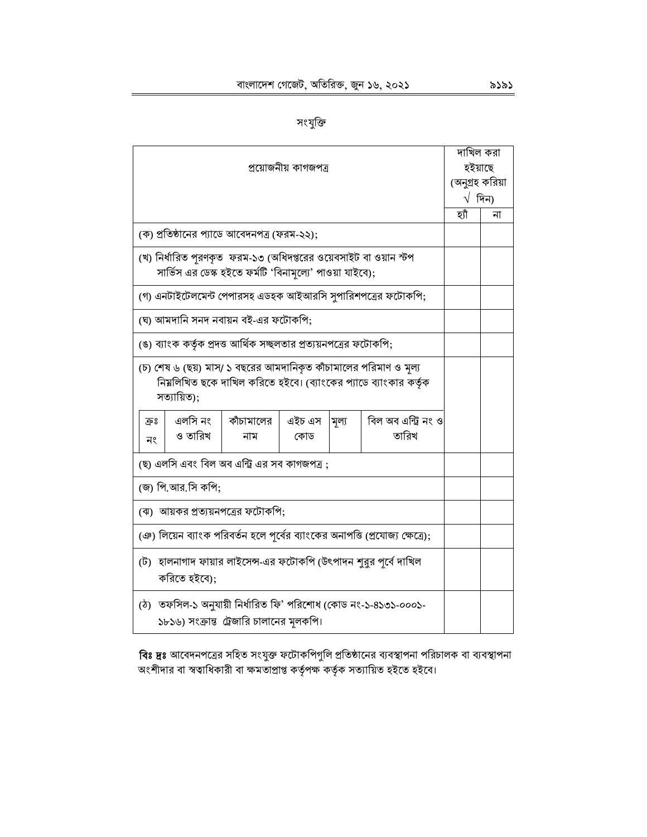|                                                                                                                                                    |                                                                                                                              |  |                      |  | দাখিল করা                                                   |                 |    |
|----------------------------------------------------------------------------------------------------------------------------------------------------|------------------------------------------------------------------------------------------------------------------------------|--|----------------------|--|-------------------------------------------------------------|-----------------|----|
|                                                                                                                                                    |                                                                                                                              |  | প্রয়োজনীয় কাগজপত্র |  |                                                             | হইয়াছে         |    |
|                                                                                                                                                    |                                                                                                                              |  |                      |  |                                                             | (অনুগ্ৰহ করিয়া |    |
|                                                                                                                                                    |                                                                                                                              |  |                      |  |                                                             | $\sqrt{2}$ দিন) |    |
|                                                                                                                                                    |                                                                                                                              |  |                      |  |                                                             | হাঁ             | না |
|                                                                                                                                                    | (ক) প্রতিষ্ঠানের প্যাডে আবেদনপত্র (ফরম-২২);                                                                                  |  |                      |  |                                                             |                 |    |
|                                                                                                                                                    | (খ) নির্ধারিত পরণকৃত  ফরম-১৩ (অধিদপ্তরের ওয়েবসাইট বা ওয়ান স্টপ<br>সার্ভিস এর ডেস্ক হইতে ফর্মটি 'বিনামূল্যে' পাওয়া যাইবে); |  |                      |  |                                                             |                 |    |
|                                                                                                                                                    |                                                                                                                              |  |                      |  | (গ) এনটাইটেলমেন্ট পেপারসহ এডহক আইআরসি সুপারিশপত্রের ফটোকপি; |                 |    |
|                                                                                                                                                    | (ঘ) আমদানি সনদ নবায়ন বই-এর ফটোকপি;                                                                                          |  |                      |  |                                                             |                 |    |
|                                                                                                                                                    | (ঙ) ব্যাংক কর্তৃক প্রদত্ত আর্থিক সচ্ছলতার প্রত্যয়নপত্রের ফটোকপি;                                                            |  |                      |  |                                                             |                 |    |
| (চ) শেষ ৬ (ছয়) মাস/ ১ বছরের আমদানিকৃত কাঁচামালের পরিমাণ ও মল্য<br>নিয়লিখিত ছকে দাখিল করিতে হইবে। (ব্যাংকের প্যাডে ব্যাংকার কর্তৃক<br>সত্যায়িত); |                                                                                                                              |  |                      |  |                                                             |                 |    |
| ক্রঃ<br>নং                                                                                                                                         | এলসি নং<br>বিল অব এন্ট্রি নং ও<br>কাঁচামালের<br>এইচ এস<br>মূল্য<br>তারিখ<br>ও তারিখ<br>নাম<br>কোড                            |  |                      |  |                                                             |                 |    |
|                                                                                                                                                    | (ছ) এলসি এবং বিল অব এন্ট্রি এর সব কাগজপত্র;                                                                                  |  |                      |  |                                                             |                 |    |
| (জ) পি.আর.সি কপি;                                                                                                                                  |                                                                                                                              |  |                      |  |                                                             |                 |    |
| (ঝ)  আয়কর প্রত্যয়নপত্রের ফটোকপি;                                                                                                                 |                                                                                                                              |  |                      |  |                                                             |                 |    |
| (ঞ) লিয়েন ব্যাংক পরিবর্তন হলে পূর্বের ব্যাংকের অনাপত্তি (প্রযোজ্য ক্ষেত্রে);                                                                      |                                                                                                                              |  |                      |  |                                                             |                 |    |
| (ট) হালনাগাদ ফায়ার লাইসেন্স-এর ফটোকপি (উৎপাদন শুরুর পূর্বে দাখিল<br>করিতে হইবে):                                                                  |                                                                                                                              |  |                      |  |                                                             |                 |    |
| (ঠ) তফসিল-১ অনুযায়ী নির্ধারিত ফি' পরিশোধ (কোড নং-১-৪১৩১-০০০১-<br>১৮১৬) সংক্রান্ত ট্রেজারি চালানের মূলকপি।                                         |                                                                                                                              |  |                      |  |                                                             |                 |    |

**বিঃ দ্রঃ** আবেদনপত্রের সহিত সংযুক্ত ফটোকপিগুলি প্রতিষ্ঠানের ব্যবস্থাপনা পরিচালক বা ব্যবস্থাপনা<br>অংশীদার বা স্বত্বাধিকারী বা ক্ষমতাপ্রাপ্ত কর্তৃপক্ষ কর্তৃক সত্যায়িত হইতে হইবে।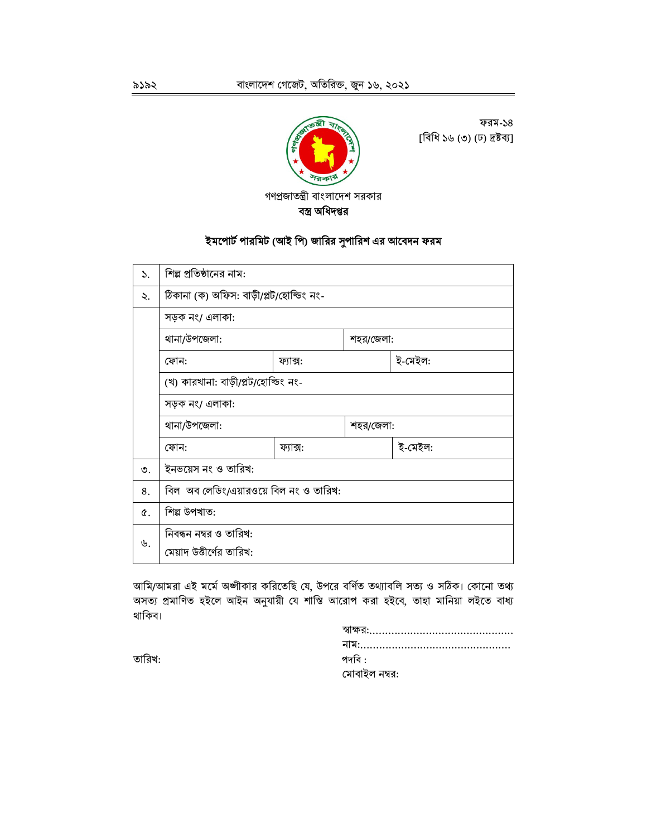

ফরম-১৪ [বিধি ১৬ (৩) (ঢ) দ্ৰষ্টব্য]

ইমপোর্ট পারমিট (আই পি) জারির সুপারিশ এর আবেদন ফরম

| $\mathcal{L}$ . | শিল্প প্রতিষ্ঠানের নাম:                            |          |  |         |  |  |
|-----------------|----------------------------------------------------|----------|--|---------|--|--|
| ₹.              | ঠিকানা (ক) অফিস: বাড়ী/প্লট/হোল্ডিং নং-            |          |  |         |  |  |
|                 | সড়ক নং/ এলাকা:                                    |          |  |         |  |  |
|                 | থানা/উপজেলা:<br>শহর/জেলা:                          |          |  |         |  |  |
|                 | ই-মেইল:<br>ফোন:<br>ফ্যাক্স:                        |          |  |         |  |  |
|                 | (খ) কারখানা: বাড়ী/প্লট/হোল্ডিং নং-                |          |  |         |  |  |
|                 | সড়ক নং/ এলাকা:                                    |          |  |         |  |  |
|                 | থানা/উপজেলা:<br>শহর/জেলা:                          |          |  |         |  |  |
|                 | ফোন:                                               | ফ্যাক্স: |  | ই-মেইল: |  |  |
| ৩.              | ইনভয়েস নং ও তারিখ:                                |          |  |         |  |  |
| 8.              | বিল  অব লেডিং/এয়ারওয়ে বিল নং ও তারিখ:            |          |  |         |  |  |
| Q.              | শিল্প উপখাত:                                       |          |  |         |  |  |
| ৬.              | নিবন্ধন নম্বর ও তারিখ:<br>মেয়াদ উত্তীর্ণের তারিখ: |          |  |         |  |  |

আমি/আমরা এই মর্মে অঙ্গীকার করিতেছি যে, উপরে বর্ণিত তথ্যাবলি সত্য ও সঠিক। কোনো তথ্য অসত্য প্রমাণিত হইলে আইন অনুযায়ী যে শাস্তি আরোপ করা হইবে, তাহা মানিয়া লইতে বাধ্য থাকিব।

| পদবি :        |
|---------------|
| মোবাইল নম্বর: |

তারিখ: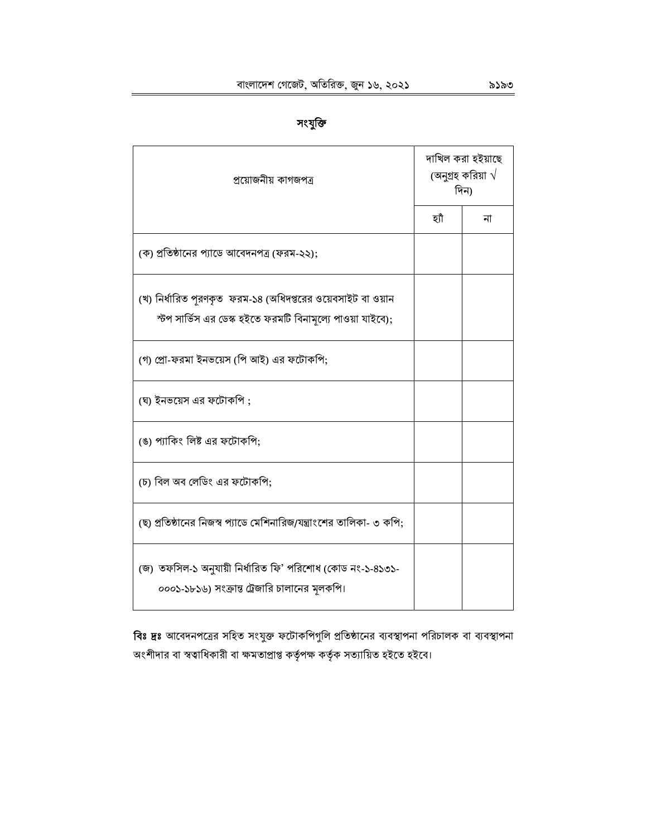| ٠ |
|---|
|   |

| প্ৰয়োজনীয় কাগজপত্ৰ                                                                                                      | দাখিল করা হইয়াছে<br>(অনুগ্রহ করিয়া $\sqrt{}$<br>দিন) |    |  |
|---------------------------------------------------------------------------------------------------------------------------|--------------------------------------------------------|----|--|
|                                                                                                                           | হাঁ                                                    | না |  |
| (ক) প্রতিষ্ঠানের প্যাডে আবেদনপত্র (ফরম-২২);                                                                               |                                                        |    |  |
| (খ) নির্ধারিত পূরণকৃত ফরম-১৪ (অধিদপ্তরের ওয়েবসাইট বা ওয়ান<br>স্টপ সার্ভিস এর ডেস্ক হইতে ফরমটি বিনামূল্যে পাওয়া যাইবে); |                                                        |    |  |
| (গ) প্রো-ফরমা ইনভয়েস (পি আই) এর ফটোকপি;                                                                                  |                                                        |    |  |
| (ঘ) ইনভয়েস এর ফটোকপি ;                                                                                                   |                                                        |    |  |
| (ঙ) প্যাকিং লিষ্ট এর ফটোকপি:                                                                                              |                                                        |    |  |
| (চ) বিল অব লেডিং এর ফটোকপি;                                                                                               |                                                        |    |  |
| (ছ) প্রতিষ্ঠানের নিজস্ব প্যাডে মেশিনারিজ/যন্ত্রাংশের তালিকা- ৩ কপি;                                                       |                                                        |    |  |
| (জ) তফসিল-১ অনুযায়ী নির্ধারিত ফি' পরিশোধ (কোড নং-১-৪১৩১-<br>০০০১-১৮১৬) সংক্রান্ত ট্রেজারি চালানের মূলকপি।                |                                                        |    |  |

বিঃ দ্রঃ আবেদনপত্রের সহিত সংযুক্ত ফটোকপিগুলি প্রতিষ্ঠানের ব্যবস্থাপনা পরিচালক বা ব্যবস্থাপনা অংশীদার বা স্বত্বাধিকারী বা ক্ষমতাপ্রাপ্ত কর্তৃপক্ষ কর্তৃক সত্যায়িত হইতে হইবে।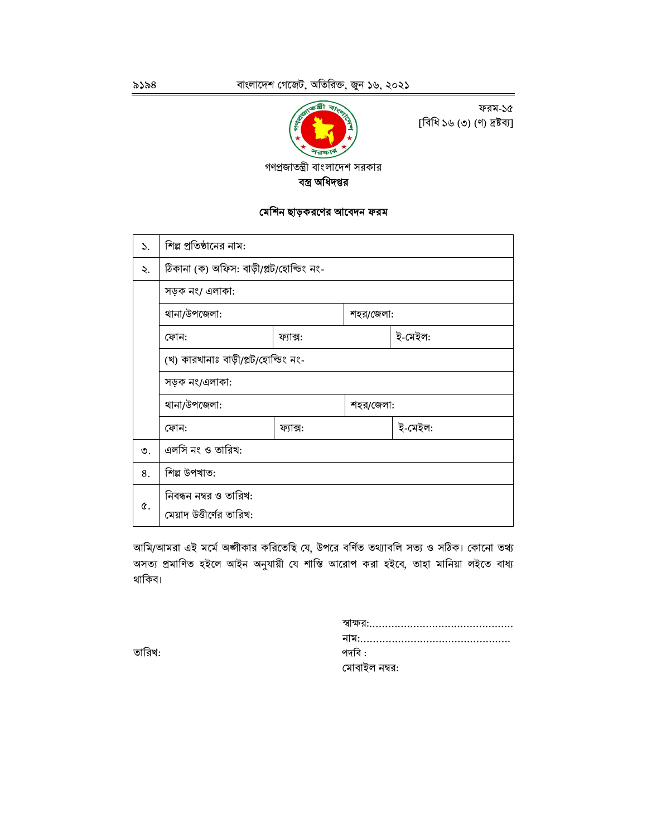

ফরম-১৫ [বিধি ১৬ (৩) (ণ) দ্ৰষ্টব্য]

বস্ত্র অধিদপ্তর

#### মেশিন ছাড়করণের আবেদন ফরম

| ১. | শিল্প প্রতিষ্ঠানের নাম:                 |  |           |  |  |  |  |
|----|-----------------------------------------|--|-----------|--|--|--|--|
| ২. | ঠিকানা (ক) অফিস: বাড়ী/প্লট/হোল্ডিং নং- |  |           |  |  |  |  |
|    | সড়ক নং/ এলাকা:                         |  |           |  |  |  |  |
|    | থানা/উপজেলা:<br>শহর/জেলা:               |  |           |  |  |  |  |
|    | ই-মেইল:<br>ফোন:<br>ফ্যাক্স:             |  |           |  |  |  |  |
|    | (খ) কারখানাঃ বাড়ী/প্লট/হোল্ডিং নং-     |  |           |  |  |  |  |
|    | সড়ক নং/এলাকা:                          |  |           |  |  |  |  |
|    | থানা/উপজেলা:                            |  | শহর/জেলা: |  |  |  |  |
|    | ই-মেইল:<br>ফোন:<br>ফ্যাক্স:             |  |           |  |  |  |  |
| ৩. | এলসি নং ও তারিখ:                        |  |           |  |  |  |  |
| 8. | শিল্প উপখাত:                            |  |           |  |  |  |  |
| ¢. | নিবন্ধন নম্বর ও তারিখ:                  |  |           |  |  |  |  |
|    | মেয়াদ উত্তীর্ণের তারিখ:                |  |           |  |  |  |  |

আমি/আমরা এই মর্মে অঙ্গীকার করিতেছি যে, উপরে বর্ণিত তথ্যাবলি সত্য ও সঠিক। কোনো তথ্য অসত্য প্রমাণিত হইলে আইন অনুযায়ী যে শাস্তি আরোপ করা হইবে, তাহা মানিয়া লইতে বাধ্য থাকিব।

| স্বাক্ষর:……………………………………… |
|--------------------------|
|                          |
| পদবি :                   |
| মোবাইল নম্বর:            |

তারিখ: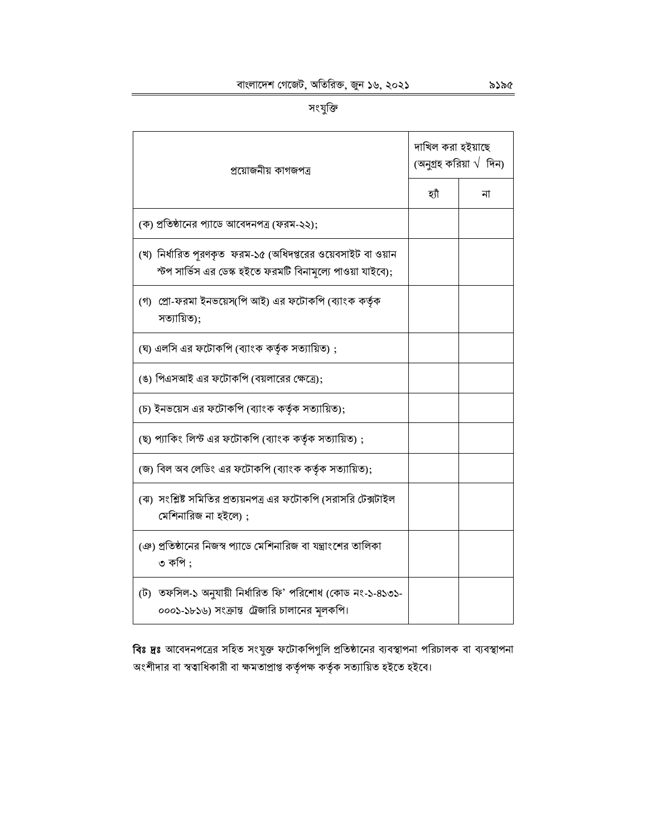| প্রয়োজনীয় কাগজপত্র                                                                                                      | দাখিল করা হইয়াছে<br>(অনুগ্ৰহ করিয়া $\sqrt{ }$ দিন) |    |  |
|---------------------------------------------------------------------------------------------------------------------------|------------------------------------------------------|----|--|
|                                                                                                                           | হাঁ                                                  | না |  |
| (ক) প্রতিষ্ঠানের প্যাডে আবেদনপত্র (ফরম-২২);                                                                               |                                                      |    |  |
| (খ) নির্ধারিত পুরণকৃত  ফরম-১৫ (অধিদপ্তরের ওয়েবসাইট বা ওয়ান<br>স্টপ সার্ভিস এর ডেস্ক হইতে ফরমটি বিনামল্যে পাওয়া যাইবে); |                                                      |    |  |
| (গ)  প্রো-ফরমা ইনভয়েস(পি আই) এর ফটোকপি (ব্যাংক কর্তৃক<br>সত্যায়িত);                                                     |                                                      |    |  |
| (ঘ) এলসি এর ফটোকপি (ব্যাংক কর্তৃক সত্যায়িত);                                                                             |                                                      |    |  |
| (ঙ) পিএসআই এর ফটোকপি (বয়লারের ক্ষেত্রে);                                                                                 |                                                      |    |  |
| (চ) ইনভয়েস এর ফটোকপি (ব্যাংক কর্তৃক সত্যায়িত);                                                                          |                                                      |    |  |
| (ছ) প্যাকিং লিস্ট এর ফটোকপি (ব্যাংক কর্তৃক সত্যায়িত);                                                                    |                                                      |    |  |
| (জ) বিল অব লেডিং এর ফটোকপি (ব্যাংক কর্তৃক সত্যায়িত);                                                                     |                                                      |    |  |
| (ঝ)  সংশ্লিষ্ট সমিতির প্রত্যয়নপত্র এর ফটোকপি (সরাসরি টেক্সটাইল<br>মেশিনারিজ না হইলে) ;                                   |                                                      |    |  |
| (ঞ) প্রতিষ্ঠানের নিজস্ব প্যাডে মেশিনারিজ বা যন্ত্রাংশের তালিকা<br>৩ কপি ;                                                 |                                                      |    |  |
| (ট) তফসিল-১ অনুযায়ী নির্ধারিত ফি' পরিশোধ (কোড নং-১-৪১৩১-<br>০০০১-১৮১৬) সংক্রান্ত ট্রেজারি চালানের মূলকপি।                |                                                      |    |  |

বিঃ দ্রঃ আবেদনপত্রের সহিত সংযুক্ত ফটোকপিগুলি প্রতিষ্ঠানের ব্যবস্থাপনা পরিচালক বা ব্যবস্থাপনা .<br>অংশীদার বা স্বত্বাধিকারী বা ক্ষমতাপ্রাপ্ত কর্তৃপক্ষ কর্তৃক সত্যায়িত হইতে হইবে।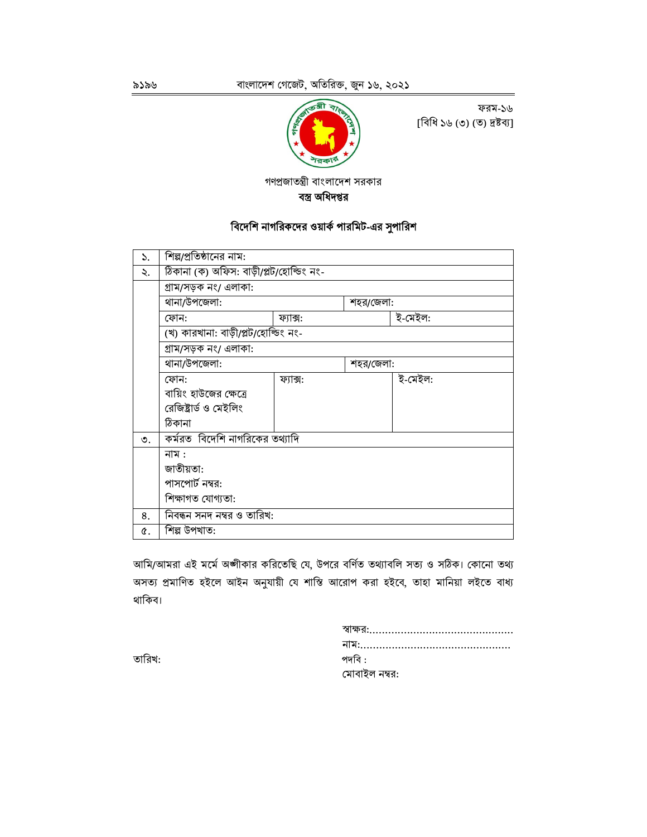

ফরম-১৬ [বিধি ১৬ (৩) (ত) দ্ৰষ্টব্য]

গণপ্রজাতন্ত্রী বাংলাদেশ সরকার

বস্ত্র অধিদপ্তর

## বিদেশি নাগরিকদের ওয়ার্ক পারমিট-এর সুপারিশ

| ১. | শিল্পপ্রতিষ্ঠানের নাম:                  |          |         |         |  |  |  |
|----|-----------------------------------------|----------|---------|---------|--|--|--|
| ২. | ঠিকানা (ক) অফিস: বাড়ী/প্লট/হোল্ডিং নং- |          |         |         |  |  |  |
|    | গ্ৰাম/সড়ক নং/ এলাকা:                   |          |         |         |  |  |  |
|    | থানা/উপজেলা:<br>শহর/জেলা:               |          |         |         |  |  |  |
|    | ফোন:                                    | ফ্যাক্স: | ই-মেইল: |         |  |  |  |
|    | (খ) কারখানা: বাড়ী/প্লট/হোল্ডিং নং-     |          |         |         |  |  |  |
|    | গ্ৰাম/সড়ক নং/ এলাকা:                   |          |         |         |  |  |  |
|    | থানা/উপজেলা:<br>শহর/জেলা:               |          |         |         |  |  |  |
|    | ফোন:                                    | ফ্যাক্স: |         | ই-মেইল: |  |  |  |
|    | বায়িং হাউজের ক্ষেত্রে                  |          |         |         |  |  |  |
|    | রেজিষ্টার্ড ও মেইলিং                    |          |         |         |  |  |  |
|    | ঠিকানা                                  |          |         |         |  |  |  |
| ৩. | কর্মরত  বিদেশি নাগরিকের তথ্যাদি         |          |         |         |  |  |  |
|    | নাম :                                   |          |         |         |  |  |  |
|    | জাতীয়তা:                               |          |         |         |  |  |  |
|    | পাসপোর্ট নম্বর:                         |          |         |         |  |  |  |
|    | শিক্ষাগত যোগ্যতা:                       |          |         |         |  |  |  |
| 8. | নিবন্ধন সনদ নম্বর ও তারিখ:              |          |         |         |  |  |  |
| ¢. | শিল্প উপখাত:                            |          |         |         |  |  |  |

আমি/আমরা এই মর্মে অঙ্গীকার করিতেছি যে, উপরে বর্ণিত তথ্যাবলি সত্য ও সঠিক। কোনো তথ্য অসত্য প্রমাণিত হইলে আইন অনুযায়ী যে শাস্তি আরোপ করা হইবে, তাহা মানিয়া লইতে বাধ্য থাকিব।

| পদবি :        |
|---------------|
| মোবাইল নম্বর: |

তারিখ: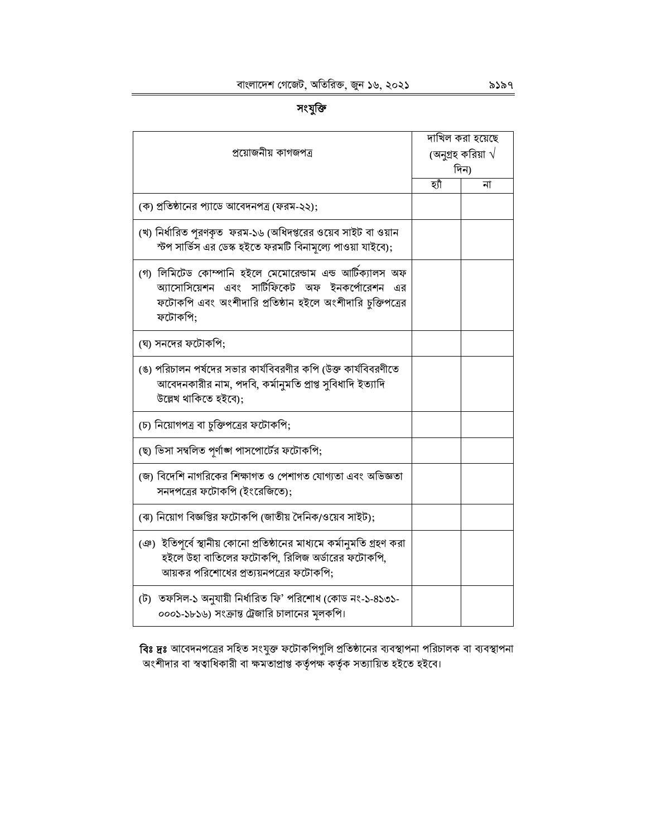| ٠<br>H | Ĺ<br>٠ |
|--------|--------|
|        |        |

| প্ৰয়োজনীয় কাগজপত্ৰ                                                                                                                                                               | দাখিল করা হয়েছে<br>(অনুগ্রহ করিয়া $\sqrt{}$<br>দিন) |    |  |
|------------------------------------------------------------------------------------------------------------------------------------------------------------------------------------|-------------------------------------------------------|----|--|
|                                                                                                                                                                                    | হ্যাঁ                                                 | না |  |
| (ক) প্রতিষ্ঠানের প্যাডে আবেদনপত্র (ফরম-২২);                                                                                                                                        |                                                       |    |  |
| (খ) নির্ধারিত পূরণকৃত  ফরম-১৬ (অধিদপ্তরের ওয়েব সাইট বা ওয়ান<br>স্টপ সার্ভিস এর ডেস্ক হইতে ফরমটি বিনামূল্যে পাওয়া যাইবে);                                                        |                                                       |    |  |
| (গ) লিমিটেড কোম্পানি হইলে মেমোরেন্ডাম এন্ড আটিক্যালস অফ<br>অ্যাসোসিয়েশন এবং সার্টিফিকেট অফ ইনকর্পোরেশন এর<br>ফটোকপি এবং অংশীদারি প্রতিষ্ঠান হইলে অংশীদারি চুক্তিপত্রের<br>ফটোকপি: |                                                       |    |  |
| (ঘ) সনদের ফটোকপি;                                                                                                                                                                  |                                                       |    |  |
| (ঙ) পরিচালন পর্ষদের সভার কার্যবিবরণীর কপি (উক্ত কার্যবিবরণীতে<br>আবেদনকারীর নাম, পদবি, কর্মানুমতি প্রাপ্ত সুবিধাদি ইত্যাদি<br>উল্লেখ থাকিতে হইবে);                                 |                                                       |    |  |
| (চ) নিয়োগপত্র বা চুক্তিপত্রের ফটোকপি;                                                                                                                                             |                                                       |    |  |
| (ছ) ভিসা সম্বলিত পূর্ণাঙ্গ পাসপোর্টের ফটোকপি;                                                                                                                                      |                                                       |    |  |
| (জ) বিদেশি নাগরিকের শিক্ষাগত ও পেশাগত যোগ্যতা এবং অভিজ্ঞতা<br>সনদপত্রের ফটোকপি (ইংরেজিতে);                                                                                         |                                                       |    |  |
| (ঝ) নিয়োগ বিজ্ঞপ্তির ফটোকপি (জাতীয় দৈনিক/ওয়েব সাইট);                                                                                                                            |                                                       |    |  |
| ঞে)  ইতিপূর্বে স্থানীয় কোনো প্রতিষ্ঠানের মাধ্যমে কর্মানুমতি গ্রহণ করা<br>হইলে উহা বাতিলের ফটোকপি, রিলিজ অর্ডারের ফটোকপি,<br>আয়কর পরিশোধের প্রত্যয়নপত্রের ফটোকপি:                |                                                       |    |  |
| (ট)  তফসিল-১ অনুযায়ী নির্ধারিত ফি' পরিশোধ (কোড নং-১-৪১৩১-<br>০০০১-১৮১৬) সংক্রান্ত ট্রেজারি চালানের মূলকপি।                                                                        |                                                       |    |  |

**বিঃ দ্রঃ** আবেদনপত্রের সহিত সংযুক্ত ফটোকপিগুলি প্রতিষ্ঠানের ব্যবস্থাপনা পরিচালক বা ব্যবস্থাপনা<br>অংশীদার বা স্বত্বাধিকারী বা ক্ষমতাপ্রাপ্ত কর্তৃপক্ষ কর্তৃক সত্যায়িত হইতে হইবে।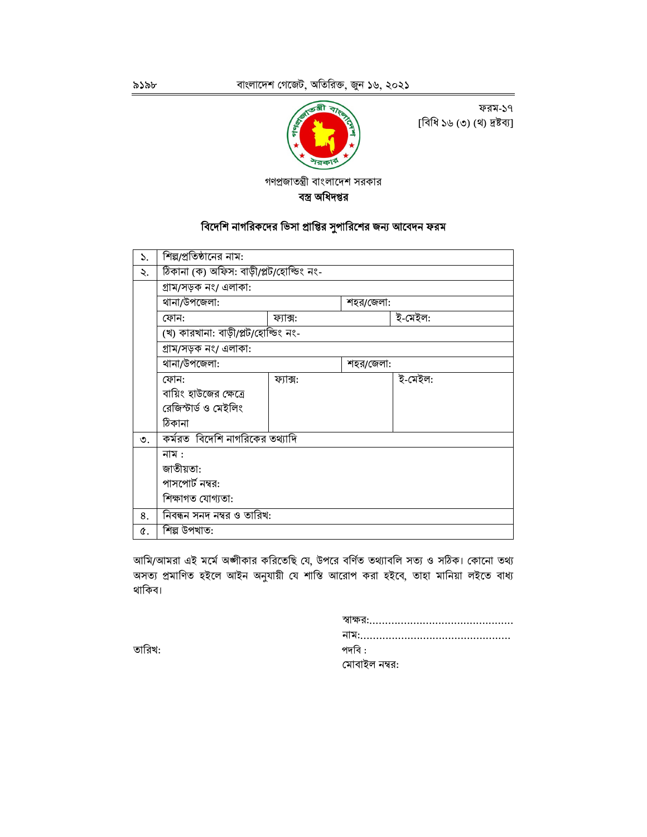

ফরম-১৭ [বিধি ১৬ (৩) (থ) দ্রষ্টব্য]

গণপ্রজাতন্ত্রী বাংলাদেশ সরকার

বস্ত্র অধিদপ্তর

## বিদেশি নাগরিকদের ভিসা প্রাপ্তির সুপারিশের জন্য আবেদন ফরম

| ১. | শিল্পপ্রতিষ্ঠানের নাম:                  |          |  |         |  |  |  |  |
|----|-----------------------------------------|----------|--|---------|--|--|--|--|
| ২. | ঠিকানা (ক) অফিস: বাড়ী/প্লট/হোল্ডিং নং- |          |  |         |  |  |  |  |
|    | গ্ৰাম/সড়ক নং/ এলাকা:                   |          |  |         |  |  |  |  |
|    | থানা/উপজেলা:<br>শহর/জেলা:               |          |  |         |  |  |  |  |
|    | ই-মেইল:<br>ফোন:<br>ফ্যাক্স:             |          |  |         |  |  |  |  |
|    | (খ) কারখানা: বাড়ী/প্লট/হোল্ডিং নং-     |          |  |         |  |  |  |  |
|    | গ্ৰাম/সড়ক নং/ এলাকা:                   |          |  |         |  |  |  |  |
|    | থানা/উপজেলা:<br>শহর/জেলা:               |          |  |         |  |  |  |  |
|    | ফোন:                                    | ফ্যাক্স: |  | ই-মেইল: |  |  |  |  |
|    | বায়িং হাউজের ক্ষেত্রে                  |          |  |         |  |  |  |  |
|    | রেজিস্টার্ড ও মেইলিং                    |          |  |         |  |  |  |  |
|    | ঠিকানা                                  |          |  |         |  |  |  |  |
| ৩. | কর্মরত বিদেশি নাগরিকের তথ্যাদি          |          |  |         |  |  |  |  |
|    | নাম :                                   |          |  |         |  |  |  |  |
|    | জাতীয়তা:                               |          |  |         |  |  |  |  |
|    | পাসপোর্ট নম্বর:                         |          |  |         |  |  |  |  |
|    | শিক্ষাগত যোগ্যতা:                       |          |  |         |  |  |  |  |
| 8. | নিবন্ধন সনদ নম্বর ও তারিখ:              |          |  |         |  |  |  |  |
| ¢. | শিল্প উপখাত:                            |          |  |         |  |  |  |  |

আমি/আমরা এই মর্মে অঙ্গীকার করিতেছি যে, উপরে বর্ণিত তথ্যাবলি সত্য ও সঠিক। কোনো তথ্য অসত্য প্রমাণিত হইলে আইন অনুযায়ী যে শাস্তি আরোপ করা হইবে, তাহা মানিয়া লইতে বাধ্য থাকিব।

| পদবি :        |  |  |
|---------------|--|--|
| মোবাইল নম্বর: |  |  |

তারিখ: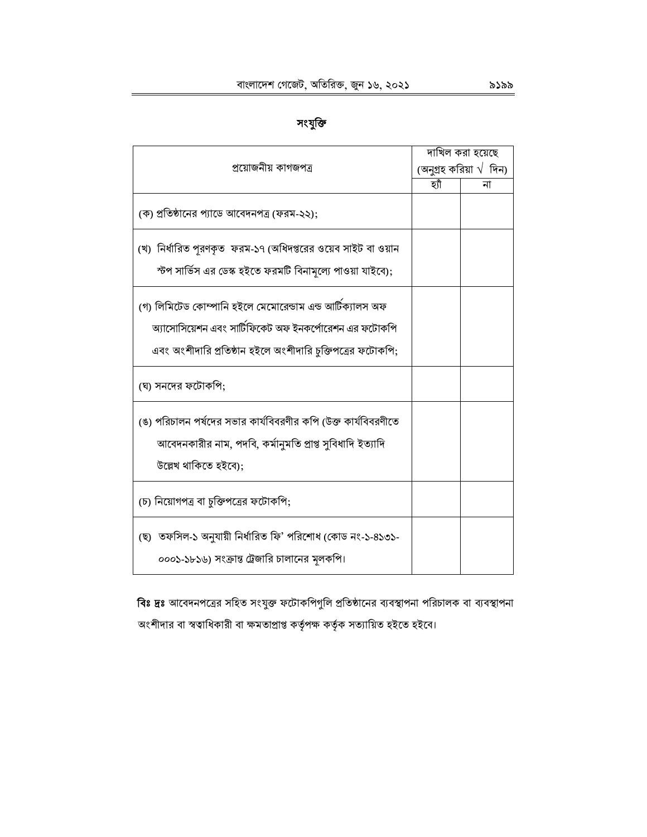# সংযুক্তি

|                                                                                                                                                                                   |     | দাখিল করা হয়েছে                |
|-----------------------------------------------------------------------------------------------------------------------------------------------------------------------------------|-----|---------------------------------|
| প্ৰয়োজনীয় কাগজপত্ৰ                                                                                                                                                              |     | (অনুগ্রহ করিয়া $\sqrt{ }$ দিন) |
|                                                                                                                                                                                   | হাঁ | না                              |
| (ক) প্রতিষ্ঠানের প্যাডে আবেদনপত্র (ফরম-২২);                                                                                                                                       |     |                                 |
| (খ) নির্ধারিত পুরণকৃত  ফরম-১৭ (অধিদপ্তরের ওয়েব সাইট বা ওয়ান<br>স্টপ সার্ভিস এর ডেস্ক হইতে ফরমটি বিনামূল্যে পাওয়া যাইবে);                                                       |     |                                 |
| (গ) লিমিটেড কোম্পানি হইলে মেমোরেন্ডাম এন্ড আর্টিক্যালস অফ<br>অ্যাসোসিয়েশন এবং সার্টিফিকেট অফ ইনকর্পোরেশন এর ফটোকপি<br>এবং অংশীদারি প্রতিষ্ঠান হইলে অংশীদারি চুক্তিপত্রের ফটোকপি; |     |                                 |
| (ঘ) সনদের ফটোকপি;                                                                                                                                                                 |     |                                 |
| (ঙ) পরিচালন পর্ষদের সভার কার্যবিবরণীর কপি (উক্ত কার্যবিবরণীতে<br>আবেদনকারীর নাম, পদবি, কর্মানুমতি প্রাপ্ত সুবিধাদি ইত্যাদি<br>উল্লেখ থাকিতে হইবে):                                |     |                                 |
| (চ) নিয়োগপত্র বা চুক্তিপত্রের ফটোকপি;                                                                                                                                            |     |                                 |
| (ছ) তফসিল-১ অনুযায়ী নিৰ্ধারিত ফি' পরিশোধ (কোড নং-১-৪১৩১-<br>০০০১-১৮১৬) সংক্রান্ত ট্রেজারি চালানের মূলকপি।                                                                        |     |                                 |

বিঃ দ্রঃ আবেদনপত্রের সহিত সংযুক্ত ফটোকপিগুলি প্রতিষ্ঠানের ব্যবস্থাপনা পরিচালক বা ব্যবস্থাপনা অংশীদার বা স্বত্বাধিকারী বা ক্ষমতাপ্রাপ্ত কর্তৃপক্ষ কর্তৃক সত্যায়িত হইতে হইবে।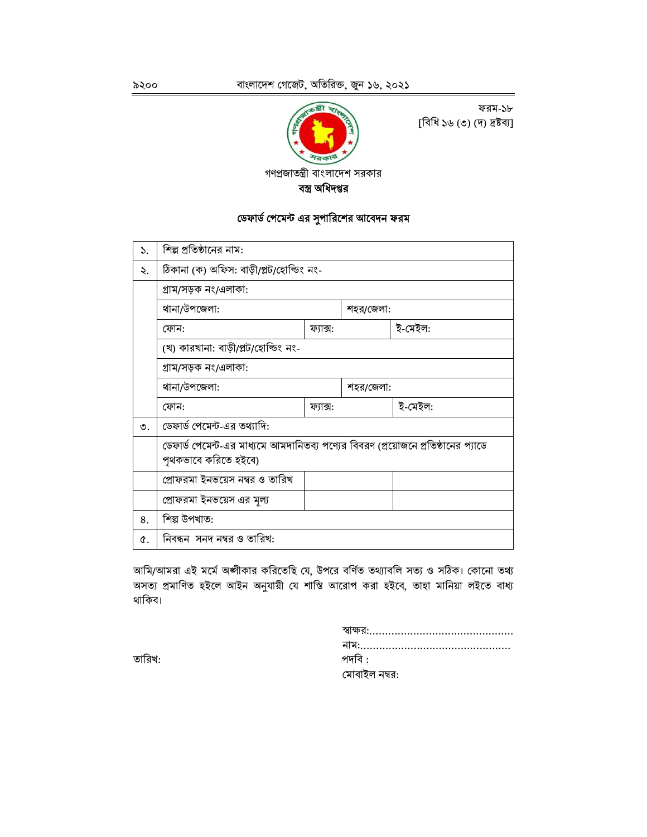

ফরম-১৮ [বিধি ১৬ (৩) (দ) দ্রষ্টব্য]

গণপ্রজাতন্ত্রী বাংলাদেশ সরকার

বস্ত্র অধিদপ্তর

# ডেফার্ড পেমেন্ট এর সুপারিশের আবেদন ফরম

| ১.        | শিল্প প্রতিষ্ঠানের নাম:                                                                                   |          |  |         |  |  |  |  |  |
|-----------|-----------------------------------------------------------------------------------------------------------|----------|--|---------|--|--|--|--|--|
| ২.        | ঠিকানা (ক) অফিস: বাড়ী/প্লট/হোল্ডিং নং-                                                                   |          |  |         |  |  |  |  |  |
|           | গ্ৰাম/সড়ক নং/এলাকা:                                                                                      |          |  |         |  |  |  |  |  |
|           | থানা/উপজেলা:<br>শহর/জেলা:                                                                                 |          |  |         |  |  |  |  |  |
|           | ই-মেইল:<br>ফ্যাক্স:<br>ফোন:                                                                               |          |  |         |  |  |  |  |  |
|           | (খ) কারখানা: বাড়ী/প্লট/হোল্ডিং নং-                                                                       |          |  |         |  |  |  |  |  |
|           | গ্ৰাম/সড়ক নং/এলাকা:                                                                                      |          |  |         |  |  |  |  |  |
|           | থানা/উপজেলা:<br>শহর/জেলা:                                                                                 |          |  |         |  |  |  |  |  |
|           | ফোন:                                                                                                      | ফ্যাক্স: |  | ই-মেইল: |  |  |  |  |  |
| $\circ$ . | ডেফার্ড পেমেন্ট-এর তথ্যাদি:                                                                               |          |  |         |  |  |  |  |  |
|           | ডেফার্ড পেমেন্ট-এর মাধ্যমে আমদানিতব্য পণ্যের বিবরণ (প্রয়োজনে প্রতিষ্ঠানের প্যাডে<br>পৃথকভাবে করিতে হইবে) |          |  |         |  |  |  |  |  |
|           | প্রোফরমা ইনভয়েস নম্বর ও তারিখ                                                                            |          |  |         |  |  |  |  |  |
|           | প্রোফরমা ইনভয়েস এর মূল্য                                                                                 |          |  |         |  |  |  |  |  |
| 8.        | শিল্প উপখাত:                                                                                              |          |  |         |  |  |  |  |  |
| ¢.        | নিবন্ধন সনদ নম্বর ও তারিখ:                                                                                |          |  |         |  |  |  |  |  |

আমি/আমরা এই মর্মে অঙ্গীকার করিতেছি যে, উপরে বর্ণিত তথ্যাবলি সত্য ও সঠিক। কোনো তথ্য অসত্য প্রমাণিত হইলে আইন অনুযায়ী যে শাস্তি আরোপ করা হইবে, তাহা মানিয়া লইতে বাধ্য থাকিব।

| পদবি :        |
|---------------|
| মোবাইল নম্বর: |

তারিখ: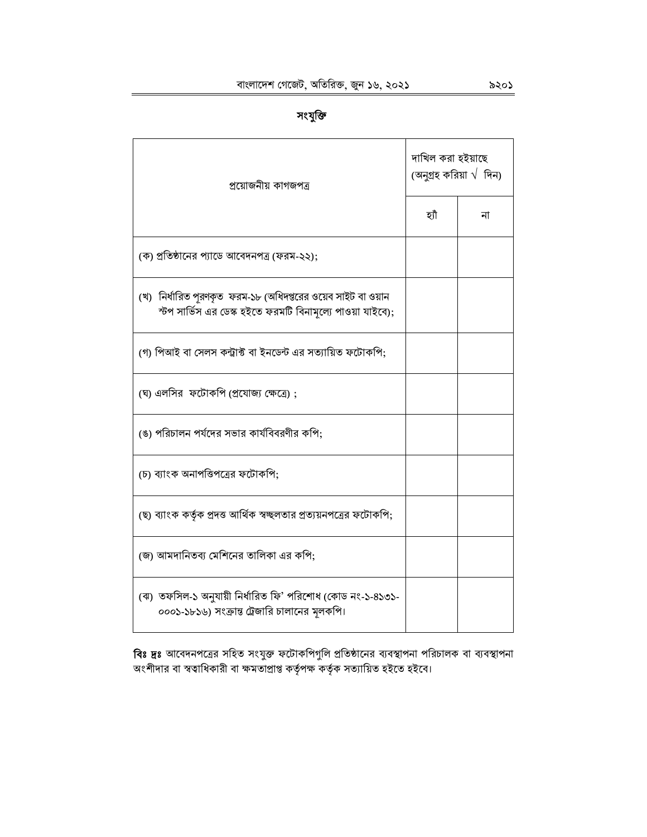| প্ৰয়োজনীয় কাগজপত্ৰ                                                                                                         | দাখিল করা হইয়াছে<br>(অনুগ্রহ করিয়া $\sqrt{ }$ দিন) |    |  |  |
|------------------------------------------------------------------------------------------------------------------------------|------------------------------------------------------|----|--|--|
|                                                                                                                              | হাঁ                                                  | না |  |  |
| (ক) প্রতিষ্ঠানের প্যাডে আবেদনপত্র (ফরম-২২);                                                                                  |                                                      |    |  |  |
| (খ)  নির্ধারিত পূরণকৃত  ফরম-১৮ (অধিদপ্তরের ওয়েব সাইট বা ওয়ান<br>স্টপ সার্ভিস এর ডেস্ক হইতে ফরমটি বিনামূল্যে পাওয়া যাইবে); |                                                      |    |  |  |
| (গ) পিআই বা সেলস কন্ট্রাক্ট বা ইনডেন্ট এর সত্যায়িত ফটোকপি;                                                                  |                                                      |    |  |  |
| (ঘ) এলসির ফটোকপি (প্রযোজ্য ক্ষেত্রে);                                                                                        |                                                      |    |  |  |
| (ঙ) পরিচালন পর্যদের সভার কার্যবিবরণীর কপি;                                                                                   |                                                      |    |  |  |
| (চ) ব্যাংক অনাপত্তিপত্রের ফটোকপি;                                                                                            |                                                      |    |  |  |
| (ছ) ব্যাংক কর্তৃক প্রদত্ত আর্থিক স্বচ্ছলতার প্রত্যয়নপত্রের ফটোকপি;                                                          |                                                      |    |  |  |
| (জ) আমদানিতব্য মেশিনের তালিকা এর কপি;                                                                                        |                                                      |    |  |  |
| (ঝ) তফসিল-১ অনুযায়ী নির্ধারিত ফি' পরিশোধ (কোড নং-১-৪১৩১-<br>০০০১-১৮১৬) সংক্রান্ত ট্রেজারি চালানের মূলকপি।                   |                                                      |    |  |  |

**বিঃ দ্রঃ** আবেদনপত্রের সহিত সংযুক্ত ফটোকপিগুলি প্রতিষ্ঠানের ব্যবস্থাপনা পরিচালক বা ব্যবস্থাপনা<br>অংশীদার বা স্বত্বাধিকারী বা ক্ষমতাপ্রাপ্ত কর্তৃপক্ষ কর্তৃক সত্যায়িত হইতে হইবে।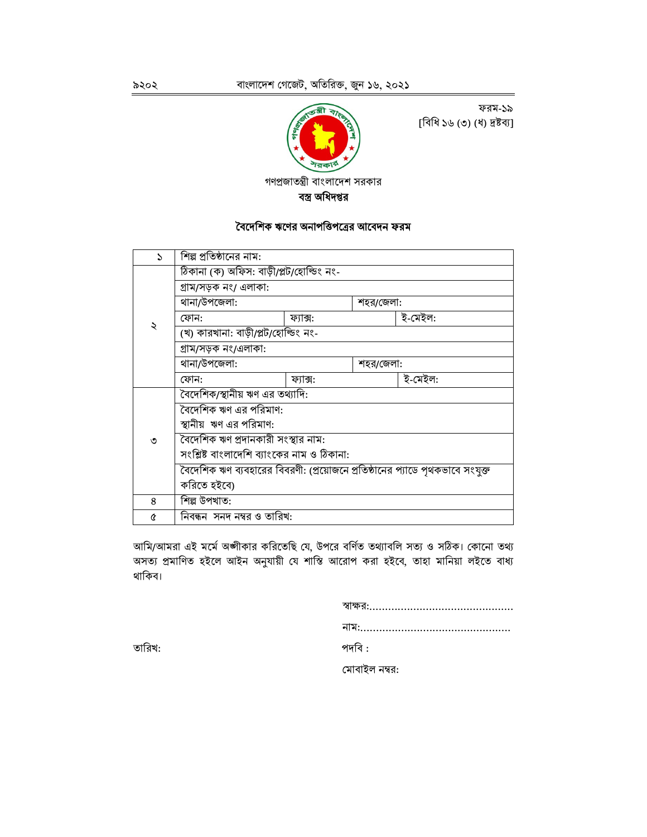

[বিধি ১৬ (৩) (ধ) দ্রষ্টব্য]



#### বৈদেশিক ঋণের অনাপত্তিপত্রের আবেদন ফরম

| $\mathcal{L}$ | শিল্প প্রতিষ্ঠানের নাম:                                                      |          |           |         |  |  |  |
|---------------|------------------------------------------------------------------------------|----------|-----------|---------|--|--|--|
|               | ঠিকানা (ক) অফিস: বাড়ী/প্লট/হোল্ডিং নং-                                      |          |           |         |  |  |  |
|               | গ্ৰাম/সড়ক নং/ এলাকা:                                                        |          |           |         |  |  |  |
|               | থানা/উপজেলা:                                                                 |          | শহর/জেলা: |         |  |  |  |
|               | ফোন:                                                                         | ফ্যাক্স: |           | ই-মেইল: |  |  |  |
| ২             | (খ) কারখানা: বাড়ী/প্লট/হোল্ডিং নং-                                          |          |           |         |  |  |  |
|               | গ্ৰাম/সড়ক নং/এলাকা:                                                         |          |           |         |  |  |  |
|               | থানা/উপজেলা:                                                                 |          | শহর/জেলা: |         |  |  |  |
|               | ফোন:                                                                         | ফ্যাক্স: |           | ই-মেইল: |  |  |  |
|               | বৈদেশিক/স্থানীয় ঋণ এর তথ্যাদি:                                              |          |           |         |  |  |  |
|               | বৈদেশিক ঋণ এর পরিমাণ:                                                        |          |           |         |  |  |  |
|               | স্থানীয় ঋণ এর পরিমাণ:                                                       |          |           |         |  |  |  |
| ৩             | বৈদেশিক ঋণ প্রদানকারী সংস্থার নাম:                                           |          |           |         |  |  |  |
|               | সংশ্লিষ্ট বাংলাদেশি ব্যাংকের নাম ও ঠিকানা:                                   |          |           |         |  |  |  |
|               | বৈদেশিক ঋণ ব্যবহারের বিবরণী: (প্রয়োজনে প্রতিষ্ঠানের প্যাডে পৃথকভাবে সংযুক্ত |          |           |         |  |  |  |
|               | করিতে হইবে)                                                                  |          |           |         |  |  |  |
| 8             | শিল্প উপখাত:                                                                 |          |           |         |  |  |  |
| Q             | নিবন্ধন  সনদ নম্বর ও তারিখ:                                                  |          |           |         |  |  |  |

আমি/আমরা এই মর্মে অঙ্গীকার করিতেছি যে, উপরে বর্ণিত তথ্যাবলি সত্য ও সঠিক। কোনো তথ্য অসত্য প্রমাণিত হইলে আইন অনুযায়ী যে শাস্তি আরোপ করা হইবে, তাহা মানিয়া লইতে বাধ্য থাকিব।

| পদবি : |               |  |  |  |  |
|--------|---------------|--|--|--|--|
|        | মোবাইল নম্বর: |  |  |  |  |

তারিখ: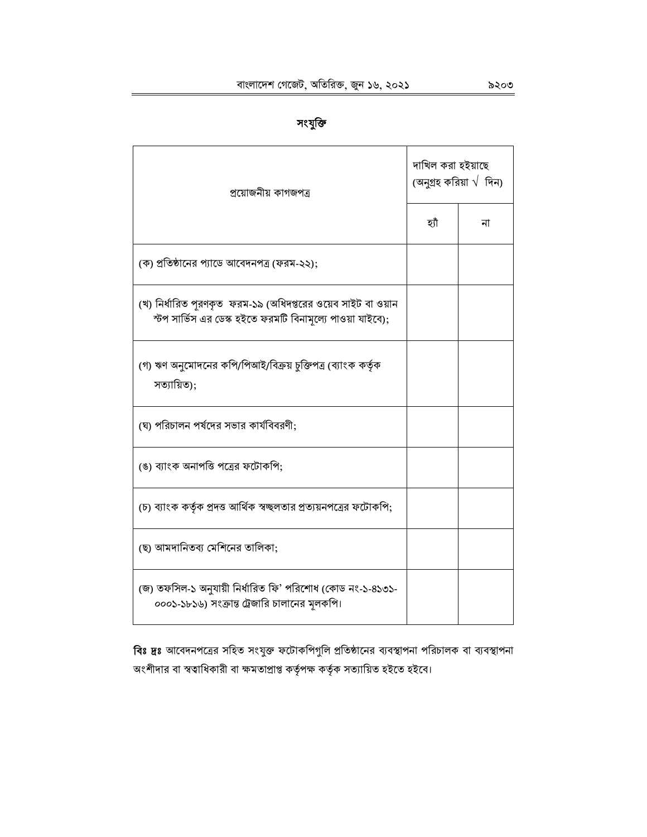| সংযাক্ত |
|---------|
|---------|

| প্ৰয়োজনীয় কাগজপত্ৰ                                                                                                        | দাখিল করা হইয়াছে<br>(অনুগ্রহ করিয়া $\sqrt{ }$ দিন) |    |  |  |
|-----------------------------------------------------------------------------------------------------------------------------|------------------------------------------------------|----|--|--|
|                                                                                                                             | হ্যাঁ                                                | না |  |  |
| (ক) প্রতিষ্ঠানের প্যাডে আবেদনপত্র (ফরম-২২);                                                                                 |                                                      |    |  |  |
| (খ) নির্ধারিত পুরণকৃত  ফরম-১৯ (অধিদপ্তরের ওয়েব সাইট বা ওয়ান<br>স্টপ সার্ভিস এর ডেস্ক হইতে ফরমটি বিনামূল্যে পাওয়া যাইবে); |                                                      |    |  |  |
| (গ) ঋণ অনুমোদনের কপি/পিআই/বিক্রয় চুক্তিপত্র (ব্যাংক কর্তৃক<br>সত্যায়িত);                                                  |                                                      |    |  |  |
| (ঘ) পরিচালন পর্ষদের সভার কার্যবিবরণী;                                                                                       |                                                      |    |  |  |
| (ঙ) ব্যাংক অনাপত্তি পত্রের ফটোকপি;                                                                                          |                                                      |    |  |  |
| (চ) ব্যাংক কর্তৃক প্রদত্ত আর্থিক স্বচ্ছলতার প্রত্যয়নপত্রের ফটোকপি;                                                         |                                                      |    |  |  |
| (ছ) আমদানিতব্য মেশিনের তালিকা;                                                                                              |                                                      |    |  |  |
| (জ) তফসিল-১ অনুযায়ী নির্ধারিত ফি' পরিশোধ (কোড নং-১-৪১৩১-<br>০০০১-১৮১৬) সংক্রান্ত ট্রেজারি চালানের মূলকপি।                  |                                                      |    |  |  |

বিঃ দ্রঃ আবেদনপত্রের সহিত সংযুক্ত ফটোকপিগুলি প্রতিষ্ঠানের ব্যবস্থাপনা পরিচালক বা ব্যবস্থাপনা অংশীদার বা স্বত্বাধিকারী বা ক্ষমতাপ্রাপ্ত কর্তৃপক্ষ কর্তৃক সত্যায়িত হইতে হইবে।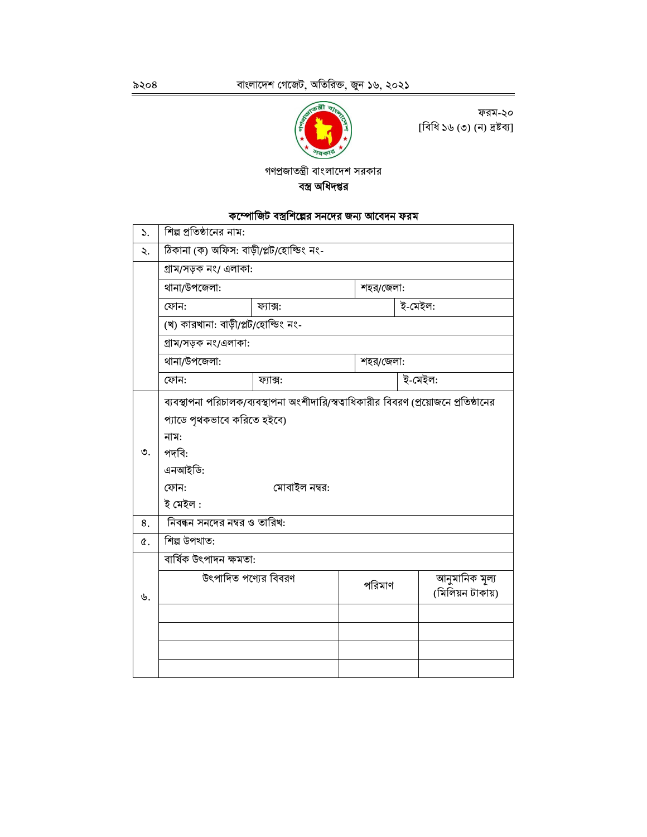

ফরম-২০ [বিধি ১৬ (৩) (ন) দ্ৰষ্টব্য]

গণপ্রজাতন্ত্রী বাংলাদেশ সরকার বস্ত্র অধিদপ্তর

# কম্পোজিট বস্ত্রশিল্পের সনদে<u>র জন্য আবেদন ফরম</u>

| ১.       | শিল্প প্রতিষ্ঠানের নাম:                                                                                                                                                               |          |           |         |                                    |  |  |
|----------|---------------------------------------------------------------------------------------------------------------------------------------------------------------------------------------|----------|-----------|---------|------------------------------------|--|--|
| ২.       | ঠিকানা (ক) অফিস: বাড়ী/প্লট/হোল্ডিং নং-                                                                                                                                               |          |           |         |                                    |  |  |
|          | গ্ৰাম/সড়ক নং/ এলাকা:                                                                                                                                                                 |          |           |         |                                    |  |  |
|          | থানা/উপজেলা:<br>শহর/জেলা:                                                                                                                                                             |          |           |         |                                    |  |  |
|          | ফোন:                                                                                                                                                                                  | ফ্যাক্স: |           | ই-মেইল: |                                    |  |  |
|          | (খ) কারখানা: বাড়ী/প্লট/হোল্ডিং নং-                                                                                                                                                   |          |           |         |                                    |  |  |
|          | গ্ৰাম/সড়ক নং/এলাকা:                                                                                                                                                                  |          |           |         |                                    |  |  |
|          | থানা/উপজেলা:                                                                                                                                                                          |          | শহর/জেলা: |         |                                    |  |  |
|          | ফোন:                                                                                                                                                                                  | ফ্যাক্স: |           | ই-মেইল: |                                    |  |  |
| ৩.<br>8. | ব্যবস্থাপনা পরিচালক/ব্যবস্থাপনা অংশীদারি/স্বত্বাধিকারীর বিবরণ (প্রয়োজনে প্রতিষ্ঠানের<br>প্যাডে পৃথকভাবে করিতে হইবে)<br>নাম:<br>পদবি:<br>এনআইডি:<br>মোবাইল নম্বর:<br>ফোন:<br>ই মেইল : |          |           |         |                                    |  |  |
| ¢.       | নিবন্ধন সনদের নম্বর ও তারিখ:<br>শিল্প উপখাত:                                                                                                                                          |          |           |         |                                    |  |  |
|          | বাৰ্ষিক উৎপাদন ক্ষমতা:                                                                                                                                                                |          |           |         |                                    |  |  |
| ৬.       | উৎপাদিত পণ্যের বিবরণ                                                                                                                                                                  |          | পরিমাণ    |         | আনুমানিক মূল্য<br>(মিলিয়ন টাকায়) |  |  |
|          |                                                                                                                                                                                       |          |           |         |                                    |  |  |
|          |                                                                                                                                                                                       |          |           |         |                                    |  |  |
|          |                                                                                                                                                                                       |          |           |         |                                    |  |  |
|          |                                                                                                                                                                                       |          |           |         |                                    |  |  |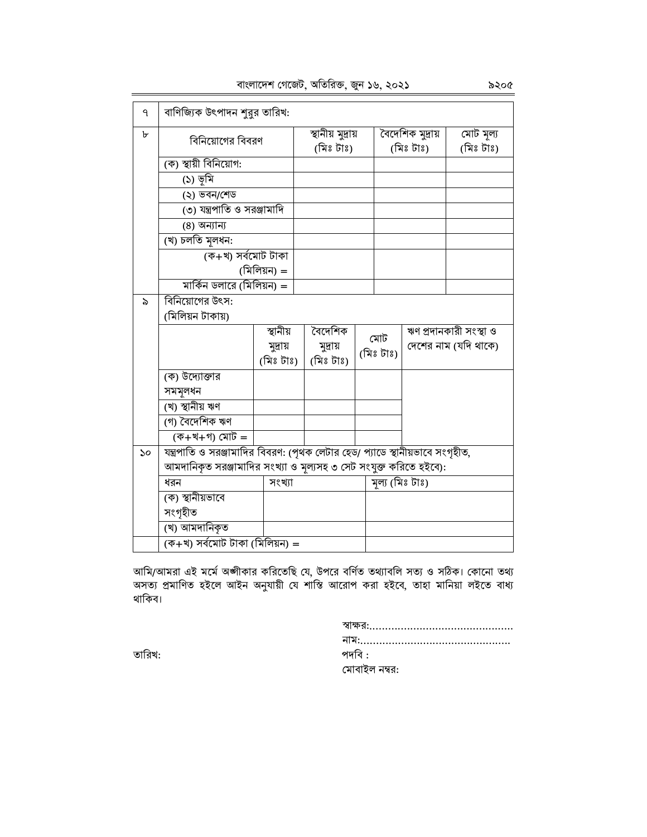বাংলাদেশ গেজেট, অতিরিক্ত, জুন ১৬, ২০২১

| ٩  | বাণিজ্যিক উৎপাদন শুরুর তারিখ:                                                 |             |                   |           |           |                  |                        |
|----|-------------------------------------------------------------------------------|-------------|-------------------|-----------|-----------|------------------|------------------------|
| ৮  |                                                                               |             | স্থানীয় মুদ্ৰায় |           |           | বৈদেশিক মুদ্ৰায় | মোট মূল্য              |
|    | বিনিয়োগের বিবরণ                                                              |             | (মিঃ টাঃ)         |           | (মিঃ টাঃ) |                  | (মিঃ টাঃ)              |
|    | (ক) স্থায়ী বিনিয়োগ:                                                         |             |                   |           |           |                  |                        |
|    | (১) ভূমি                                                                      |             |                   |           |           |                  |                        |
|    | (২) ভবন/শেড                                                                   |             |                   |           |           |                  |                        |
|    | (৩) যন্ত্রপাতি ও সরঞ্জামাদি                                                   |             |                   |           |           |                  |                        |
|    | (8) অন্যান্য                                                                  |             |                   |           |           |                  |                        |
|    | (খ) চলতি মূলধন:                                                               |             |                   |           |           |                  |                        |
|    | (ক+খ) সৰ্বমোট টাকা                                                            |             |                   |           |           |                  |                        |
|    |                                                                               | (মিলিয়ন) = |                   |           |           |                  |                        |
|    | মার্কিন ডলারে (মিলিয়ন) =                                                     |             |                   |           |           |                  |                        |
| ৯  | বিনিয়োগের উৎস:                                                               |             |                   |           |           |                  |                        |
|    | (মিলিয়ন টাকায়)                                                              |             |                   |           |           |                  |                        |
|    |                                                                               | স্থানীয়    | বৈদেশিক           | মোট       |           |                  | ঋণ প্ৰদানকারী সংস্থা ও |
|    |                                                                               | মুদ্ৰায়    | মুদ্ৰায়          | (মিঃ টাঃ) |           |                  | দেশের নাম (যদি থাকে)   |
|    |                                                                               | (মিঃ টাঃ)   | (মিঃ টাঃ)         |           |           |                  |                        |
|    | (ক) উদ্যোক্তার                                                                |             |                   |           |           |                  |                        |
|    | সমমূলধন                                                                       |             |                   |           |           |                  |                        |
|    | (খ) স্থানীয় ঋণ                                                               |             |                   |           |           |                  |                        |
|    | (গ) বৈদেশিক ঋণ                                                                |             |                   |           |           |                  |                        |
|    | (ক+খ+গ) মোট =                                                                 |             |                   |           |           |                  |                        |
| ১০ | যন্ত্রপাতি ও সরঞ্জামাদির বিবরণ: (পৃথক লেটার হেড/ প্যাডে স্থানীয়ভাবে সংগৃহীত, |             |                   |           |           |                  |                        |
|    | আমদানিকৃত সরঞ্জামাদির সংখ্যা ও মূল্যসহ ৩ সেট সংযুক্ত করিতে হইবে):             |             |                   |           |           |                  |                        |
|    | ধরন                                                                           | সংখ্যা      |                   |           |           | মূল্য (মিঃ টাঃ)  |                        |
|    | (ক) স্থানীয়ভাবে                                                              |             |                   |           |           |                  |                        |
|    | সংগৃহীত                                                                       |             |                   |           |           |                  |                        |
|    | (খ) আমদানিকৃত                                                                 |             |                   |           |           |                  |                        |
|    | (ক+খ) সৰ্বমোট টাকা (মিলিয়ন) =                                                |             |                   |           |           |                  |                        |

আমি/আমরা এই মর্মে অঙ্গীকার করিতেছি যে, উপরে বর্ণিত তথ্যাবলি সত্য ও সঠিক। কোনো তথ্য<br>অসত্য প্রমাণিত হইলে আইন অনুযায়ী যে শাস্তি আরোপ করা হইবে, তাহা মানিয়া লইতে বাধ্য<br>থাকিব।

| পদবি :        |  |  |
|---------------|--|--|
| মোবাইল নম্বর: |  |  |

তারিখ: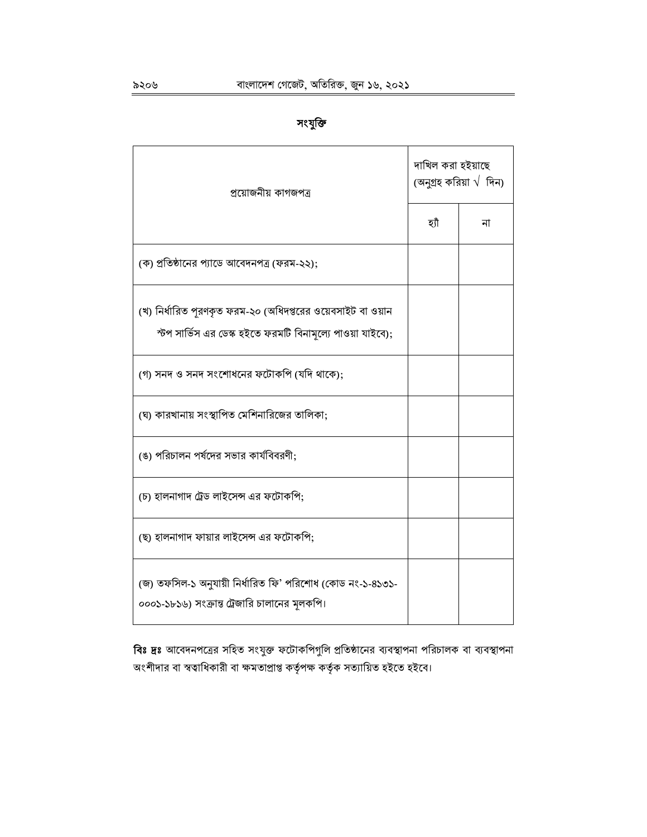| প্রয়োজনীয় কাগজপত্র                                                                                                      | দাখিল করা হইয়াছে<br>(অনুগ্ৰহ করিয়া $\sqrt{ }$ দিন) |    |  |
|---------------------------------------------------------------------------------------------------------------------------|------------------------------------------------------|----|--|
|                                                                                                                           | হাঁ                                                  | না |  |
| (ক) প্রতিষ্ঠানের প্যাডে আবেদনপত্র (ফরম-২২);                                                                               |                                                      |    |  |
| (খ) নির্ধারিত পূরণকৃত ফরম-২০ (অধিদপ্তরের ওয়েবসাইট বা ওয়ান<br>স্টপ সার্ভিস এর ডেস্ক হইতে ফরমটি বিনামূল্যে পাওয়া যাইবে); |                                                      |    |  |
| (গ) সনদ ও সনদ সংশোধনের ফটোকপি (যদি থাকে);                                                                                 |                                                      |    |  |
| (ঘ) কারখানায় সংস্থাপিত মেশিনারিজের তালিকা;                                                                               |                                                      |    |  |
| (ঙ) পরিচালন পর্ষদের সভার কার্যবিবরণী;                                                                                     |                                                      |    |  |
| (চ) হালনাগাদ ট্রেড লাইসেন্স এর ফটোকপি;                                                                                    |                                                      |    |  |
| (ছ) হালনাগাদ ফায়ার লাইসেন্স এর ফটোকপি;                                                                                   |                                                      |    |  |
| (জ) তফসিল-১ অনুযায়ী নির্ধারিত ফি' পরিশোধ (কোড নং-১-৪১৩১-<br>০০০১-১৮১৬) সংক্রান্ত ট্রেজারি চালানের মূলকপি।                |                                                      |    |  |

বিঃ দ্রঃ আবেদনপত্রের সহিত সংযুক্ত ফটোকপিগুলি প্রতিষ্ঠানের ব্যবস্থাপনা পরিচালক বা ব্যবস্থাপনা অংশীদার বা স্বত্বাধিকারী বা ক্ষমতাপ্রাপ্ত কর্তৃপক্ষ কর্তৃক সত্যায়িত হইতে হইবে।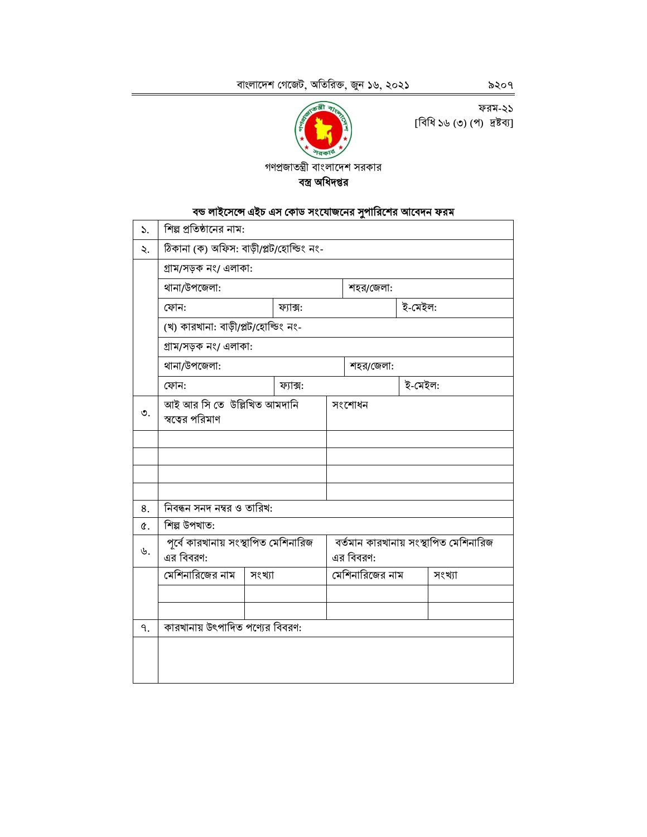ফরম-২১ [বিধি ১৬ (৩) (প) দ্রষ্টব্য]

গণপ্রজাতন্ত্রী বাংলাদেশ সরকার

বস্ত্র অধিদপ্তর

বন্ড লাইসেন্সে এইচ এস কোড সংযোজনের সুপারিশের আবেদন ফরম

শিল্প প্রতিষ্ঠানের নাম:

ঠিকানা (ক) অফিস: বাড়ী/প্লট/হোল্ডিং নং-

 $\mathcal{L}$ 

২.

৯২০৭

গ্ৰাম/সড়ক নং/ এলাকা: থানা/উপজেলা: শহর/জেলা: ফোন: ফ্যাক্স: ই-মেইল: (খ) কারখানা: বাড়ী/প্লট/হোল্ডিং নং-গ্ৰাম/সড়ক নং/ এলাকা: থানা/উপজেলা: শহর/জেলা: ই-মেইল: ফোন: ফ্যাক্স: আই আর সি তে উল্লিখিত আমদানি সংশোধন স্বত্বের পরিমাণ নিবন্ধন সনদ নম্বর ও তারিখ: শিল্প উপখাত: পূর্বে কারখানায় সংস্থাপিত মেশিনারিজ বর্তমান কারখানায় সংস্থাপিত মেশিনারিজ এর বিবরণ: এর বিবরণ: মেশিনারিজের নাম সংখ্যা মেশিনারিজের নাম সংখ্যা

৩. 8. ¢.  $\mathcal{P}$  . কারখানায় উৎপাদিত পণ্যের বিবরণ: ٩.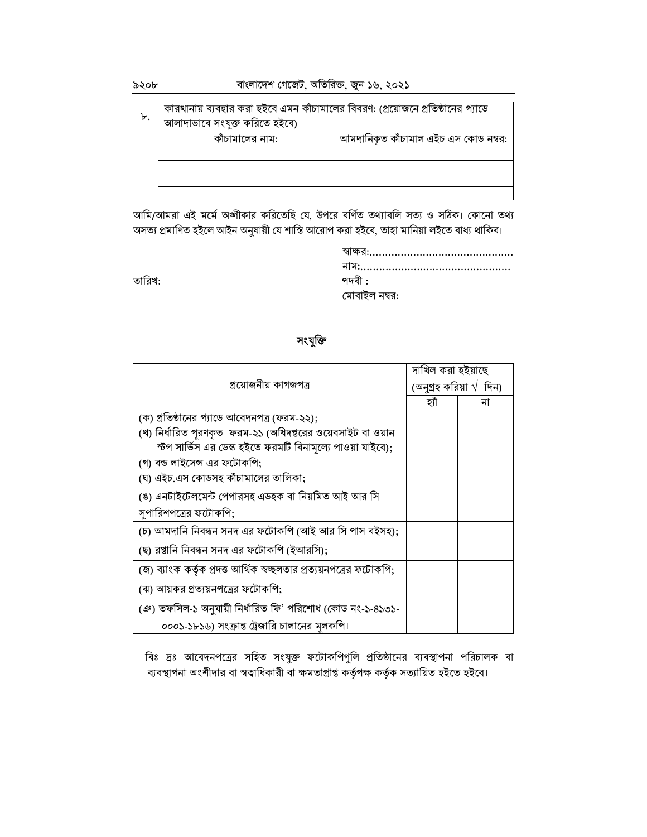তারিখ:

| ৮. | কারখানায় ব্যবহার করা হইবে এমন কাঁচামালের বিবরণ: (প্রয়োজনে প্রতিষ্ঠানের প্যাডে<br>আলাদাভাবে সংযুক্ত করিতে হইবে) |                                      |
|----|------------------------------------------------------------------------------------------------------------------|--------------------------------------|
|    | কাঁচামালের নাম:                                                                                                  | আমদানিকৃত কাঁচামাল এইচ এস কোড নম্বর: |
|    |                                                                                                                  |                                      |
|    |                                                                                                                  |                                      |
|    |                                                                                                                  |                                      |
|    |                                                                                                                  |                                      |

আমি/আমরা এই মর্মে অঙ্গীকার করিতেছি যে, উপরে বর্ণিত তথ্যাবলি সত্য ও সঠিক। কোনো তথ্য অসত্য প্রমাণিত হইলে আইন অনুযায়ী যে শাস্তি আরোপ করা হইবে, তাহা মানিয়া লইতে বাধ্য থাকিব।

> স্বাক্ষর:.................................. পদবী $:$ মোবাইল নম্বর:

# সংযুক্তি

|                                                                     | দাখিল করা হইয়াছে               |    |  |  |
|---------------------------------------------------------------------|---------------------------------|----|--|--|
| প্ৰয়োজনীয় কাগজপত্ৰ                                                | (অনুগ্রহ করিয়া $\sqrt{ }$ দিন) |    |  |  |
|                                                                     | হ্যী                            | না |  |  |
| (ক) প্রতিষ্ঠানের প্যাডে আবেদনপত্র (ফরম-২২);                         |                                 |    |  |  |
| (খ) নির্ধারিত পূরণকৃত  ফরম-২১ (অধিদপ্তরের ওয়েবসাইট বা ওয়ান        |                                 |    |  |  |
| স্টপ সার্ভিস এর ডেস্ক হইতে ফরমটি বিনামূল্যে পাওয়া যাইবে);          |                                 |    |  |  |
| (গ) বন্ড লাইসেন্স এর ফটোকপি;                                        |                                 |    |  |  |
| (ঘ) এইচ.এস কোডসহ কাঁচামালের তালিকা;                                 |                                 |    |  |  |
| (ঙ) এনটাইটেলমেন্ট পেপারসহ এডহক বা নিয়মিত আই আর সি                  |                                 |    |  |  |
| সুপারিশপত্রের ফটোকপি;                                               |                                 |    |  |  |
| (চ) আমদানি নিবন্ধন সনদ এর ফটোকপি (আই আর সি পাস বইসহ);               |                                 |    |  |  |
| (ছ) রপ্তানি নিবন্ধন সনদ এর ফটোকপি (ইআরসি);                          |                                 |    |  |  |
| (জ) ব্যাংক কর্তৃক প্রদত্ত আর্থিক স্বচ্ছলতার প্রত্যয়নপত্রের ফটোকপি; |                                 |    |  |  |
| (ঝ) আয়কর প্রত্যয়নপত্রের ফটোকপি;                                   |                                 |    |  |  |
| (ঞ) তফসিল-১ অনুযায়ী নির্ধারিত ফি' পরিশোধ (কোড নং-১-৪১৩১-           |                                 |    |  |  |
| ০০০১-১৮১৬) সংক্রান্ত ট্রেজারি চালানের মূলকপি।                       |                                 |    |  |  |

বিঃ দ্রঃ আবেদনপত্রের সহিত সংযুক্ত ফটোকপিগুলি প্রতিষ্ঠানের ব্যবস্থাপনা পরিচালক বা ব্যবস্থাপনা অংশীদার বা স্বত্বাধিকারী বা ক্ষমতাপ্রাপ্ত কর্তৃপক্ষ কর্তৃক সত্যায়িত হইতে হইবে।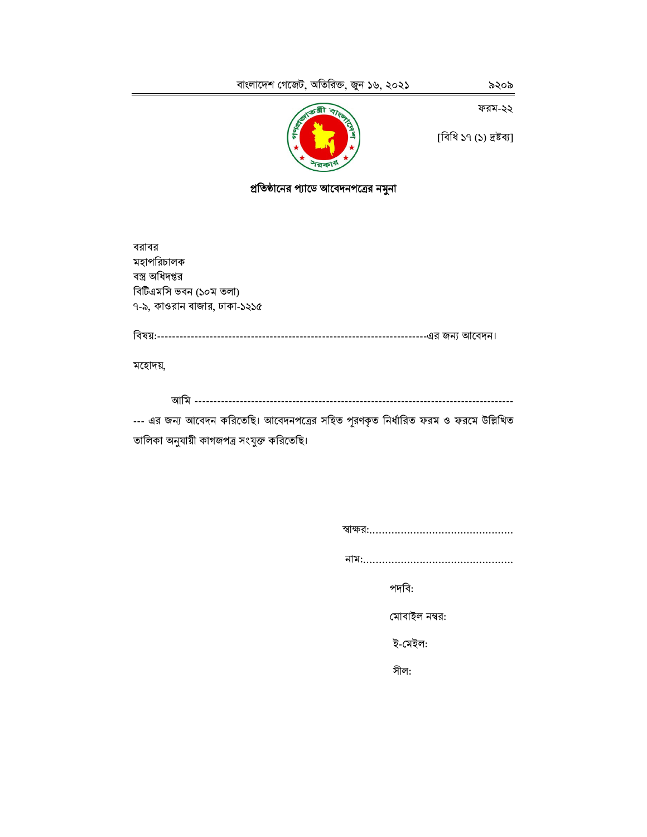ফরম-২২



[বিধি ১৭ (১) দ্রষ্টব্য]

প্রতিষ্ঠানের প্যাডে আবেদনপত্রের নমুনা

বরাবর মহাপরিচালক বস্ত্র অধিদপ্তর বিটিএমসি ভবন (১০ম তলা) ৭-৯, কাওরান বাজার, ঢাকা-১২১৫

মহোদয়,

--- এর জন্য আবেদন করিতেছি। আবেদনপত্রের সহিত পূরণকৃত নির্ধারিত ফরম ও ফরমে উল্লিখিত তালিকা অনুযায়ী কাগজপত্ৰ সংযুক্ত করিতেছি।

পদবি:

মোবাইল নম্বর:

ই-মেইল:

সীল: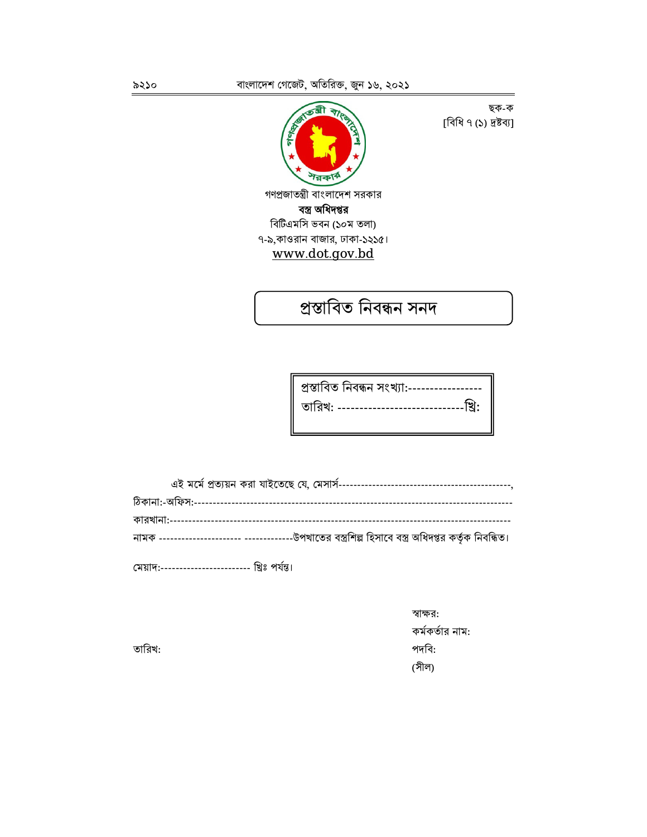ब्बी শরকার্ গণপ্রজাতন্ত্রী বাংলাদেশ সরকার বস্ত্র অধিদপ্তর বিটিএমসি ভবন (১০ম তলা) ৭-৯,কাওরান বাজার, ঢাকা-১২১৫। www.dot.gov.bd

ছক-ক [বিধি ৭ (১) দ্ৰষ্টব্য]

প্ৰস্তাবিত নিবন্ধন সনদ

| প্ৰস্তাবিত নিবন্ধন সংখ্যা:------------------         |
|------------------------------------------------------|
| <u> তারিখ: --------------------------------খ্রি:</u> |
|                                                      |

| -উপখাতের বস্ত্রশিল্প হিসাবে বস্ত্র অধিদপ্তর কর্তৃক নিবন্ধিত।<br>নামক ---------------------- --------- |
|-------------------------------------------------------------------------------------------------------|
|                                                                                                       |

মেয়াদ:---------------------- খ্রিঃ পর্যন্ত।

স্বাক্ষর: কর্মকর্তার নাম: পদবি: (সীল)

তারিখ: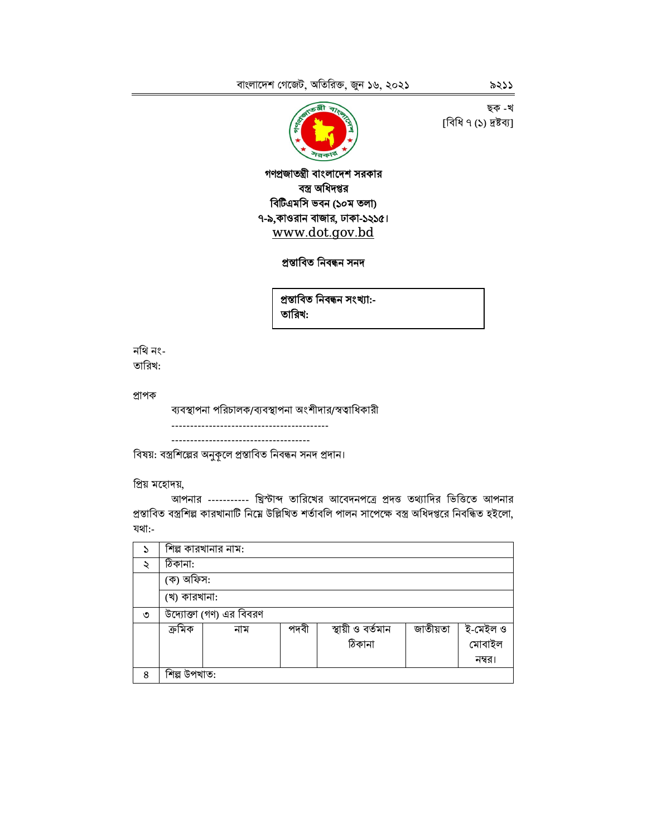ছক -খ [বিধি ৭ (১) দ্ৰষ্টব্য]



গণপ্ৰজাতন্ত্ৰী বাংলাদেশ সরকার বস্ত্র অধিদপ্তর বিটিএমসি ভবন (১০ম তলা) ৭-৯,কাওরান বাজার, ঢাকা-১২১৫। www.dot.gov.bd

#### প্ৰস্তাবিত নিবন্ধন সনদ

প্ৰস্তাবিত নিবন্ধন সংখ্যা:-তারিখ:

নথি নং-তারিখ:

প্ৰাপক

ব্যবস্থাপনা পরিচালক/ব্যবস্থাপনা অংশীদার/স্বত্বাধিকারী -------------------------------------

বিষয়: বস্ত্রশিল্পের অনুকূলে প্রস্তাবিত নিবন্ধন সনদ প্রদান।

প্ৰিয় মহোদয়,

আপনার ---------- খ্রিস্টাব্দ তারিখের আবেদনপত্রে প্রদত্ত তথ্যাদির ভিত্তিতে আপনার প্রস্তাবিত বস্ত্রশিল্প কারখানাটি নিম্নে উল্লিখিত শর্তাবলি পালন সাপেক্ষে বস্ত্র অধিদপ্তরে নিবন্ধিত হইলো, যথা:-

| $\mathcal{E}$ | শিল্প কারখানার নাম:     |      |                   |          |          |
|---------------|-------------------------|------|-------------------|----------|----------|
| ২             | ঠিকানা:                 |      |                   |          |          |
|               | (ক) অফিস:               |      |                   |          |          |
|               | (খ) কারখানা:            |      |                   |          |          |
| ৩             | উদ্যোক্তা (গণ) এর বিবরণ |      |                   |          |          |
|               | ক্ৰমিক<br>নাম           | পদবী | স্থায়ী ও বর্তমান | জাতীয়তা | ই-মেইল ও |
|               |                         |      | ঠিকানা            |          | মোবাইল   |
|               |                         |      |                   |          | নম্বর।   |
| 8             | শিল্প উপখাত:            |      |                   |          |          |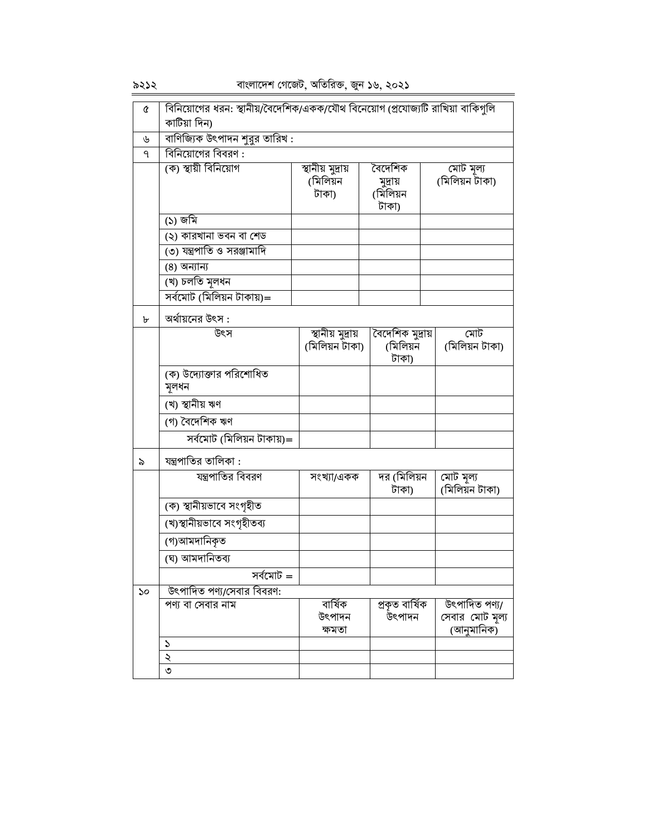$5222$ 

বাংলাদেশ গেজেট, অতিরিক্ত, জুন ১৬, ২০২১

| Q  | বিনিয়োগের ধরন: স্থানীয়/বৈদেশিক/একক/যৌথ বিনেয়োগ (প্রযোজ্যটি রাখিয়া বাকিগুলি |                           |                      |                               |  |
|----|--------------------------------------------------------------------------------|---------------------------|----------------------|-------------------------------|--|
|    | কাটিয়া দিন)                                                                   |                           |                      |                               |  |
| ৬  | বাণিজ্যিক উৎপাদন শুরুর তারিখ :                                                 |                           |                      |                               |  |
| ٩  | বিনিয়োগের বিবরণ :                                                             |                           |                      |                               |  |
|    | (ক) স্থায়ী বিনিয়োগ                                                           | স্থানীয় মুদ্ৰায়         | বৈদেশিক              | মোট মূল্য<br>(মিলিয়ন টাকা)   |  |
|    |                                                                                | (মিলিয়ন<br>টাকা)         | মুদ্ৰায়<br>(মিলিয়ন |                               |  |
|    |                                                                                |                           | টাকা)                |                               |  |
|    | (১) জমি                                                                        |                           |                      |                               |  |
|    | (২) কারখানা ভবন বা শেড                                                         |                           |                      |                               |  |
|    | ৩) যন্ত্রপাতি ও সরঞ্জামাদি                                                     |                           |                      |                               |  |
|    | (8) অন্যান্য                                                                   |                           |                      |                               |  |
|    | (খ) চলতি মূলধন                                                                 |                           |                      |                               |  |
|    | সৰ্বমোট (মিলিয়ন টাকায়)=                                                      |                           |                      |                               |  |
| ৮  | অর্থায়নের উৎস :                                                               |                           |                      |                               |  |
|    | উৎস                                                                            | <u>স্থানীয় মুদ্</u> রায় | বৈদেশিক মুদ্ৰায়     | মোট                           |  |
|    |                                                                                | (মিলিয়ন টাকা)            | (মিলিয়ন<br>টাকা)    | (মিলিয়ন টাকা)                |  |
|    | (ক) উদ্যোক্তার পরিশোধিত                                                        |                           |                      |                               |  |
|    | মূলধন                                                                          |                           |                      |                               |  |
|    | (খ) স্থানীয় ঋণ                                                                |                           |                      |                               |  |
|    | (গ) বৈদেশিক ঋণ                                                                 |                           |                      |                               |  |
|    | সৰ্বমোট (মিলিয়ন টাকায়)=                                                      |                           |                      |                               |  |
| ৯  | যন্ত্রপাতির তালিকা :                                                           |                           |                      |                               |  |
|    | যন্ত্রপাতির বিবরণ                                                              | সংখ্যা/একক                | দর (মিলিয়ন          | মোট মূল্য                     |  |
|    |                                                                                |                           | টাকা)                | (মিলিয়ন টাকা)                |  |
|    | (ক) স্থানীয়ভাবে সংগৃহীত                                                       |                           |                      |                               |  |
|    | (খ)স্থানীয়ভাবে সংগৃহীতব্য                                                     |                           |                      |                               |  |
|    | (গ)আমদানিকৃত                                                                   |                           |                      |                               |  |
|    | (ঘ) আমদানিতব্য                                                                 |                           |                      |                               |  |
|    | সৰ্বমোট =                                                                      |                           |                      |                               |  |
| ১০ | উৎপাদিত পণ্য/সেবার বিবরণ:                                                      |                           |                      |                               |  |
|    | পণ্য বা সেবার নাম                                                              | বাৰ্ষিক                   | প্ৰকৃত বাৰ্ষিক       | উৎপাদিত পণ্য/                 |  |
|    |                                                                                | উৎপাদন<br>ক্ষমতা          | উৎপাদন               | সেবার মোট মূল্য<br>(আনুমানিক) |  |
|    | $\mathcal{L}$                                                                  |                           |                      |                               |  |
|    | ২                                                                              |                           |                      |                               |  |
|    | ৩                                                                              |                           |                      |                               |  |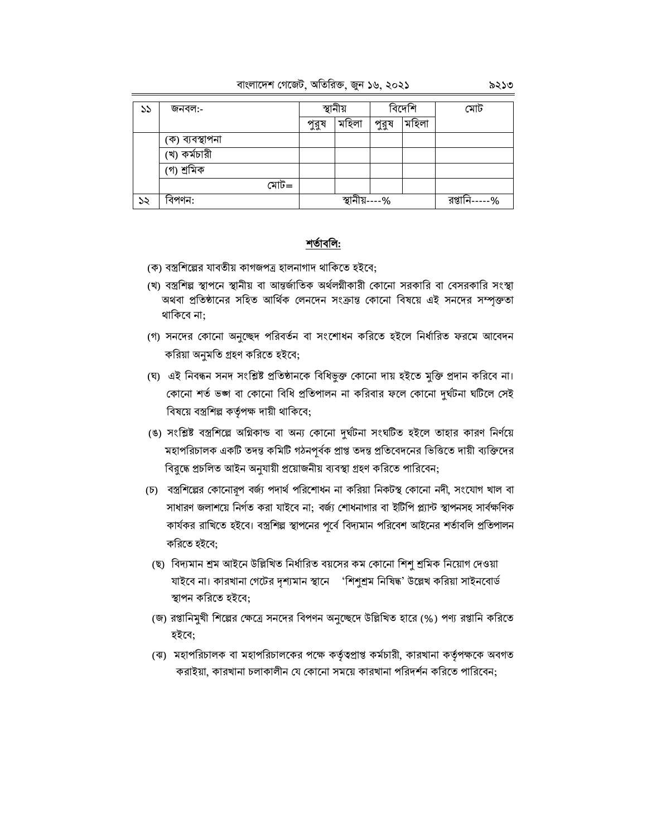#### বাংলাদেশ গেজেট, অতিরিক্ত, জুন ১৬, ২০২১

| ১১ | জনবল:-          |      | স্থানীয় |               | বিদেশি |       | মোট           |
|----|-----------------|------|----------|---------------|--------|-------|---------------|
|    |                 |      | পুরুষ    | মহিলা         | পুরুষ  | মহিলা |               |
|    | (ক) ব্যবস্থাপনা |      |          |               |        |       |               |
|    | 'খ) কৰ্মচারী    |      |          |               |        |       |               |
|    | (গ) শ্ৰমিক      |      |          |               |        |       |               |
|    |                 | মোট= |          |               |        |       |               |
| ১২ | বিপণন:          |      |          | স্থানীয়----% |        |       | রপ্তানি-----% |

#### শর্তাবলি:

- (ক) বস্ত্রশিল্পের যাবতীয় কাগজপত্র হালনাগাদ থাকিতে হইবে;
- (খ) বস্ত্রশিল্প স্থাপনে স্থানীয় বা আন্তর্জাতিক অর্থলগ্নীকারী কোনো সরকারি বা বেসরকারি সংস্থা অথবা প্রতিষ্ঠানের সহিত আর্থিক লেনদেন সংক্রান্ত কোনো বিষয়ে এই সনদের সম্পক্ততা থাকিবে না:
- (গ) সনদের কোনো অনুচ্ছেদ পরিবর্তন বা সংশোধন করিতে হইলে নির্ধারিত ফরমে আবেদন করিয়া অনুমতি গ্রহণ করিতে হইবে;
- (ঘ) এই নিবন্ধন সনদ সংশ্লিষ্ট প্রতিষ্ঠানকে বিধিভুক্ত কোনো দায় হইতে মুক্তি প্রদান করিবে না। কোনো শর্ত ভঙ্গ বা কোনো বিধি প্রতিপালন না করিবার ফলে কোনো দুর্ঘটনা ঘটিলে সেই বিষয়ে বস্ত্রশিল্প কর্তৃপক্ষ দায়ী থাকিবে;
- (ঙ) সংশ্লিষ্ট বস্ত্রশিল্পে অগ্নিকান্ড বা অন্য কোনো দুর্ঘটনা সংঘটিত হইলে তাহার কারণ নির্ণয়ে মহাপরিচালক একটি তদন্ত কমিটি গঠনপূর্বক প্রাপ্ত তদন্ত প্রতিবেদনের ভিত্তিতে দায়ী ব্যক্তিদের বিরুদ্ধে প্রচলিত আইন অনুযায়ী প্রয়োজনীয় ব্যবস্থা গ্রহণ করিতে পারিবেন;
- (চ) বস্ত্রশিল্পের কোনোরূপ বর্জ্য পদার্থ পরিশোধন না করিয়া নিকটস্থ কোনো নদী, সংযোগ খাল বা সাধারণ জলাশয়ে নির্গত করা যাইবে না: বর্জ্য শোধনাগার বা ইটিপি প্ল্যান্ট স্থাপনসহ সার্বক্ষণিক কার্যকর রাখিতে হইবে। বস্ত্রশিল্প স্থাপনের পূর্বে বিদ্যমান পরিবেশ আইনের শর্তাবলি প্রতিপালন করিতে হইবে;
- (ছ) বিদ্যমান শ্রম আইনে উল্লিখিত নির্ধারিত বয়সের কম কোনো শিশু শ্রমিক নিয়োগ দেওয়া যাইবে না। কারখানা গেটের দৃশ্যমান স্থানে 'শিশুশ্রম নিষিদ্ধ' উল্লেখ করিয়া সাইনবোর্ড স্থাপন করিতে হইবে;
- (জ) রপ্তানিমুখী শিল্পের ক্ষেত্রে সনদের বিপণন অনুচ্ছেদে উল্লিখিত হারে (%) পণ্য রপ্তানি করিতে হইবে;
- (ঝ) মহাপরিচালক বা মহাপরিচালকের পক্ষে কর্তৃত্বপ্রাপ্ত কর্মচারী, কারখানা কর্তৃপক্ষকে অবগত করাইয়া, কারখানা চলাকালীন যে কোনো সময়ে কারখানা পরিদর্শন করিতে পারিবেন: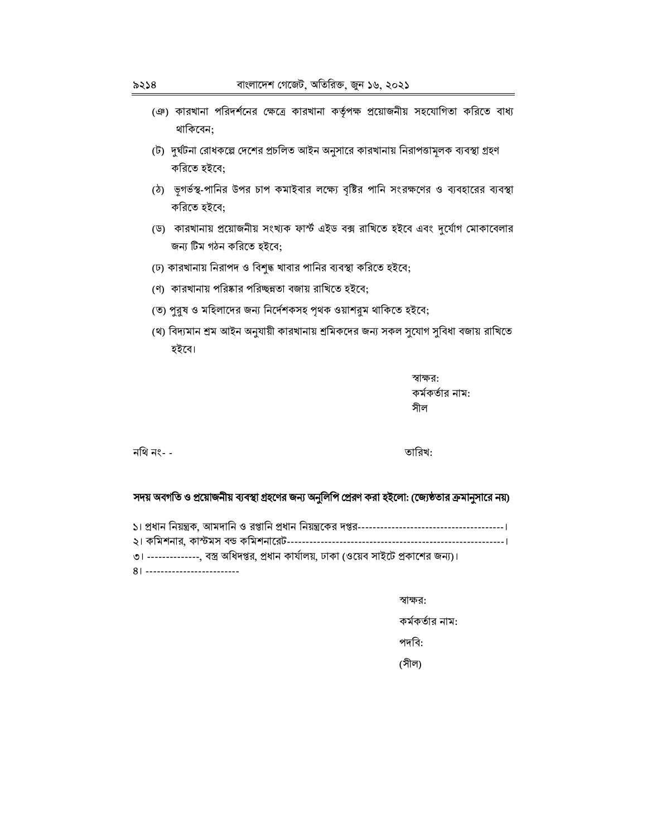- (ঞ) কারখানা পরিদর্শনের ক্ষেত্রে কারখানা কর্তৃপক্ষ প্রয়োজনীয় সহযোগিতা করিতে বাধ্য থাকিবেন:
- (ট) দুর্ঘটনা রোধকল্পে দেশের প্রচলিত আইন অনুসারে কারখানায় নিরাপত্তামূলক ব্যবস্থা গ্রহণ করিতে হইবে;
- (ঠ) ভূগর্ভস্থ-পানির উপর চাপ কমাইবার লক্ষ্যে বৃষ্টির পানি সংরক্ষণের ও ব্যবহারের ব্যবস্থা করিতে হইবে;
- (ড) কারখানায় প্রয়োজনীয় সংখ্যক ফাস্ট এইড বক্স রাখিতে হইবে এবং দুর্যোগ মোকাবেলার জন্য টিম গঠন করিতে হইবে:
- (ঢ) কারখানায় নিরাপদ ও বিশুদ্ধ খাবার পানির ব্যবস্থা করিতে হইবে;
- (ণ) কারখানায় পরিষ্কার পরিচ্ছন্নতা বজায় রাখিতে হইবে;
- (ত) পুরুষ ও মহিলাদের জন্য নির্দেশকসহ পৃথক ওয়াশরুম থাকিতে হইবে;
- (থ) বিদ্যমান শ্ৰম আইন অনুযায়ী কারখানায় শ্ৰমিকদের জন্য সকল সুযোগ সুবিধা বজায় রাখিতে হইবে।

স্বাক্ষর: কর্মকর্তার নাম: সীল

নথি নং- -

তারিখ:

#### সদয় অবগতি ও প্রয়োজনীয় ব্যবস্থা গ্রহণের জন্য অনুলিপি প্রেরণ করা হইলো: (জ্যেষ্ঠতার ক্রমানুসারে নয়)

৩। -------------, বস্ত্র অধিদপ্তর, প্রধান কার্যালয়, ঢাকা (ওয়েব সাইটে প্রকাশের জন্য)।

81 --------------------------

স্বাক্ষর:

কর্মকর্তার নাম:

পদবি:

(সীল)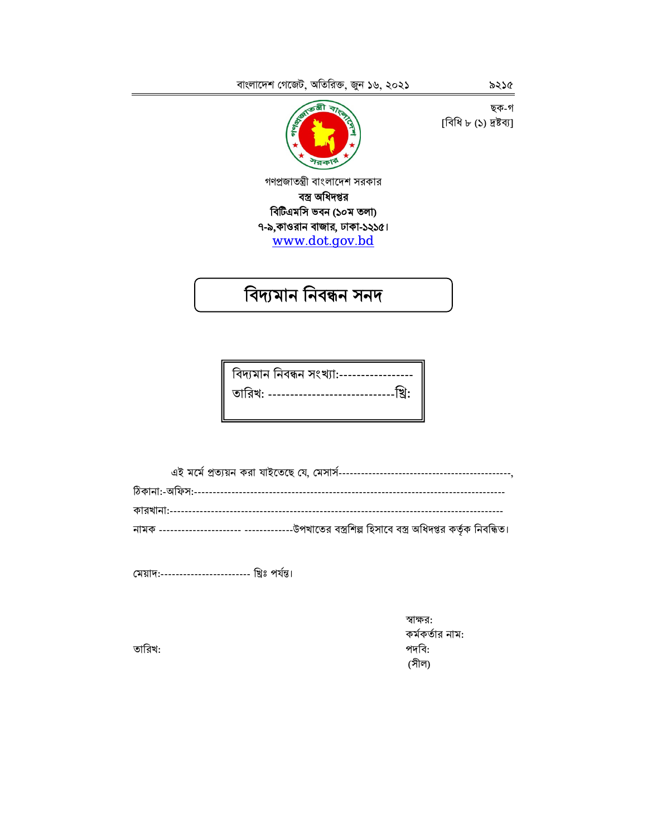ছক-গ [বিধি ৮ (১) দ্ৰষ্টব্য]



গণপ্রজাতন্ত্রী বাংলাদেশ সরকার বস্ত্র অধিদপ্তর বিটিএমসি ভবন (১০ম তলা) ৭-৯,কাওরান বাজার, ঢাকা-১২১৫। www.dot.gov.bd

# বিদ্যমান নিবন্ধন সনদ

| বিদ্যমান নিবন্ধন সংখ্যা:----------------- |
|-------------------------------------------|
|                                           |
|                                           |

মেয়াদ:----------------------- খ্রিঃ পর্যন্ত।

স্বাক্ষর: কর্মকর্তার নাম: পদবি: (সীল)

তারিখ: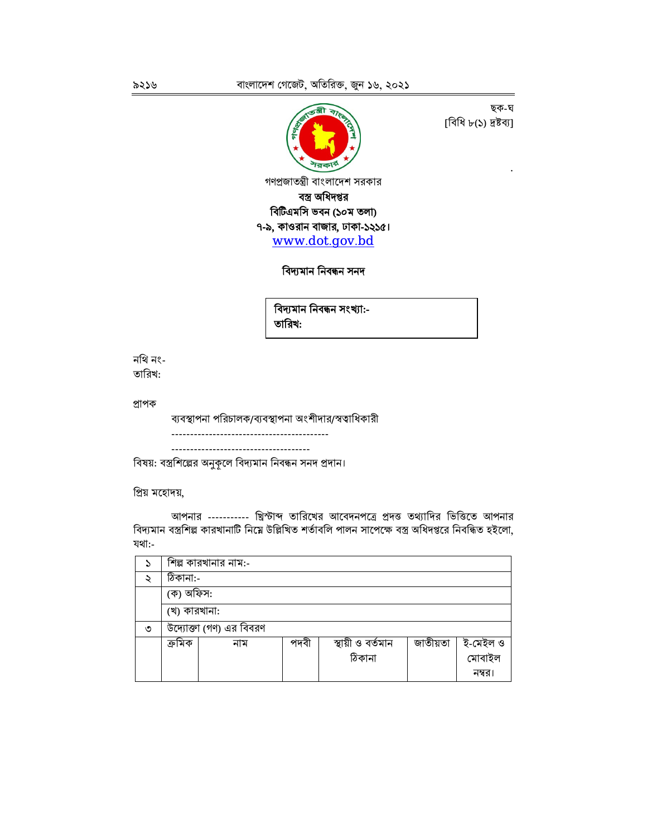

ছক-ঘ ।বিধি ৮(১) দ্রষ্টব্যা

বিদ্যমান নিবন্ধন সনদ

বিদ্যমান নিবন্ধন সংখ্যা:-তারিখ:

নথি নং-তারিখ:

প্ৰাপক

ব্যবস্থাপনা পরিচালক/ব্যবস্থাপনা অংশীদার/স্বত্বাধিকারী 

বিষয়: বস্ত্রশিল্পের অনুকূলে বিদ্যমান নিবন্ধন সনদ প্রদান।

প্ৰিয় মহোদয়,

আপনার ---------- খ্রিস্টাব্দ তারিখের আবেদনপত্রে প্রদত্ত তথ্যাদির ভিত্তিতে আপনার বিদ্যমান বস্ত্রশিল্প কারখানাটি নিম্নে উল্লিখিত শর্তাবলি পালন সাপেক্ষে বস্ত্র অধিদপ্তরে নিবন্ধিত হইলো, যথা:-

| S |              | শিল্প কারখানার নাম:-    |      |                   |          |                    |
|---|--------------|-------------------------|------|-------------------|----------|--------------------|
| ২ | ঠিকানা:-     |                         |      |                   |          |                    |
|   | (ক) অফিস:    |                         |      |                   |          |                    |
|   | (খ) কারখানা: |                         |      |                   |          |                    |
| ৩ |              | উদ্যোক্তা (গণ) এর বিবরণ |      |                   |          |                    |
|   | ক্ৰমিক       | নাম                     | পদবী | স্থায়ী ও বর্তমান | জাতীয়তা | ই-মেইল ও<br>মোবাইল |
|   |              |                         |      | ঠিকানা            |          |                    |
|   |              |                         |      |                   |          | নম্বর।             |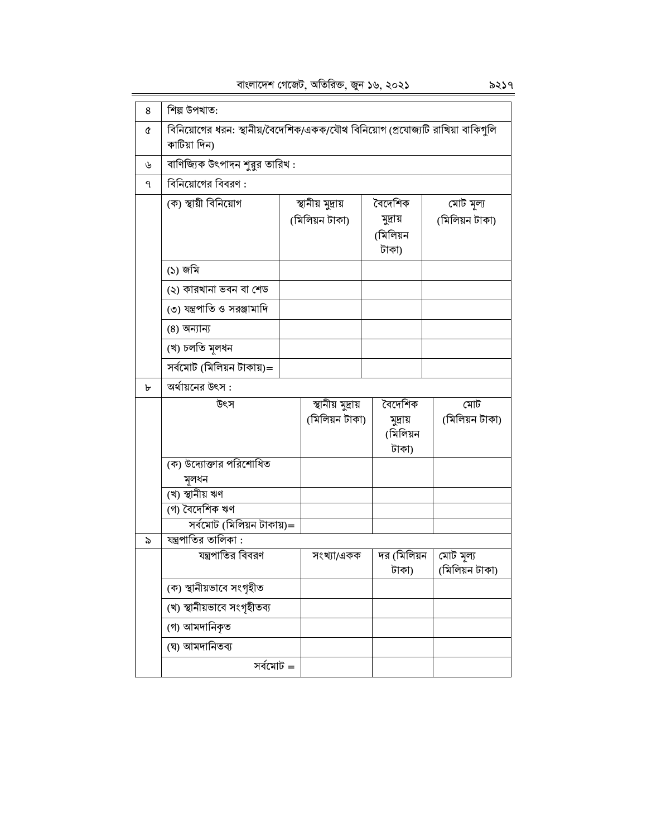| 8 | শিল্প উপখাত:                                                                                   |  |                                     |                                          |  |                             |
|---|------------------------------------------------------------------------------------------------|--|-------------------------------------|------------------------------------------|--|-----------------------------|
| Q | বিনিয়োগের ধরন: স্থানীয়/বৈদেশিক/একক/যৌথ বিনিয়োগ (প্রযোজ্যটি রাখিয়া বাকিগুলি<br>কাটিয়া দিন) |  |                                     |                                          |  |                             |
| ৬ | বাণিজ্যিক উৎপাদন শুরুর তারিখ :                                                                 |  |                                     |                                          |  |                             |
| ٩ | বিনিয়োগের বিবরণ :                                                                             |  |                                     |                                          |  |                             |
|   | (ক) স্থায়ী বিনিয়োগ                                                                           |  | স্থানীয় মুদ্ৰায়<br>(মিলিয়ন টাকা) | বৈদেশিক<br>মুদ্ৰায়<br>(মিলিয়ন<br>টাকা) |  | মোট মূল্য<br>(মিলিয়ন টাকা) |
|   | (১) জমি                                                                                        |  |                                     |                                          |  |                             |
|   | (২) কারখানা ভবন বা শেড                                                                         |  |                                     |                                          |  |                             |
|   | ৩) যন্ত্রপাতি ও সরঞ্জামাদি                                                                     |  |                                     |                                          |  |                             |
|   | (8) অন্যান্য                                                                                   |  |                                     |                                          |  |                             |
|   | (খ) চলতি মূলধন                                                                                 |  |                                     |                                          |  |                             |
|   | সৰ্বমোট (মিলিয়ন টাকায়)=                                                                      |  |                                     |                                          |  |                             |
| ৮ | অর্থায়নের উৎস :                                                                               |  |                                     |                                          |  |                             |
|   | উৎস                                                                                            |  | স্থানীয় মুদ্ৰায়                   | বৈদেশিক                                  |  | মোট                         |
|   |                                                                                                |  | (মিলিয়ন টাকা)                      | মুদ্ৰায়<br>(মিলিয়ন<br>টাকা)            |  | (মিলিয়ন টাকা)              |
|   | (ক) উদ্যোক্তার পরিশোধিত                                                                        |  |                                     |                                          |  |                             |
|   | মূলধন                                                                                          |  |                                     |                                          |  |                             |
|   | (খ) স্থানীয় ঋণ                                                                                |  |                                     |                                          |  |                             |
|   | (গ) বৈদেশিক ঋণ                                                                                 |  |                                     |                                          |  |                             |
| ৯ | সৰ্বমোট (মিলিয়ন টাকায়)=<br>যন্ত্রপাতির তালিকা :                                              |  |                                     |                                          |  |                             |
|   | যন্ত্রপাতির বিবরণ                                                                              |  | সংখ্যা/একক                          | দর (মিলিয়ন                              |  | মোট মূল্য                   |
|   |                                                                                                |  |                                     | টাকা)                                    |  | (মিলিয়ন টাকা)              |
|   | (ক) স্থানীয়ভাবে সংগৃহীত                                                                       |  |                                     |                                          |  |                             |
|   | (খ) স্থানীয়ভাবে সংগৃহীতব্য                                                                    |  |                                     |                                          |  |                             |
|   | (গ) আমদানিকৃত                                                                                  |  |                                     |                                          |  |                             |
|   | (ঘ) আমদানিতব্য                                                                                 |  |                                     |                                          |  |                             |
|   | সৰ্বমোট =                                                                                      |  |                                     |                                          |  |                             |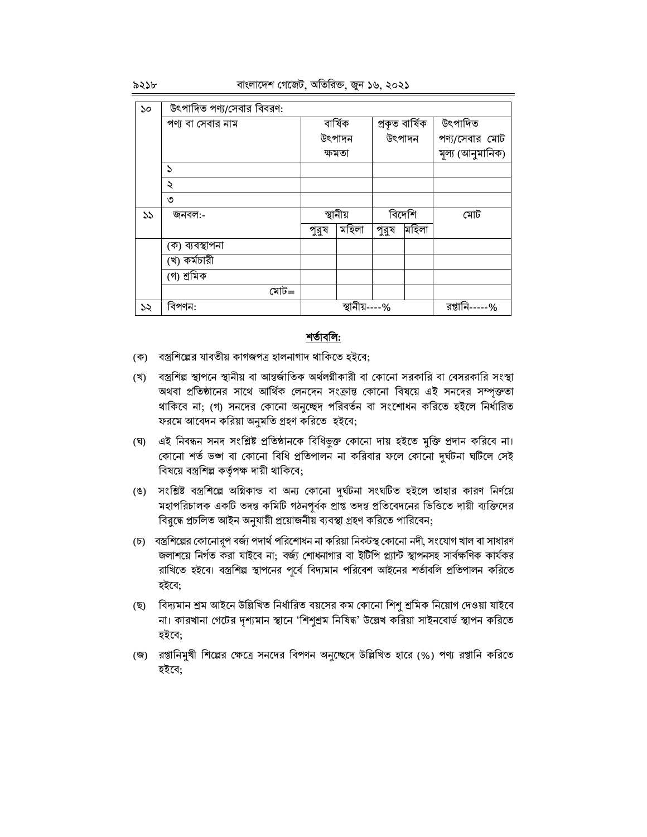| 50 | উৎপাদিত পণ্য/সেবার বিবরণ: |       |               |       |                |                  |
|----|---------------------------|-------|---------------|-------|----------------|------------------|
|    | পণ্য বা সেবার নাম         |       | বাৰ্ষিক       |       | প্ৰকৃত বাৰ্ষিক | উৎপাদিত          |
|    |                           |       | উৎপাদন        |       | উৎপাদন         | পণ্য/সেবার মোট   |
|    |                           |       | ক্ষমতা        |       |                | মূল্য (আনুমানিক) |
|    | $\mathcal{L}$             |       |               |       |                |                  |
|    | ২                         |       |               |       |                |                  |
|    | ৩                         |       |               |       |                |                  |
| ১১ | জনবল:-                    |       | স্থানীয়      |       | বিদেশি         | মোট              |
|    |                           | পুরুষ | মহিলা         | পুরুষ | মহিলা          |                  |
|    | (ক) ব্যবস্থাপনা           |       |               |       |                |                  |
|    | (খ) কৰ্মচারী              |       |               |       |                |                  |
|    | (গ) শ্ৰমিক                |       |               |       |                |                  |
|    | মোট=                      |       |               |       |                |                  |
| ১২ | বিপণন:                    |       | স্থানীয়----% |       |                | রপ্তানি-----%    |

#### শর্তাবলি:

(ক) বস্ত্রশিল্পের যাবতীয় কাগজপত্র হালনাগাদ থাকিতে হইবে;

- (খ) বস্ত্রশিল্প স্থাপনে স্থানীয় বা আন্তর্জাতিক অর্থলগীকারী বা কোনো সরকারি বা বেসরকারি সংস্থা অথবা প্রতিষ্ঠানের সাথে আর্থিক লেনদেন সংক্রান্ত কোনো বিষয়ে এই সনদের সম্পৃক্ততা থাকিবে না; (গ) সনদের কোনো অনুচ্ছেদ পরিবর্তন বা সংশোধন করিতে হইলে নির্ধারিত ফরমে আবেদন করিয়া অনুমতি গ্রহণ করিতে হইবে;
- (ঘ) এই নিবন্ধন সনদ সংশ্লিষ্ট প্রতিষ্ঠানকে বিধিভুক্ত কোনো দায় হইতে মুক্তি প্রদান করিবে না। কোনো শর্ত ভঙ্গ বা কোনো বিধি প্রতিপালন না করিবার ফলে কোনো দুর্ঘটনা ঘটিলে সেই বিষয়ে বস্ত্রশিল্প কর্তৃপক্ষ দায়ী থাকিবে;
- (ঙ) সংশ্লিষ্ট বস্ত্রশিল্পে অগ্নিকান্ড বা অন্য কোনো দুর্ঘটনা সংঘটিত হইলে তাহার কারণ নির্ণয়ে মহাপরিচালক একটি তদন্ত কমিটি গঠনপূর্বক প্রাপ্ত তদন্ত প্রতিবেদনের ভিত্তিতে দায়ী ব্যক্তিদের বির্দ্ধে প্রচলিত আইন অনুযায়ী প্রয়োজনীয় ব্যবস্থা গ্রহণ করিতে পারিবেন;
- (চ) বস্ত্রশিল্পের কোনোরূপ বর্জ্য পদার্থ পরিশোধন না করিয়া নিকটস্থ কোনো নদী, সংযোগ খাল বা সাধারণ জলাশয়ে নির্গত করা যাইবে না: বর্জ্য শোধনাগার বা ইটিপি প্ল্যান্ট স্থাপনসহ সার্বক্ষণিক কার্যকর রাখিতে হইবে। বস্ত্রশিল্প স্থাপনের পূর্বে বিদ্যমান পরিবেশ আইনের শর্তাবলি প্রতিপালন করিতে হইবে:
- (ছ) বিদ্যমান শ্রম আইনে উল্লিখিত নির্ধারিত বয়সের কম কোনো শিশু শ্রমিক নিয়োগ দেওয়া যাইবে না। কারখানা গেটের দৃশ্যমান স্থানে 'শিশুশ্রম নিষিদ্ধ' উল্লেখ করিয়া সাইনবোর্ড স্থাপন করিতে হইবে:
- (জ) রপ্তানিমুখী শিল্পের ক্ষেত্রে সনদের বিপণন অনুচ্ছেদে উল্লিখিত হারে (%) পণ্য রপ্তানি করিতে হইবে: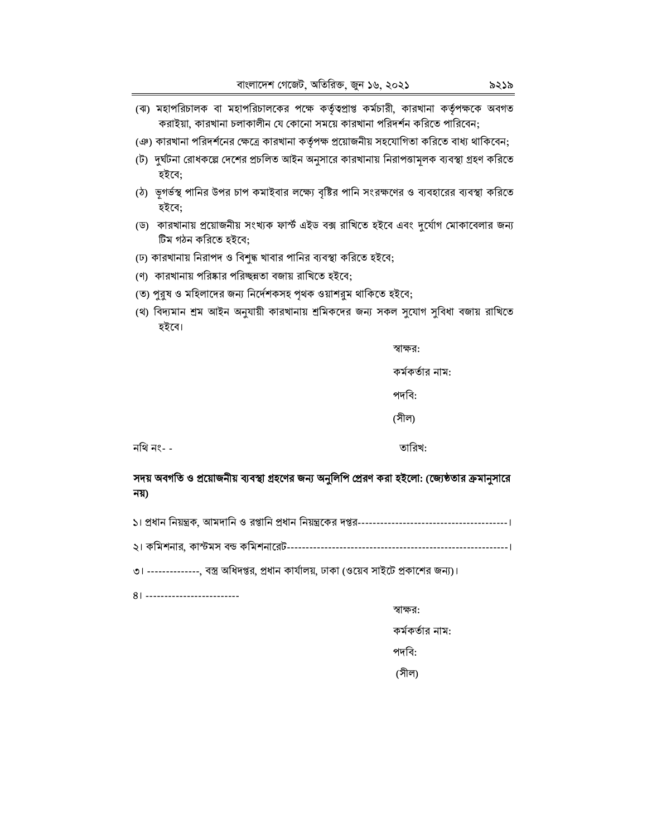- (ঝ) মহাপরিচালক বা মহাপরিচালকের পক্ষে কর্তৃত্বপ্রাপ্ত কর্মচারী, কারখানা কর্তৃপক্ষকে অবগত করাইয়া, কারখানা চলাকালীন যে কোনো সময়ে কারখানা পরিদর্শন করিতে পারিবেন;
- (ঞ) কারখানা পরিদর্শনের ক্ষেত্রে কারখানা কর্তৃপক্ষ প্রয়োজনীয় সহযোগিতা করিতে বাধ্য থাকিবেন;
- (ট) দুর্ঘটনা রোধকল্পে দেশের প্রচলিত আইন অনুসারে কারখানায় নিরাপত্তামূলক ব্যবস্থা গ্রহণ করিতে হইবে;
- (ঠ) ভূগর্ভস্থ পানির উপর চাপ কমাইবার লক্ষ্যে বৃষ্টির পানি সংরক্ষণের ও ব্যবহারের ব্যবস্থা করিতে হইবে;
- (ড) কারখানায় প্রয়োজনীয় সংখ্যক ফাস্ট এইড বক্স রাখিতে হইবে এবং দুর্যোগ মোকাবেলার জন্য টিম গঠন করিতে হইবে;
- (ঢ) কারখানায় নিরাপদ ও বিশুদ্ধ খাবার পানির ব্যবস্থা করিতে হইবে;
- (ণ) কারখানায় পরিষ্কার পরিচ্ছন্নতা বজায় রাখিতে হইবে;
- (ত) পুরুষ ও মহিলাদের জন্য নির্দেশকসহ পৃথক ওয়াশরুম থাকিতে হইবে;
- (থ) বিদ্যমান শ্রম আইন অনুযায়ী কারখানায় শ্রমিকদের জন্য সকল সুযোগ সুবিধা বজায় রাখিতে হইবে।

স্বাক্ষর:

কর্মকর্তার নাম:

পদবি:

(সীল)

নথি নং- -

তারিখ:

#### সদয় অবগতি ও প্রয়োজনীয় ব্যবস্থা গ্রহণের জন্য অনুলিপি প্রেরণ করা হইলো: (জ্যেষ্ঠতার ক্রমানুসারে নয়)

৩। --------------, বস্ত্র অধিদপ্তর, প্রধান কার্যালয়, ঢাকা (ওয়েব সাইটে প্রকাশের জন্য)।

81 --------------------------

স্বাক্ষর:

কর্মকর্তার নাম:

পদবি:

(সীল)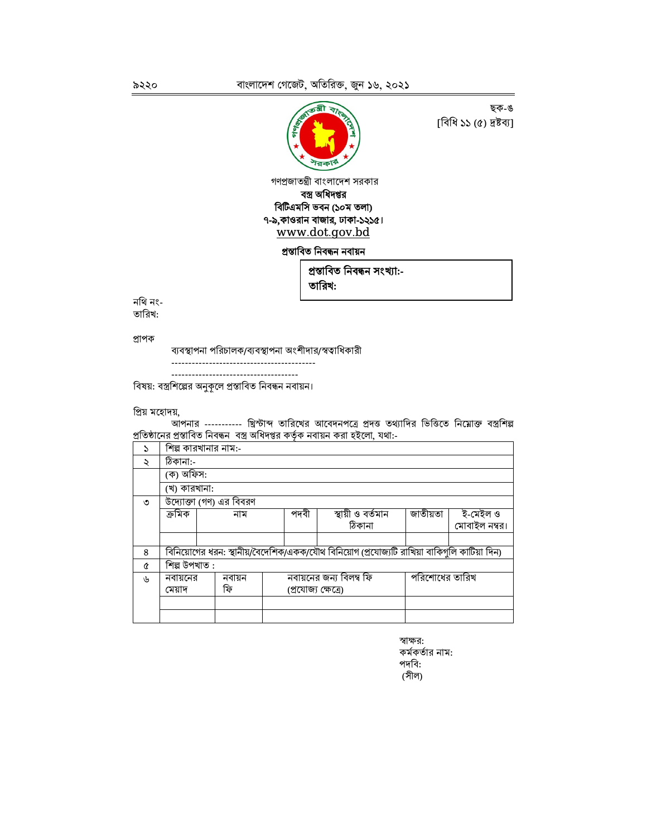

ছক-ঙ [বিধি ১১ (৫) দ্ৰষ্টব্য]

গণপ্রজাতন্ত্রী বাংলাদেশ সরকার বস্ত্র অধিদপ্তর বিটিএমসি ভবন (১০ম তলা) ৭-৯,কাওরান বাজার, ঢাকা-১২১৫। www.dot.gov.bd

প্ৰস্তাবিত নিবন্ধন নবায়ন

প্ৰস্তাবিত নিবন্ধন সংখ্যা:-

তারিখ:

নথি নং-তারিখ:

প্ৰাপক

ব্যবস্থাপনা পরিচালক/ব্যবস্থাপনা অংশীদার/স্বত্বাধিকারী

------------------------------------

বিষয়: বস্ত্রশিল্পের অনুকূলে প্রস্তাবিত নিবন্ধন নবায়ন।

প্ৰিয় মহোদয়,

আপনার ---------- খ্রিস্টাব্দ তারিখের আবেদনপত্রে প্রদত্ত তথ্যাদির ভিত্তিতে নিম্নোক্ত বস্ত্রশিল্প প্রতিষ্ঠানের প্রস্তাবিত নিবন্ধন বস্ত্র অধিদপ্তর কর্তৃক নবায়ন করা হইলো, যথা:-

| S                    | শিল্প কারখানার নাম:-                                                                        |                         |                                           |                   |          |               |  |  |
|----------------------|---------------------------------------------------------------------------------------------|-------------------------|-------------------------------------------|-------------------|----------|---------------|--|--|
| $\ddot{\phantom{0}}$ | ঠিকানা:-                                                                                    |                         |                                           |                   |          |               |  |  |
|                      |                                                                                             | (ক) অফিস:               |                                           |                   |          |               |  |  |
|                      | (খ) কারখানা:                                                                                |                         |                                           |                   |          |               |  |  |
| ৩                    |                                                                                             | উদ্যোক্তা (গণ) এর বিবরণ |                                           |                   |          |               |  |  |
|                      | ক্ৰমিক                                                                                      | নাম                     | পদবী                                      | স্থায়ী ও বৰ্তমান | জাতীয়তা | ই-মেইল ও      |  |  |
|                      |                                                                                             |                         |                                           | ঠিকানা            |          | মোবাইল নম্বর। |  |  |
|                      |                                                                                             |                         |                                           |                   |          |               |  |  |
| 8                    | বিনিয়োগের ধরন: স্থানীয়/বৈদেশিক/একক/যৌথ বিনিয়োগ (প্রযোজ্যটি রাখিয়া বাকিগুলি কাটিয়া দিন) |                         |                                           |                   |          |               |  |  |
| Q                    | শিল্প উপখাত :                                                                               |                         |                                           |                   |          |               |  |  |
| ιh                   | নবায়নের                                                                                    | নবায়ন                  | নবায়নের জন্য বিলম্ব ফি<br>পরিশোধের তারিখ |                   |          |               |  |  |
|                      | মেয়াদ                                                                                      | ফি                      | (প্ৰযোজ্য ক্ষেত্ৰে)                       |                   |          |               |  |  |
|                      |                                                                                             |                         |                                           |                   |          |               |  |  |
|                      |                                                                                             |                         |                                           |                   |          |               |  |  |

৯২২০

স্বাক্ষর: কর্মকর্তার নাম: পদবি: (সীল)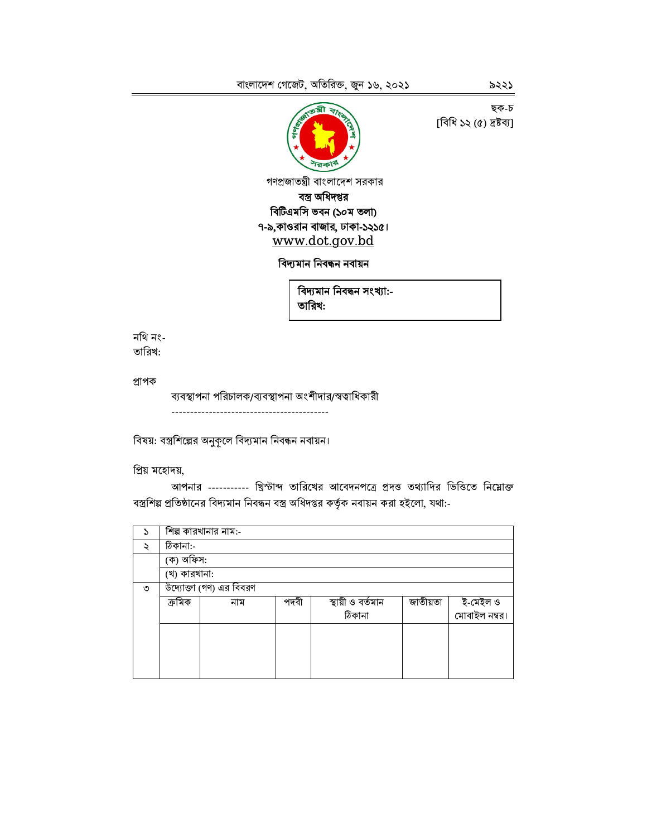

ছক-চ [বিধি ১২ (৫) দ্ৰষ্টব্য]

গণপ্রজাতন্ত্রী বাংলাদেশ সরকার বস্ত্র অধিদপ্তর বিটিএমসি ভবন (১০ম তলা) ৭-৯,কাওরান বাজার, ঢাকা-১২১৫। www.dot.gov.bd

### বিদ্যমান নিবন্ধন নবায়ন

বিদ্যমান নিবন্ধন সংখ্যা:-তারিখ:

#### নথি নং-তারিখ:

প্ৰাপক

ব্যবস্থাপনা পরিচালক/ব্যবস্থাপনা অংশীদার/স্বত্বাধিকারী 

বিষয়: বস্ত্রশিল্পের অনুকূলে বিদ্যমান নিবন্ধন নবায়ন।

প্ৰিয় মহোদয়,

আপনার ---------- খ্রিস্টাব্দ তারিখের আবেদনপত্রে প্রদত্ত তথ্যাদির ভিত্তিতে নিম্নোক্ত বস্ত্রশিল্প প্রতিষ্ঠানের বিদ্যমান নিবন্ধন বস্ত্র অধিদপ্তর কর্তৃক নবায়ন করা হইলো, যথা:-

| S                    |              | শিল্প কারখানার নাম:-    |      |                   |          |               |
|----------------------|--------------|-------------------------|------|-------------------|----------|---------------|
| $\ddot{\phantom{0}}$ | ঠিকানা:-     |                         |      |                   |          |               |
|                      | (ক) অফিস:    |                         |      |                   |          |               |
|                      | (খ) কারখানা: |                         |      |                   |          |               |
| ৩                    |              | উদ্যোক্তা (গণ) এর বিবরণ |      |                   |          |               |
|                      | ক্ৰমিক       | নাম                     | পদবী | স্থায়ী ও বর্তমান | জাতীয়তা | ই-মেইল ও      |
|                      |              |                         |      | ঠিকানা            |          | মোবাইল নম্বর। |
|                      |              |                         |      |                   |          |               |
|                      |              |                         |      |                   |          |               |
|                      |              |                         |      |                   |          |               |
|                      |              |                         |      |                   |          |               |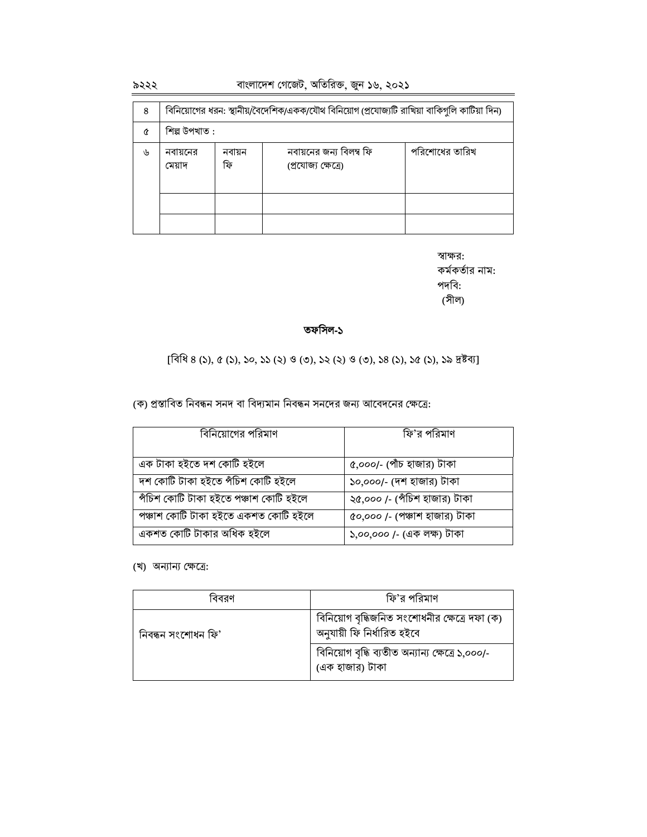#### ৯২২২

বাংলাদেশ গেজেট, অতিরিক্ত, জুন ১৬, ২০২১

| 8  | বিনিয়োগের ধরন: স্থানীয়/বৈদেশিক/একক/যৌথ বিনিয়োগ (প্রযোজ্যটি রাখিয়া বাকিগুলি কাটিয়া দিন) |              |                                                |                |  |
|----|---------------------------------------------------------------------------------------------|--------------|------------------------------------------------|----------------|--|
| Q  | শিল্প উপখাত :                                                                               |              |                                                |                |  |
| رل | নবায়নের<br>মেয়াদ                                                                          | নবায়ন<br>ফি | নবায়নের জন্য বিলম্ব ফি<br>(প্ৰযোজ্য ক্ষেত্ৰে) | পরিশোধের তারিখ |  |
|    |                                                                                             |              |                                                |                |  |

স্বাক্ষর: কর্মকর্তার নাম: পদবি: (সীল)

#### তফসিল-১

 $[\widehat{7}$ ধি 8 (১), ৫ (১), ১০, ১১ (২) ও (৩), ১২ (২) ও (৩), ১৪ (১), ১৫ (১), ১৯ দ্রষ্টব্য]

(ক) প্রস্তাবিত নিবন্ধন সনদ বা বিদ্যমান নিবন্ধন সনদের জন্য আবেদনের ক্ষেত্রে:

| বিনিয়োগের পরিমাণ                     | ফি'র পরিমাণ                   |
|---------------------------------------|-------------------------------|
|                                       |                               |
| এক টাকা হইতে দশ কোটি হইলে             | ৫,০০০/- (পাঁচ হাজার) টাকা     |
| দশ কোটি টাকা হইতে পঁচিশ কোটি হইলে     | ১০,০০০/- (দশ হাজার) টাকা      |
| পঁচিশ কোটি টাকা হইতে পঞ্চাশ কোটি হইলে | ২৫,০০০ /- (পঁচিশ হাজার) টাকা  |
| পঞ্চাশ কোটি টাকা হইতে একশত কোটি হইলে  | ৫০,০০০ /- (পঞ্চাশ হাজার) টাকা |
| একশত কোটি টাকার অধিক হইলে             | ১,০০,০০০ /- (এক লক্ষ) টাকা    |

(খ) অন্যান্য ক্ষেত্রে:

| ববরণ               | ফি'র পরিমাণ                                                                 |
|--------------------|-----------------------------------------------------------------------------|
| নিবন্ধন সংশোধন ফি' | বিনিয়োগ বৃদ্ধিজনিত সংশোধনীর ক্ষেত্রে দফা (ক)<br>অনুযায়ী ফি নিৰ্ধারিত হইবে |
|                    | বিনিয়োগ বৃদ্ধি ব্যতীত অন্যান্য ক্ষেত্রে ১,০০০/-<br>(এক হাজার) টাকা         |